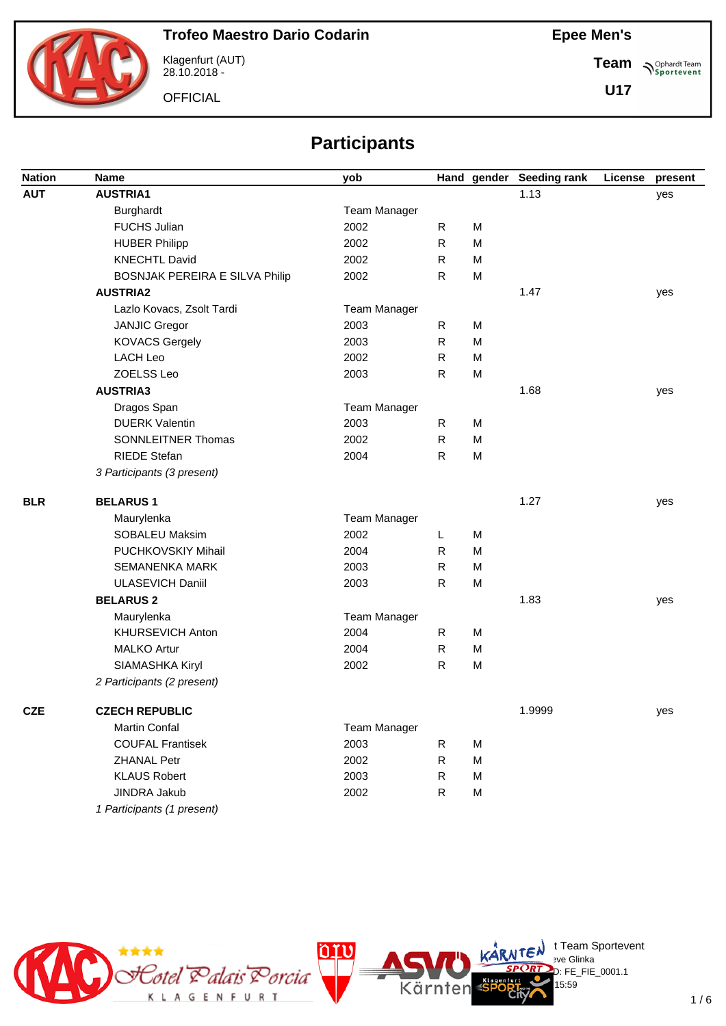

Klagenfurt (AUT) 28.10.2018 -

**OFFICIAL** 

**Team Sportevent** 

**U17**

# **Participants**

| <b>Nation</b> | <b>Name</b>                    | yob                 |              |   | Hand gender Seeding rank | License | present |
|---------------|--------------------------------|---------------------|--------------|---|--------------------------|---------|---------|
| <b>AUT</b>    | <b>AUSTRIA1</b>                |                     |              |   | 1.13                     |         | yes     |
|               | Burghardt                      | <b>Team Manager</b> |              |   |                          |         |         |
|               | <b>FUCHS Julian</b>            | 2002                | $\mathsf{R}$ | M |                          |         |         |
|               | <b>HUBER Philipp</b>           | 2002                | $\mathsf{R}$ | M |                          |         |         |
|               | <b>KNECHTL David</b>           | 2002                | R            | M |                          |         |         |
|               | BOSNJAK PEREIRA E SILVA Philip | 2002                | $\mathsf{R}$ | M |                          |         |         |
|               | <b>AUSTRIA2</b>                |                     |              |   | 1.47                     |         | yes     |
|               | Lazlo Kovacs, Zsolt Tardi      | Team Manager        |              |   |                          |         |         |
|               | <b>JANJIC Gregor</b>           | 2003                | R            | M |                          |         |         |
|               | <b>KOVACS Gergely</b>          | 2003                | $\mathsf{R}$ | M |                          |         |         |
|               | <b>LACH Leo</b>                | 2002                | $\mathsf{R}$ | M |                          |         |         |
|               | <b>ZOELSS Leo</b>              | 2003                | $\mathsf{R}$ | M |                          |         |         |
|               | <b>AUSTRIA3</b>                |                     |              |   | 1.68                     |         | yes     |
|               | Dragos Span                    | <b>Team Manager</b> |              |   |                          |         |         |
|               | <b>DUERK Valentin</b>          | 2003                | R            | M |                          |         |         |
|               | <b>SONNLEITNER Thomas</b>      | 2002                | $\mathsf{R}$ | M |                          |         |         |
|               | <b>RIEDE Stefan</b>            | 2004                | $\mathsf{R}$ | M |                          |         |         |
|               | 3 Participants (3 present)     |                     |              |   |                          |         |         |
| <b>BLR</b>    | <b>BELARUS1</b>                |                     |              |   | 1.27                     |         | yes     |
|               | Maurylenka                     | Team Manager        |              |   |                          |         |         |
|               | SOBALEU Maksim                 | 2002                | L            | M |                          |         |         |
|               | PUCHKOVSKIY Mihail             | 2004                | R            | M |                          |         |         |
|               | <b>SEMANENKA MARK</b>          | 2003                | R            | M |                          |         |         |
|               | <b>ULASEVICH Daniil</b>        | 2003                | R            | M |                          |         |         |
|               | <b>BELARUS 2</b>               |                     |              |   | 1.83                     |         | yes     |
|               | Maurylenka                     | <b>Team Manager</b> |              |   |                          |         |         |
|               | KHURSEVICH Anton               | 2004                | R            | M |                          |         |         |
|               | <b>MALKO Artur</b>             | 2004                | R            | M |                          |         |         |
|               | SIAMASHKA Kiryl                | 2002                | $\mathsf{R}$ | M |                          |         |         |
|               | 2 Participants (2 present)     |                     |              |   |                          |         |         |
| <b>CZE</b>    | <b>CZECH REPUBLIC</b>          |                     |              |   | 1.9999                   |         | yes     |
|               | Martin Confal                  | Team Manager        |              |   |                          |         |         |
|               | <b>COUFAL Frantisek</b>        | 2003                | R            | M |                          |         |         |
|               | ZHANAL Petr                    | 2002                | R            | M |                          |         |         |
|               | <b>KLAUS Robert</b>            | 2003                | R            | M |                          |         |         |
|               | <b>JINDRA Jakub</b>            | 2002                | ${\sf R}$    | M |                          |         |         |
|               | 1 Participants (1 present)     |                     |              |   |                          |         |         |



.<br>D: FE\_FIE\_0001.1

15:59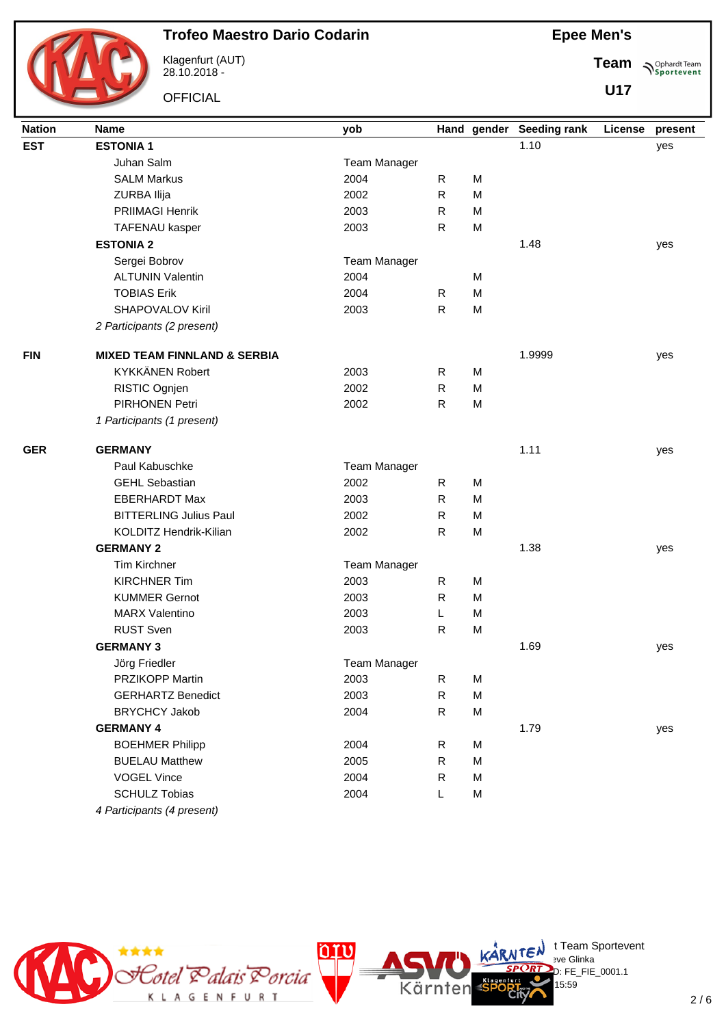

Klagenfurt (AUT) 28.10.2018 -

**OFFICIAL** 

**Epee Men's**

**Team Sportevent** 

**U17**

| <b>Nation</b> | <b>Name</b>                             | yob                 |              |   | Hand gender Seeding rank | License | present |
|---------------|-----------------------------------------|---------------------|--------------|---|--------------------------|---------|---------|
| <b>EST</b>    | <b>ESTONIA1</b>                         |                     |              |   | 1.10                     |         | yes     |
|               | Juhan Salm                              | <b>Team Manager</b> |              |   |                          |         |         |
|               | <b>SALM Markus</b>                      | 2004                | R            | M |                          |         |         |
|               | ZURBA Ilija                             | 2002                | $\mathsf{R}$ | M |                          |         |         |
|               | PRIIMAGI Henrik                         | 2003                | $\mathsf{R}$ | M |                          |         |         |
|               | <b>TAFENAU kasper</b>                   | 2003                | R            | M |                          |         |         |
|               | <b>ESTONIA 2</b>                        |                     |              |   | 1.48                     |         | yes     |
|               | Sergei Bobrov                           | Team Manager        |              |   |                          |         |         |
|               | <b>ALTUNIN Valentin</b>                 | 2004                |              | M |                          |         |         |
|               | <b>TOBIAS Erik</b>                      | 2004                | R            | M |                          |         |         |
|               | SHAPOVALOV Kiril                        | 2003                | $\mathsf{R}$ | M |                          |         |         |
|               | 2 Participants (2 present)              |                     |              |   |                          |         |         |
| <b>FIN</b>    | <b>MIXED TEAM FINNLAND &amp; SERBIA</b> |                     |              |   | 1.9999                   |         | yes     |
|               | KYKKÄNEN Robert                         | 2003                | R            | M |                          |         |         |
|               | RISTIC Ognjen                           | 2002                | R            | M |                          |         |         |
|               | PIRHONEN Petri                          | 2002                | $\mathsf{R}$ | M |                          |         |         |
|               | 1 Participants (1 present)              |                     |              |   |                          |         |         |
| <b>GER</b>    | <b>GERMANY</b>                          |                     |              |   | 1.11                     |         | yes     |
|               | Paul Kabuschke                          | <b>Team Manager</b> |              |   |                          |         |         |
|               | <b>GEHL Sebastian</b>                   | 2002                | R            | M |                          |         |         |
|               | <b>EBERHARDT Max</b>                    | 2003                | R            | M |                          |         |         |
|               | <b>BITTERLING Julius Paul</b>           | 2002                | ${\sf R}$    | M |                          |         |         |
|               | KOLDITZ Hendrik-Kilian                  | 2002                | R            | M |                          |         |         |
|               | <b>GERMANY 2</b>                        |                     |              |   | 1.38                     |         | yes     |
|               | <b>Tim Kirchner</b>                     | <b>Team Manager</b> |              |   |                          |         |         |
|               | <b>KIRCHNER Tim</b>                     | 2003                | $\mathsf{R}$ | M |                          |         |         |
|               | <b>KUMMER Gernot</b>                    | 2003                | R            | M |                          |         |         |
|               | <b>MARX Valentino</b>                   | 2003                | L            | M |                          |         |         |
|               | <b>RUST Sven</b>                        | 2003                | R            | M |                          |         |         |
|               | <b>GERMANY 3</b>                        |                     |              |   | 1.69                     |         | yes     |
|               | Jörg Friedler                           | Team Manager        |              |   |                          |         |         |
|               | <b>PRZIKOPP Martin</b>                  | 2003                | R            | M |                          |         |         |
|               | <b>GERHARTZ Benedict</b>                | 2003                | $\mathsf{R}$ | M |                          |         |         |
|               | <b>BRYCHCY Jakob</b>                    | 2004                | $\mathsf{R}$ | M |                          |         |         |
|               | <b>GERMANY 4</b>                        |                     |              |   | 1.79                     |         | yes     |
|               | <b>BOEHMER Philipp</b>                  | 2004                | $\mathsf{R}$ | M |                          |         |         |
|               | <b>BUELAU Matthew</b>                   | 2005                | $\mathsf{R}$ | M |                          |         |         |
|               | <b>VOGEL Vince</b>                      | 2004                | $\mathsf{R}$ | M |                          |         |         |
|               | <b>SCHULZ Tobias</b>                    | 2004                | L            | M |                          |         |         |
|               | 4 Participants (4 present)              |                     |              |   |                          |         |         |

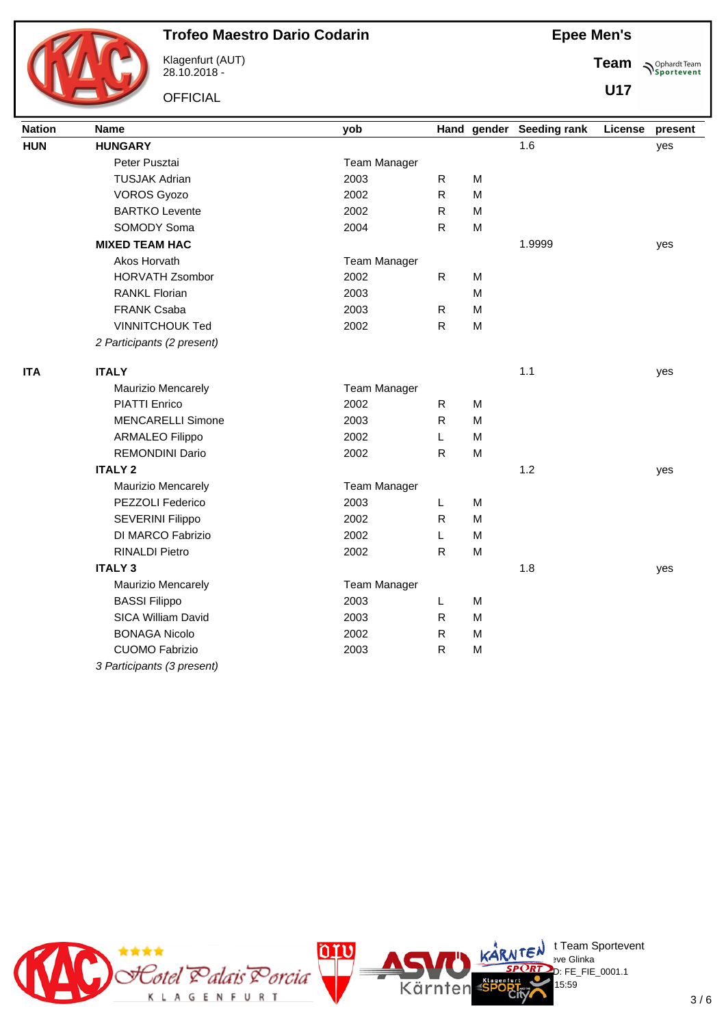

Klagenfurt (AUT) 28.10.2018 -

**OFFICIAL** 

**Epee Men's**

**Team Sportevent** 

**U17**

| <b>Nation</b> | <b>Name</b>                | yob                 |              |                                                                                       | Hand gender Seeding rank | License | present |
|---------------|----------------------------|---------------------|--------------|---------------------------------------------------------------------------------------|--------------------------|---------|---------|
| <b>HUN</b>    | <b>HUNGARY</b>             |                     |              |                                                                                       | 1.6                      |         | yes     |
|               | Peter Pusztai              | <b>Team Manager</b> |              |                                                                                       |                          |         |         |
|               | <b>TUSJAK Adrian</b>       | 2003                | R            | M                                                                                     |                          |         |         |
|               | <b>VOROS Gyozo</b>         | 2002                | $\mathsf{R}$ | M                                                                                     |                          |         |         |
|               | <b>BARTKO Levente</b>      | 2002                | $\mathsf R$  | M                                                                                     |                          |         |         |
|               | SOMODY Soma                | 2004                | $\mathsf{R}$ | M                                                                                     |                          |         |         |
|               | <b>MIXED TEAM HAC</b>      |                     |              |                                                                                       | 1.9999                   |         | yes     |
|               | Akos Horvath               | Team Manager        |              |                                                                                       |                          |         |         |
|               | <b>HORVATH Zsombor</b>     | 2002                | $\mathsf R$  | M                                                                                     |                          |         |         |
|               | <b>RANKL Florian</b>       | 2003                |              | M                                                                                     |                          |         |         |
|               | <b>FRANK Csaba</b>         | 2003                | R            | M                                                                                     |                          |         |         |
|               | <b>VINNITCHOUK Ted</b>     | 2002                | ${\sf R}$    | $\mathsf{M}% _{T}=\mathsf{M}_{T}\!\left( a,b\right) ,\ \mathsf{M}_{T}=\mathsf{M}_{T}$ |                          |         |         |
|               | 2 Participants (2 present) |                     |              |                                                                                       |                          |         |         |
| <b>ITA</b>    | <b>ITALY</b>               |                     |              |                                                                                       | 1.1                      |         | yes     |
|               | <b>Maurizio Mencarely</b>  | <b>Team Manager</b> |              |                                                                                       |                          |         |         |
|               | <b>PIATTI Enrico</b>       | 2002                | R            | M                                                                                     |                          |         |         |
|               | <b>MENCARELLI Simone</b>   | 2003                | $\mathsf{R}$ | M                                                                                     |                          |         |         |
|               | <b>ARMALEO Filippo</b>     | 2002                | L            | M                                                                                     |                          |         |         |
|               | <b>REMONDINI Dario</b>     | 2002                | R            | M                                                                                     |                          |         |         |
|               | <b>ITALY 2</b>             |                     |              |                                                                                       | 1.2                      |         | yes     |
|               | <b>Maurizio Mencarely</b>  | <b>Team Manager</b> |              |                                                                                       |                          |         |         |
|               | PEZZOLI Federico           | 2003                | L            | M                                                                                     |                          |         |         |
|               | <b>SEVERINI Filippo</b>    | 2002                | R            | M                                                                                     |                          |         |         |
|               | DI MARCO Fabrizio          | 2002                | L            | M                                                                                     |                          |         |         |
|               | <b>RINALDI Pietro</b>      | 2002                | $\mathsf{R}$ | M                                                                                     |                          |         |         |
|               | <b>ITALY 3</b>             |                     |              |                                                                                       | 1.8                      |         | yes     |
|               | Maurizio Mencarely         | <b>Team Manager</b> |              |                                                                                       |                          |         |         |
|               | <b>BASSI Filippo</b>       | 2003                | L            | M                                                                                     |                          |         |         |
|               | SICA William David         | 2003                | R            | M                                                                                     |                          |         |         |
|               | <b>BONAGA Nicolo</b>       | 2002                | R            | M                                                                                     |                          |         |         |
|               | <b>CUOMO Fabrizio</b>      | 2003                | $\mathsf{R}$ | $\mathsf{M}% _{T}=\mathsf{M}_{T}\!\left( a,b\right) ,\ \mathsf{M}_{T}=\mathsf{M}_{T}$ |                          |         |         |
|               | 3 Participants (3 present) |                     |              |                                                                                       |                          |         |         |

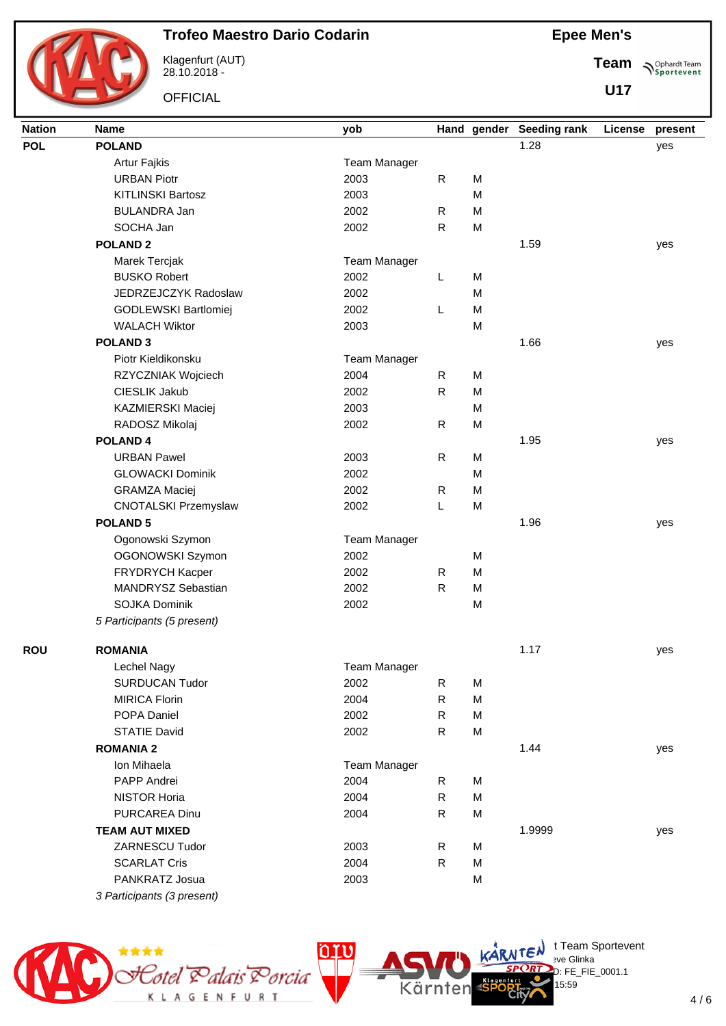

Klagenfurt (AUT) 28.10.2018 -

**OFFICIAL** 

**Epee Men's**

Team  $\bigwedge^{\text{Ophard Team}}_{\text{Sportevent}}$ 

**U17**

| <b>POL</b><br><b>POLAND</b><br>1.28<br>yes<br>Artur Fajkis<br>Team Manager<br><b>URBAN Piotr</b><br>2003<br>$\mathsf{R}$<br>M<br><b>KITLINSKI Bartosz</b><br>2003<br>M<br><b>BULANDRA Jan</b><br>2002<br>R<br>M<br>SOCHA Jan<br>2002<br>$\mathsf{R}$<br>M<br><b>POLAND 2</b><br>1.59<br>yes<br>Marek Tercjak<br><b>Team Manager</b><br><b>BUSKO Robert</b><br>2002<br>L<br>M<br>JEDRZEJCZYK Radoslaw<br>2002<br>M<br>2002<br>M<br>GODLEWSKI Bartlomiej<br>L<br><b>WALACH Wiktor</b><br>M<br>2003<br><b>POLAND 3</b><br>1.66<br>yes<br>Piotr Kieldikonsku<br><b>Team Manager</b><br>$\mathsf{R}$<br>RZYCZNIAK Wojciech<br>2004<br>M<br>CIESLIK Jakub<br>2002<br>$\mathsf{R}$<br>M<br>2003<br>KAZMIERSKI Maciej<br>M<br>2002<br>$\mathsf R$<br>RADOSZ Mikolaj<br>M<br><b>POLAND4</b><br>1.95<br>yes<br>$\mathsf{R}$<br><b>URBAN Pawel</b><br>2003<br>M<br><b>GLOWACKI Dominik</b><br>2002<br>M<br>2002<br><b>GRAMZA Maciej</b><br>$\mathsf{R}$<br>M<br>L<br><b>CNOTALSKI Przemyslaw</b><br>2002<br>M<br><b>POLAND 5</b><br>1.96<br>yes<br>Ogonowski Szymon<br>Team Manager<br>2002<br>OGONOWSKI Szymon<br>M<br>FRYDRYCH Kacper<br>$\mathsf{R}$<br>M<br>2002<br>MANDRYSZ Sebastian<br>2002<br>${\sf R}$<br>M<br><b>SOJKA Dominik</b><br>2002<br>M<br>5 Participants (5 present)<br><b>ROMANIA</b><br>1.17<br><b>ROU</b><br>yes<br>Lechel Nagy<br><b>Team Manager</b><br><b>SURDUCAN Tudor</b><br>2002<br>M<br>$\mathsf{R}$<br>2004<br>$\mathsf{R}$<br>M<br><b>MIRICA Florin</b><br>POPA Daniel<br>2002<br>R<br>M<br><b>STATIE David</b><br>2002<br>$\mathsf{R}$<br>M<br><b>ROMANIA 2</b><br>1.44<br>yes<br>Ion Mihaela<br><b>Team Manager</b><br>PAPP Andrei<br>2004<br>M<br>R<br><b>NISTOR Horia</b><br>2004<br>$\mathsf{R}$<br>M<br>$\mathsf R$<br>M<br>PURCAREA Dinu<br>2004<br><b>TEAM AUT MIXED</b><br>1.9999<br>yes<br>ZARNESCU Tudor<br>2003<br>$\mathsf{R}$<br>M<br><b>SCARLAT Cris</b><br>2004<br>$\mathsf{R}$<br>M<br>PANKRATZ Josua<br>2003<br>M | <b>Nation</b> | <b>Name</b>                | yob | Hand gender | <b>Seeding rank</b> | License | present |
|----------------------------------------------------------------------------------------------------------------------------------------------------------------------------------------------------------------------------------------------------------------------------------------------------------------------------------------------------------------------------------------------------------------------------------------------------------------------------------------------------------------------------------------------------------------------------------------------------------------------------------------------------------------------------------------------------------------------------------------------------------------------------------------------------------------------------------------------------------------------------------------------------------------------------------------------------------------------------------------------------------------------------------------------------------------------------------------------------------------------------------------------------------------------------------------------------------------------------------------------------------------------------------------------------------------------------------------------------------------------------------------------------------------------------------------------------------------------------------------------------------------------------------------------------------------------------------------------------------------------------------------------------------------------------------------------------------------------------------------------------------------------------------------------------------------------------------------------------------------------------------------------------------------------------------------------------------|---------------|----------------------------|-----|-------------|---------------------|---------|---------|
|                                                                                                                                                                                                                                                                                                                                                                                                                                                                                                                                                                                                                                                                                                                                                                                                                                                                                                                                                                                                                                                                                                                                                                                                                                                                                                                                                                                                                                                                                                                                                                                                                                                                                                                                                                                                                                                                                                                                                          |               |                            |     |             |                     |         |         |
|                                                                                                                                                                                                                                                                                                                                                                                                                                                                                                                                                                                                                                                                                                                                                                                                                                                                                                                                                                                                                                                                                                                                                                                                                                                                                                                                                                                                                                                                                                                                                                                                                                                                                                                                                                                                                                                                                                                                                          |               |                            |     |             |                     |         |         |
|                                                                                                                                                                                                                                                                                                                                                                                                                                                                                                                                                                                                                                                                                                                                                                                                                                                                                                                                                                                                                                                                                                                                                                                                                                                                                                                                                                                                                                                                                                                                                                                                                                                                                                                                                                                                                                                                                                                                                          |               |                            |     |             |                     |         |         |
|                                                                                                                                                                                                                                                                                                                                                                                                                                                                                                                                                                                                                                                                                                                                                                                                                                                                                                                                                                                                                                                                                                                                                                                                                                                                                                                                                                                                                                                                                                                                                                                                                                                                                                                                                                                                                                                                                                                                                          |               |                            |     |             |                     |         |         |
|                                                                                                                                                                                                                                                                                                                                                                                                                                                                                                                                                                                                                                                                                                                                                                                                                                                                                                                                                                                                                                                                                                                                                                                                                                                                                                                                                                                                                                                                                                                                                                                                                                                                                                                                                                                                                                                                                                                                                          |               |                            |     |             |                     |         |         |
|                                                                                                                                                                                                                                                                                                                                                                                                                                                                                                                                                                                                                                                                                                                                                                                                                                                                                                                                                                                                                                                                                                                                                                                                                                                                                                                                                                                                                                                                                                                                                                                                                                                                                                                                                                                                                                                                                                                                                          |               |                            |     |             |                     |         |         |
|                                                                                                                                                                                                                                                                                                                                                                                                                                                                                                                                                                                                                                                                                                                                                                                                                                                                                                                                                                                                                                                                                                                                                                                                                                                                                                                                                                                                                                                                                                                                                                                                                                                                                                                                                                                                                                                                                                                                                          |               |                            |     |             |                     |         |         |
|                                                                                                                                                                                                                                                                                                                                                                                                                                                                                                                                                                                                                                                                                                                                                                                                                                                                                                                                                                                                                                                                                                                                                                                                                                                                                                                                                                                                                                                                                                                                                                                                                                                                                                                                                                                                                                                                                                                                                          |               |                            |     |             |                     |         |         |
|                                                                                                                                                                                                                                                                                                                                                                                                                                                                                                                                                                                                                                                                                                                                                                                                                                                                                                                                                                                                                                                                                                                                                                                                                                                                                                                                                                                                                                                                                                                                                                                                                                                                                                                                                                                                                                                                                                                                                          |               |                            |     |             |                     |         |         |
|                                                                                                                                                                                                                                                                                                                                                                                                                                                                                                                                                                                                                                                                                                                                                                                                                                                                                                                                                                                                                                                                                                                                                                                                                                                                                                                                                                                                                                                                                                                                                                                                                                                                                                                                                                                                                                                                                                                                                          |               |                            |     |             |                     |         |         |
|                                                                                                                                                                                                                                                                                                                                                                                                                                                                                                                                                                                                                                                                                                                                                                                                                                                                                                                                                                                                                                                                                                                                                                                                                                                                                                                                                                                                                                                                                                                                                                                                                                                                                                                                                                                                                                                                                                                                                          |               |                            |     |             |                     |         |         |
|                                                                                                                                                                                                                                                                                                                                                                                                                                                                                                                                                                                                                                                                                                                                                                                                                                                                                                                                                                                                                                                                                                                                                                                                                                                                                                                                                                                                                                                                                                                                                                                                                                                                                                                                                                                                                                                                                                                                                          |               |                            |     |             |                     |         |         |
|                                                                                                                                                                                                                                                                                                                                                                                                                                                                                                                                                                                                                                                                                                                                                                                                                                                                                                                                                                                                                                                                                                                                                                                                                                                                                                                                                                                                                                                                                                                                                                                                                                                                                                                                                                                                                                                                                                                                                          |               |                            |     |             |                     |         |         |
|                                                                                                                                                                                                                                                                                                                                                                                                                                                                                                                                                                                                                                                                                                                                                                                                                                                                                                                                                                                                                                                                                                                                                                                                                                                                                                                                                                                                                                                                                                                                                                                                                                                                                                                                                                                                                                                                                                                                                          |               |                            |     |             |                     |         |         |
|                                                                                                                                                                                                                                                                                                                                                                                                                                                                                                                                                                                                                                                                                                                                                                                                                                                                                                                                                                                                                                                                                                                                                                                                                                                                                                                                                                                                                                                                                                                                                                                                                                                                                                                                                                                                                                                                                                                                                          |               |                            |     |             |                     |         |         |
|                                                                                                                                                                                                                                                                                                                                                                                                                                                                                                                                                                                                                                                                                                                                                                                                                                                                                                                                                                                                                                                                                                                                                                                                                                                                                                                                                                                                                                                                                                                                                                                                                                                                                                                                                                                                                                                                                                                                                          |               |                            |     |             |                     |         |         |
|                                                                                                                                                                                                                                                                                                                                                                                                                                                                                                                                                                                                                                                                                                                                                                                                                                                                                                                                                                                                                                                                                                                                                                                                                                                                                                                                                                                                                                                                                                                                                                                                                                                                                                                                                                                                                                                                                                                                                          |               |                            |     |             |                     |         |         |
|                                                                                                                                                                                                                                                                                                                                                                                                                                                                                                                                                                                                                                                                                                                                                                                                                                                                                                                                                                                                                                                                                                                                                                                                                                                                                                                                                                                                                                                                                                                                                                                                                                                                                                                                                                                                                                                                                                                                                          |               |                            |     |             |                     |         |         |
|                                                                                                                                                                                                                                                                                                                                                                                                                                                                                                                                                                                                                                                                                                                                                                                                                                                                                                                                                                                                                                                                                                                                                                                                                                                                                                                                                                                                                                                                                                                                                                                                                                                                                                                                                                                                                                                                                                                                                          |               |                            |     |             |                     |         |         |
|                                                                                                                                                                                                                                                                                                                                                                                                                                                                                                                                                                                                                                                                                                                                                                                                                                                                                                                                                                                                                                                                                                                                                                                                                                                                                                                                                                                                                                                                                                                                                                                                                                                                                                                                                                                                                                                                                                                                                          |               |                            |     |             |                     |         |         |
|                                                                                                                                                                                                                                                                                                                                                                                                                                                                                                                                                                                                                                                                                                                                                                                                                                                                                                                                                                                                                                                                                                                                                                                                                                                                                                                                                                                                                                                                                                                                                                                                                                                                                                                                                                                                                                                                                                                                                          |               |                            |     |             |                     |         |         |
|                                                                                                                                                                                                                                                                                                                                                                                                                                                                                                                                                                                                                                                                                                                                                                                                                                                                                                                                                                                                                                                                                                                                                                                                                                                                                                                                                                                                                                                                                                                                                                                                                                                                                                                                                                                                                                                                                                                                                          |               |                            |     |             |                     |         |         |
|                                                                                                                                                                                                                                                                                                                                                                                                                                                                                                                                                                                                                                                                                                                                                                                                                                                                                                                                                                                                                                                                                                                                                                                                                                                                                                                                                                                                                                                                                                                                                                                                                                                                                                                                                                                                                                                                                                                                                          |               |                            |     |             |                     |         |         |
|                                                                                                                                                                                                                                                                                                                                                                                                                                                                                                                                                                                                                                                                                                                                                                                                                                                                                                                                                                                                                                                                                                                                                                                                                                                                                                                                                                                                                                                                                                                                                                                                                                                                                                                                                                                                                                                                                                                                                          |               |                            |     |             |                     |         |         |
|                                                                                                                                                                                                                                                                                                                                                                                                                                                                                                                                                                                                                                                                                                                                                                                                                                                                                                                                                                                                                                                                                                                                                                                                                                                                                                                                                                                                                                                                                                                                                                                                                                                                                                                                                                                                                                                                                                                                                          |               |                            |     |             |                     |         |         |
|                                                                                                                                                                                                                                                                                                                                                                                                                                                                                                                                                                                                                                                                                                                                                                                                                                                                                                                                                                                                                                                                                                                                                                                                                                                                                                                                                                                                                                                                                                                                                                                                                                                                                                                                                                                                                                                                                                                                                          |               |                            |     |             |                     |         |         |
|                                                                                                                                                                                                                                                                                                                                                                                                                                                                                                                                                                                                                                                                                                                                                                                                                                                                                                                                                                                                                                                                                                                                                                                                                                                                                                                                                                                                                                                                                                                                                                                                                                                                                                                                                                                                                                                                                                                                                          |               |                            |     |             |                     |         |         |
|                                                                                                                                                                                                                                                                                                                                                                                                                                                                                                                                                                                                                                                                                                                                                                                                                                                                                                                                                                                                                                                                                                                                                                                                                                                                                                                                                                                                                                                                                                                                                                                                                                                                                                                                                                                                                                                                                                                                                          |               |                            |     |             |                     |         |         |
|                                                                                                                                                                                                                                                                                                                                                                                                                                                                                                                                                                                                                                                                                                                                                                                                                                                                                                                                                                                                                                                                                                                                                                                                                                                                                                                                                                                                                                                                                                                                                                                                                                                                                                                                                                                                                                                                                                                                                          |               |                            |     |             |                     |         |         |
|                                                                                                                                                                                                                                                                                                                                                                                                                                                                                                                                                                                                                                                                                                                                                                                                                                                                                                                                                                                                                                                                                                                                                                                                                                                                                                                                                                                                                                                                                                                                                                                                                                                                                                                                                                                                                                                                                                                                                          |               |                            |     |             |                     |         |         |
|                                                                                                                                                                                                                                                                                                                                                                                                                                                                                                                                                                                                                                                                                                                                                                                                                                                                                                                                                                                                                                                                                                                                                                                                                                                                                                                                                                                                                                                                                                                                                                                                                                                                                                                                                                                                                                                                                                                                                          |               |                            |     |             |                     |         |         |
|                                                                                                                                                                                                                                                                                                                                                                                                                                                                                                                                                                                                                                                                                                                                                                                                                                                                                                                                                                                                                                                                                                                                                                                                                                                                                                                                                                                                                                                                                                                                                                                                                                                                                                                                                                                                                                                                                                                                                          |               |                            |     |             |                     |         |         |
|                                                                                                                                                                                                                                                                                                                                                                                                                                                                                                                                                                                                                                                                                                                                                                                                                                                                                                                                                                                                                                                                                                                                                                                                                                                                                                                                                                                                                                                                                                                                                                                                                                                                                                                                                                                                                                                                                                                                                          |               |                            |     |             |                     |         |         |
|                                                                                                                                                                                                                                                                                                                                                                                                                                                                                                                                                                                                                                                                                                                                                                                                                                                                                                                                                                                                                                                                                                                                                                                                                                                                                                                                                                                                                                                                                                                                                                                                                                                                                                                                                                                                                                                                                                                                                          |               |                            |     |             |                     |         |         |
|                                                                                                                                                                                                                                                                                                                                                                                                                                                                                                                                                                                                                                                                                                                                                                                                                                                                                                                                                                                                                                                                                                                                                                                                                                                                                                                                                                                                                                                                                                                                                                                                                                                                                                                                                                                                                                                                                                                                                          |               |                            |     |             |                     |         |         |
|                                                                                                                                                                                                                                                                                                                                                                                                                                                                                                                                                                                                                                                                                                                                                                                                                                                                                                                                                                                                                                                                                                                                                                                                                                                                                                                                                                                                                                                                                                                                                                                                                                                                                                                                                                                                                                                                                                                                                          |               |                            |     |             |                     |         |         |
|                                                                                                                                                                                                                                                                                                                                                                                                                                                                                                                                                                                                                                                                                                                                                                                                                                                                                                                                                                                                                                                                                                                                                                                                                                                                                                                                                                                                                                                                                                                                                                                                                                                                                                                                                                                                                                                                                                                                                          |               |                            |     |             |                     |         |         |
|                                                                                                                                                                                                                                                                                                                                                                                                                                                                                                                                                                                                                                                                                                                                                                                                                                                                                                                                                                                                                                                                                                                                                                                                                                                                                                                                                                                                                                                                                                                                                                                                                                                                                                                                                                                                                                                                                                                                                          |               |                            |     |             |                     |         |         |
|                                                                                                                                                                                                                                                                                                                                                                                                                                                                                                                                                                                                                                                                                                                                                                                                                                                                                                                                                                                                                                                                                                                                                                                                                                                                                                                                                                                                                                                                                                                                                                                                                                                                                                                                                                                                                                                                                                                                                          |               |                            |     |             |                     |         |         |
|                                                                                                                                                                                                                                                                                                                                                                                                                                                                                                                                                                                                                                                                                                                                                                                                                                                                                                                                                                                                                                                                                                                                                                                                                                                                                                                                                                                                                                                                                                                                                                                                                                                                                                                                                                                                                                                                                                                                                          |               |                            |     |             |                     |         |         |
|                                                                                                                                                                                                                                                                                                                                                                                                                                                                                                                                                                                                                                                                                                                                                                                                                                                                                                                                                                                                                                                                                                                                                                                                                                                                                                                                                                                                                                                                                                                                                                                                                                                                                                                                                                                                                                                                                                                                                          |               |                            |     |             |                     |         |         |
|                                                                                                                                                                                                                                                                                                                                                                                                                                                                                                                                                                                                                                                                                                                                                                                                                                                                                                                                                                                                                                                                                                                                                                                                                                                                                                                                                                                                                                                                                                                                                                                                                                                                                                                                                                                                                                                                                                                                                          |               |                            |     |             |                     |         |         |
|                                                                                                                                                                                                                                                                                                                                                                                                                                                                                                                                                                                                                                                                                                                                                                                                                                                                                                                                                                                                                                                                                                                                                                                                                                                                                                                                                                                                                                                                                                                                                                                                                                                                                                                                                                                                                                                                                                                                                          |               |                            |     |             |                     |         |         |
|                                                                                                                                                                                                                                                                                                                                                                                                                                                                                                                                                                                                                                                                                                                                                                                                                                                                                                                                                                                                                                                                                                                                                                                                                                                                                                                                                                                                                                                                                                                                                                                                                                                                                                                                                                                                                                                                                                                                                          |               |                            |     |             |                     |         |         |
|                                                                                                                                                                                                                                                                                                                                                                                                                                                                                                                                                                                                                                                                                                                                                                                                                                                                                                                                                                                                                                                                                                                                                                                                                                                                                                                                                                                                                                                                                                                                                                                                                                                                                                                                                                                                                                                                                                                                                          |               |                            |     |             |                     |         |         |
|                                                                                                                                                                                                                                                                                                                                                                                                                                                                                                                                                                                                                                                                                                                                                                                                                                                                                                                                                                                                                                                                                                                                                                                                                                                                                                                                                                                                                                                                                                                                                                                                                                                                                                                                                                                                                                                                                                                                                          |               | 3 Participants (3 present) |     |             |                     |         |         |



 $\bigcup_{v \in \mathcal{F}} \mathsf{Id}$  t Team Sportevent

15:59

.<br>D: FE\_FIE\_0001.1

**N'Y'License:** Bye Glinka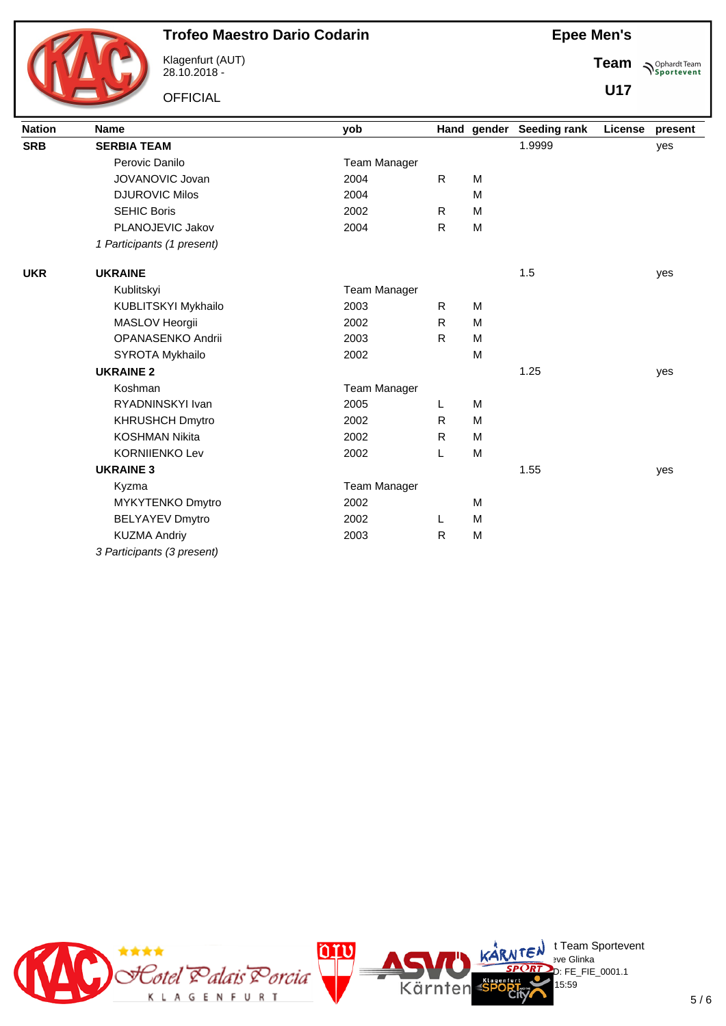

Klagenfurt (AUT) 28.10.2018 -

**OFFICIAL** 

**Epee Men's**

**Team Sportevent** 

**U17**

| <b>Nation</b> | <b>Name</b>                | yob                 |              | Hand gender | <b>Seeding rank</b> | License | present |
|---------------|----------------------------|---------------------|--------------|-------------|---------------------|---------|---------|
| <b>SRB</b>    | <b>SERBIA TEAM</b>         |                     |              |             | 1.9999              |         | yes     |
|               | Perovic Danilo             | <b>Team Manager</b> |              |             |                     |         |         |
|               | JOVANOVIC Jovan            | 2004                | $\mathsf{R}$ | M           |                     |         |         |
|               | <b>DJUROVIC Milos</b>      | 2004                |              | M           |                     |         |         |
|               | <b>SEHIC Boris</b>         | 2002                | R.           | M           |                     |         |         |
|               | PLANOJEVIC Jakov           | 2004                | R            | M           |                     |         |         |
|               | 1 Participants (1 present) |                     |              |             |                     |         |         |
| <b>UKR</b>    | <b>UKRAINE</b>             |                     |              |             | 1.5                 |         | yes     |
|               | Kublitskyi                 | <b>Team Manager</b> |              |             |                     |         |         |
|               | KUBLITSKYI Mykhailo        | 2003                | R            | M           |                     |         |         |
|               | MASLOV Heorgii             | 2002                | R.           | M           |                     |         |         |
|               | OPANASENKO Andrii          | 2003                | R            | M           |                     |         |         |
|               | SYROTA Mykhailo            | 2002                |              | M           |                     |         |         |
|               | <b>UKRAINE 2</b>           |                     |              |             | 1.25                |         | yes     |
|               | Koshman                    | <b>Team Manager</b> |              |             |                     |         |         |
|               | RYADNINSKYI Ivan           | 2005                | L            | M           |                     |         |         |
|               | <b>KHRUSHCH Dmytro</b>     | 2002                | R.           | M           |                     |         |         |
|               | <b>KOSHMAN Nikita</b>      | 2002                | R.           | M           |                     |         |         |
|               | <b>KORNIIENKO Lev</b>      | 2002                | L            | M           |                     |         |         |
|               | <b>UKRAINE 3</b>           |                     |              |             | 1.55                |         | yes     |
|               | Kyzma                      | <b>Team Manager</b> |              |             |                     |         |         |
|               | MYKYTENKO Dmytro           | 2002                |              | M           |                     |         |         |
|               | <b>BELYAYEV Dmytro</b>     | 2002                | L            | M           |                     |         |         |
|               | <b>KUZMA Andriy</b>        | 2003                | R            | M           |                     |         |         |
|               | 3 Participants (3 present) |                     |              |             |                     |         |         |

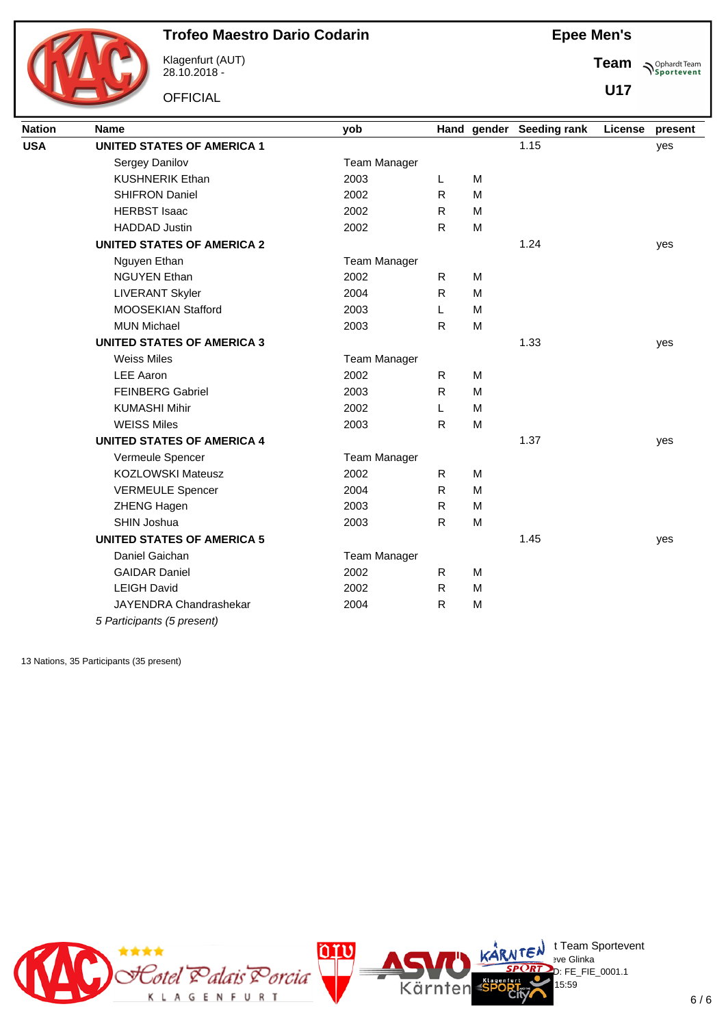

Klagenfurt (AUT) 28.10.2018 -

**OFFICIAL** 

**Epee Men's**

**Team Sportevent** 

**U17**

| <b>Nation</b> | <b>Name</b>                       | yob                 |              | Hand gender | <b>Seeding rank</b> | License | present |
|---------------|-----------------------------------|---------------------|--------------|-------------|---------------------|---------|---------|
| <b>USA</b>    | <b>UNITED STATES OF AMERICA 1</b> |                     |              |             | 1.15                |         | yes     |
|               | Sergey Danilov                    | <b>Team Manager</b> |              |             |                     |         |         |
|               | <b>KUSHNERIK Ethan</b>            | 2003                | L            | M           |                     |         |         |
|               | <b>SHIFRON Daniel</b>             | 2002                | $\mathsf{R}$ | M           |                     |         |         |
|               | <b>HERBST Isaac</b>               | 2002                | ${\sf R}$    | M           |                     |         |         |
|               | <b>HADDAD Justin</b>              | 2002                | $\mathsf{R}$ | M           |                     |         |         |
|               | <b>UNITED STATES OF AMERICA 2</b> |                     |              |             | 1.24                |         | yes     |
|               | Nguyen Ethan                      | <b>Team Manager</b> |              |             |                     |         |         |
|               | <b>NGUYEN Ethan</b>               | 2002                | $\mathsf{R}$ | M           |                     |         |         |
|               | <b>LIVERANT Skyler</b>            | 2004                | R            | M           |                     |         |         |
|               | MOOSEKIAN Stafford                | 2003                | L            | M           |                     |         |         |
|               | <b>MUN Michael</b>                | 2003                | $\mathsf{R}$ | M           |                     |         |         |
|               | <b>UNITED STATES OF AMERICA 3</b> |                     |              |             | 1.33                |         | yes     |
|               | <b>Weiss Miles</b>                | <b>Team Manager</b> |              |             |                     |         |         |
|               | <b>LEE Aaron</b>                  | 2002                | R.           | M           |                     |         |         |
|               | <b>FEINBERG Gabriel</b>           | 2003                | $\mathsf{R}$ | M           |                     |         |         |
|               | <b>KUMASHI Mihir</b>              | 2002                | L            | M           |                     |         |         |
|               | <b>WEISS Miles</b>                | 2003                | $\mathsf{R}$ | M           |                     |         |         |
|               | <b>UNITED STATES OF AMERICA 4</b> |                     |              |             | 1.37                |         | yes     |
|               | Vermeule Spencer                  | <b>Team Manager</b> |              |             |                     |         |         |
|               | <b>KOZLOWSKI Mateusz</b>          | 2002                | R.           | M           |                     |         |         |
|               | <b>VERMEULE Spencer</b>           | 2004                | $\mathsf{R}$ | M           |                     |         |         |
|               | ZHENG Hagen                       | 2003                | $\mathsf{R}$ | M           |                     |         |         |
|               | SHIN Joshua                       | 2003                | ${\sf R}$    | M           |                     |         |         |
|               | <b>UNITED STATES OF AMERICA 5</b> |                     |              |             | 1.45                |         | yes     |
|               | Daniel Gaichan                    | <b>Team Manager</b> |              |             |                     |         |         |
|               | <b>GAIDAR Daniel</b>              | 2002                | R.           | M           |                     |         |         |
|               | <b>LEIGH David</b>                | 2002                | R            | M           |                     |         |         |
|               | JAYENDRA Chandrashekar            | 2004                | $\mathsf{R}$ | M           |                     |         |         |
|               | 5 Participants (5 present)        |                     |              |             |                     |         |         |

13 Nations, 35 Participants (35 present)

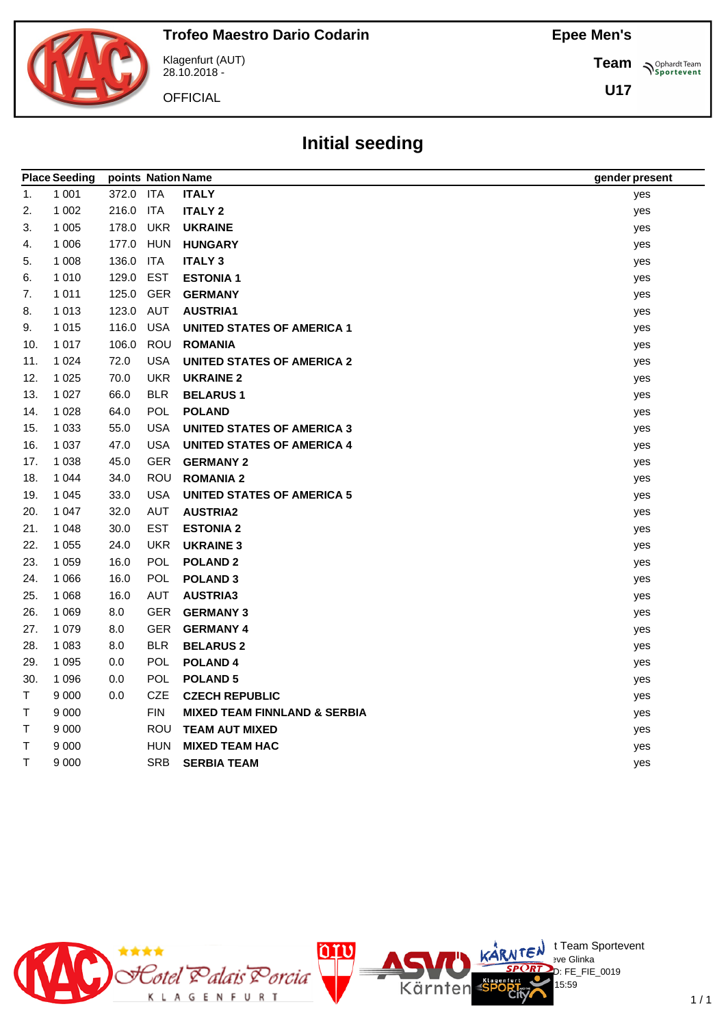**Team**

**U17**

**Sportevent** 



Klagenfurt (AUT) 28.10.2018 -

**OFFICIAL** 

# **Initial seeding**

|        | <b>Place Seeding</b> | points Nation Name |            |                                         | gender present |
|--------|----------------------|--------------------|------------|-----------------------------------------|----------------|
| 1.     | 1 0 0 1              | 372.0 ITA          |            | <b>ITALY</b>                            | yes            |
| 2.     | 1 0 0 2              | 216.0              | <b>ITA</b> | <b>ITALY 2</b>                          | yes            |
| 3.     | 1 0 0 5              | 178.0              | <b>UKR</b> | <b>UKRAINE</b>                          | yes            |
| 4.     | 1 0 0 6              | 177.0              | <b>HUN</b> | <b>HUNGARY</b>                          | yes            |
| 5.     | 1 0 0 8              | 136.0              | <b>ITA</b> | <b>ITALY 3</b>                          | yes            |
| 6.     | 1 0 1 0              | 129.0              | <b>EST</b> | <b>ESTONIA1</b>                         | yes            |
| 7.     | 1 0 1 1              | 125.0              | <b>GER</b> | <b>GERMANY</b>                          | yes            |
| 8.     | 1013                 | 123.0              | AUT        | <b>AUSTRIA1</b>                         | yes            |
| 9.     | 1 0 1 5              | 116.0              | <b>USA</b> | <b>UNITED STATES OF AMERICA 1</b>       | yes            |
| 10.    | 1 0 1 7              | 106.0              | ROU        | <b>ROMANIA</b>                          | yes            |
| 11.    | 1 0 2 4              | 72.0               | <b>USA</b> | <b>UNITED STATES OF AMERICA 2</b>       | yes            |
| 12.    | 1 0 2 5              | 70.0               | <b>UKR</b> | <b>UKRAINE 2</b>                        | yes            |
| 13.    | 1 0 2 7              | 66.0               | <b>BLR</b> | <b>BELARUS1</b>                         | yes            |
| 14.    | 1 0 2 8              | 64.0               | <b>POL</b> | <b>POLAND</b>                           | yes            |
| 15.    | 1 0 3 3              | 55.0               | <b>USA</b> | <b>UNITED STATES OF AMERICA 3</b>       | yes            |
| 16.    | 1 0 3 7              | 47.0               | <b>USA</b> | <b>UNITED STATES OF AMERICA 4</b>       | yes            |
| 17.    | 1 0 3 8              | 45.0               | <b>GER</b> | <b>GERMANY 2</b>                        | yes            |
| 18.    | 1 0 4 4              | 34.0               | <b>ROU</b> | <b>ROMANIA 2</b>                        | yes            |
| 19.    | 1 0 4 5              | 33.0               | <b>USA</b> | <b>UNITED STATES OF AMERICA 5</b>       | yes            |
| 20.    | 1 0 4 7              | 32.0               | <b>AUT</b> | <b>AUSTRIA2</b>                         | yes            |
| 21.    | 1 0 4 8              | 30.0               | <b>EST</b> | <b>ESTONIA 2</b>                        | yes            |
| 22.    | 1 0 5 5              | 24.0               | <b>UKR</b> | <b>UKRAINE 3</b>                        | yes            |
| 23.    | 1 0 5 9              | 16.0               | <b>POL</b> | <b>POLAND 2</b>                         | yes            |
| 24.    | 1 0 6 6              | 16.0               | POL        | <b>POLAND 3</b>                         | yes            |
| 25.    | 1 0 6 8              | 16.0               | <b>AUT</b> | <b>AUSTRIA3</b>                         | yes            |
| 26.    | 1 0 6 9              | 8.0                | <b>GER</b> | <b>GERMANY 3</b>                        | yes            |
| 27.    | 1 0 7 9              | 8.0                | <b>GER</b> | <b>GERMANY 4</b>                        | yes            |
| 28.    | 1 0 8 3              | 8.0                | <b>BLR</b> | <b>BELARUS 2</b>                        | yes            |
| 29.    | 1 0 9 5              | 0.0                | <b>POL</b> | <b>POLAND4</b>                          | yes            |
| 30.    | 1 0 9 6              | 0.0                | POL        | <b>POLAND 5</b>                         | yes            |
| T      | 9 0 0 0              | 0.0                | <b>CZE</b> | <b>CZECH REPUBLIC</b>                   | yes            |
| $\top$ | 9 0 0 0              |                    | <b>FIN</b> | <b>MIXED TEAM FINNLAND &amp; SERBIA</b> | yes            |
| $\top$ | 9 0 0 0              |                    | ROU        | <b>TEAM AUT MIXED</b>                   | yes            |
| T.     | 9 0 0 0              |                    | <b>HUN</b> | <b>MIXED TEAM HAC</b>                   | yes            |
| T      | 9 0 0 0              |                    | <b>SRB</b> | <b>SERBIA TEAM</b>                      | yes            |
|        |                      |                    |            |                                         |                |

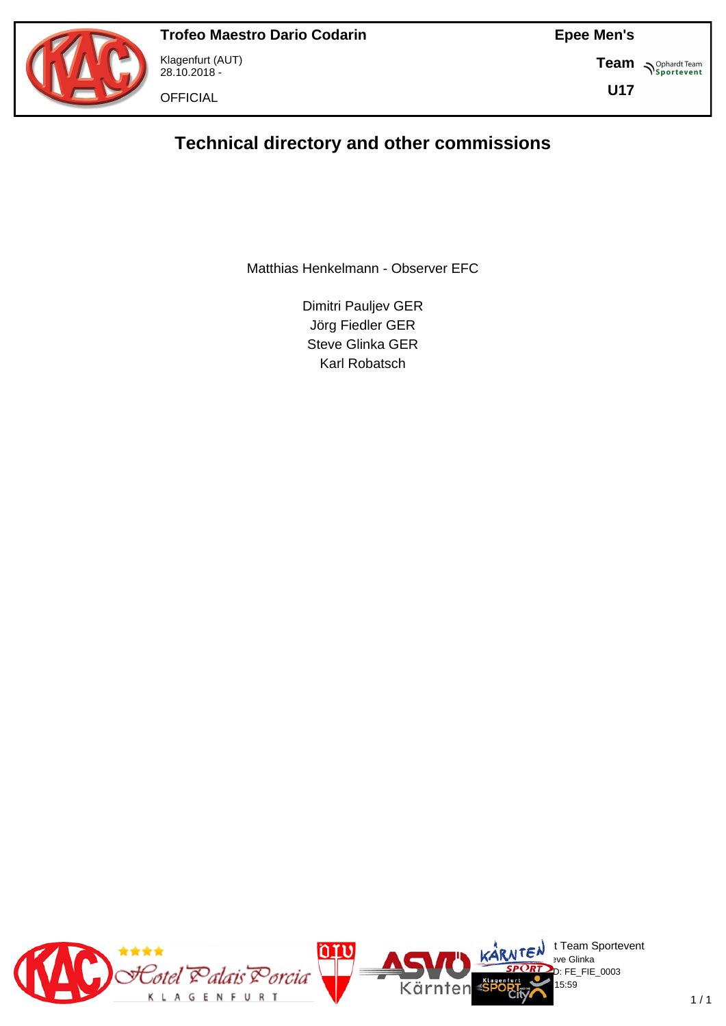

Klagenfurt (AUT) 28.10.2018 -

**OFFICIAL** 

**Epee Men's**

**Team S**<sup>Ophardt Team</sub></sup>

**U17**

# **Technical directory and other commissions**

Matthias Henkelmann - Observer EFC

Dimitri Pauljev GER Jörg Fiedler GER Steve Glinka GER Karl Robatsch

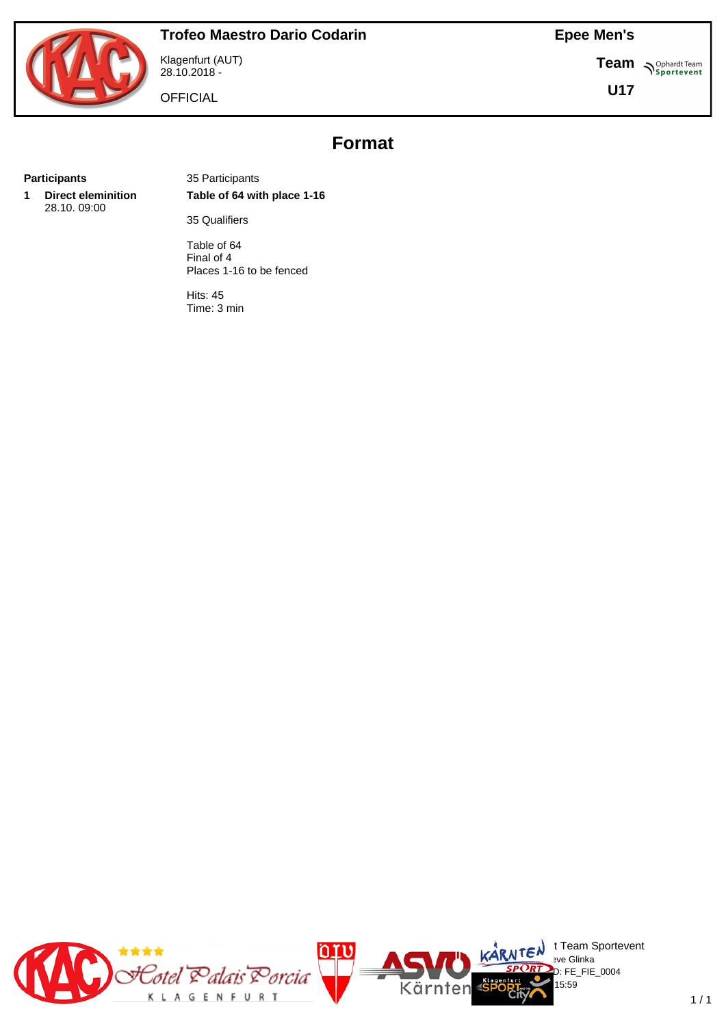**Team S**<sup>Ophardt Team</sub></sup>

**U17**



Klagenfurt (AUT) 28.10.2018 -

**OFFICIAL** 

**Format**

**1 Direct eleminition** 28.10. 09:00

**Participants** 35 Participants **Table of 64 with place 1-16**

35 Qualifiers

Table of 64 Final of 4 Places 1-16 to be fenced

Hits: 45 Time: 3 min

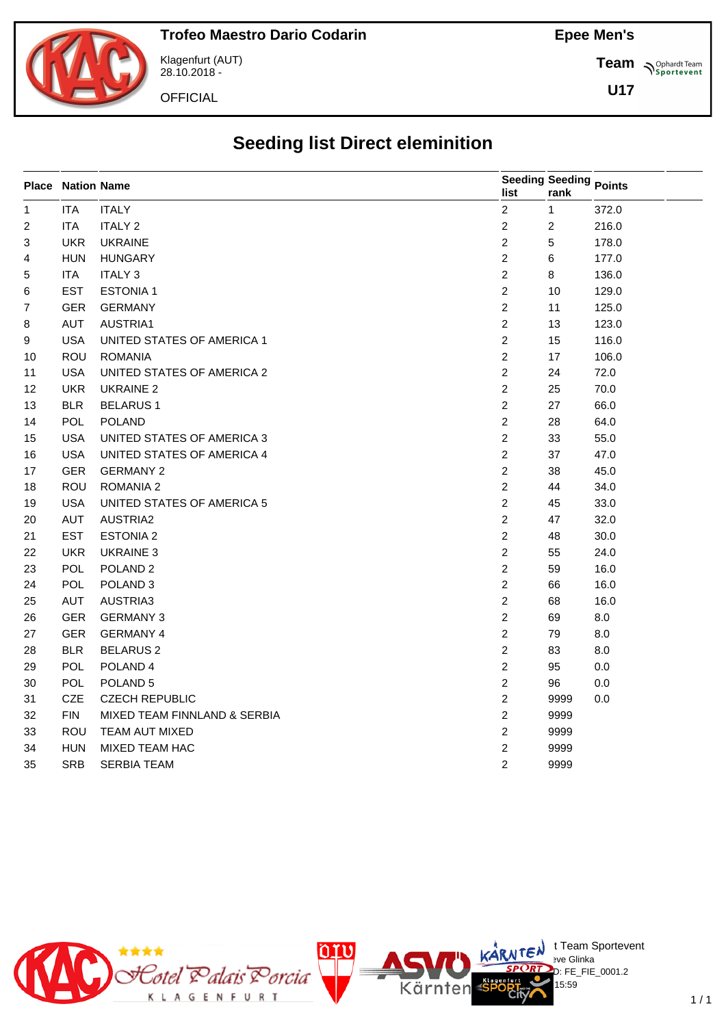

Klagenfurt (AUT) 28.10.2018 -

**OFFICIAL** 

**Team** *S<sup>Ophardt Team*<br> *S*<sup>P</sup> Sportevent</sup>

**U17**

# **Seeding list Direct eleminition**

|                 | <b>Place Nation Name</b> |                              | list                    | Seeding Seeding Points<br>rank |         |
|-----------------|--------------------------|------------------------------|-------------------------|--------------------------------|---------|
| $\mathbf{1}$    | <b>ITA</b>               | <b>ITALY</b>                 | $\overline{\mathbf{c}}$ | $\mathbf{1}$                   | 372.0   |
| $\overline{2}$  | <b>ITA</b>               | <b>ITALY 2</b>               | $\overline{\mathbf{c}}$ | $\overline{c}$                 | 216.0   |
| 3               | <b>UKR</b>               | <b>UKRAINE</b>               | $\overline{c}$          | $\sqrt{5}$                     | 178.0   |
| 4               | <b>HUN</b>               | <b>HUNGARY</b>               | $\overline{c}$          | $\,6\,$                        | 177.0   |
| 5               | <b>ITA</b>               | <b>ITALY 3</b>               | $\overline{c}$          | $\bf 8$                        | 136.0   |
| 6               | <b>EST</b>               | <b>ESTONIA1</b>              | $\overline{c}$          | 10                             | 129.0   |
| 7               | <b>GER</b>               | <b>GERMANY</b>               | $\overline{c}$          | 11                             | 125.0   |
| 8               | <b>AUT</b>               | AUSTRIA1                     | $\overline{c}$          | 13                             | 123.0   |
| 9               | <b>USA</b>               | UNITED STATES OF AMERICA 1   | $\overline{c}$          | 15                             | 116.0   |
| 10              | ROU                      | <b>ROMANIA</b>               | $\overline{c}$          | 17                             | 106.0   |
| 11              | <b>USA</b>               | UNITED STATES OF AMERICA 2   | $\overline{c}$          | 24                             | 72.0    |
| 12 <sup>2</sup> | <b>UKR</b>               | <b>UKRAINE 2</b>             | $\overline{c}$          | 25                             | 70.0    |
| 13              | <b>BLR</b>               | <b>BELARUS1</b>              | $\overline{2}$          | 27                             | 66.0    |
| 14              | <b>POL</b>               | <b>POLAND</b>                | $\overline{c}$          | 28                             | 64.0    |
| 15              | <b>USA</b>               | UNITED STATES OF AMERICA 3   | $\overline{c}$          | 33                             | 55.0    |
| 16              | <b>USA</b>               | UNITED STATES OF AMERICA 4   | $\overline{2}$          | 37                             | 47.0    |
| 17              | <b>GER</b>               | <b>GERMANY 2</b>             | $\overline{2}$          | 38                             | 45.0    |
| 18              | ROU                      | <b>ROMANIA 2</b>             | $\overline{2}$          | 44                             | 34.0    |
| 19              | <b>USA</b>               | UNITED STATES OF AMERICA 5   | $\overline{c}$          | 45                             | 33.0    |
| 20              | AUT                      | <b>AUSTRIA2</b>              | $\overline{2}$          | 47                             | 32.0    |
| 21              | <b>EST</b>               | <b>ESTONIA 2</b>             | $\overline{2}$          | 48                             | 30.0    |
| 22              | <b>UKR</b>               | <b>UKRAINE 3</b>             | $\overline{c}$          | 55                             | 24.0    |
| 23              | POL                      | POLAND <sub>2</sub>          | $\overline{c}$          | 59                             | 16.0    |
| 24              | POL                      | POLAND <sub>3</sub>          | $\overline{\mathbf{c}}$ | 66                             | 16.0    |
| 25              | <b>AUT</b>               | AUSTRIA3                     | $\overline{c}$          | 68                             | 16.0    |
| 26              | <b>GER</b>               | <b>GERMANY 3</b>             | $\overline{\mathbf{c}}$ | 69                             | 8.0     |
| 27              | <b>GER</b>               | <b>GERMANY 4</b>             | $\overline{\mathbf{c}}$ | 79                             | 8.0     |
| 28              | <b>BLR</b>               | <b>BELARUS 2</b>             | $\overline{\mathbf{c}}$ | 83                             | 8.0     |
| 29              | POL                      | POLAND <sub>4</sub>          | $\overline{\mathbf{c}}$ | 95                             | 0.0     |
| 30              | POL                      | POLAND <sub>5</sub>          | $\overline{\mathbf{c}}$ | 96                             | 0.0     |
| 31              | <b>CZE</b>               | <b>CZECH REPUBLIC</b>        | $\overline{\mathbf{c}}$ | 9999                           | $0.0\,$ |
| 32              | <b>FIN</b>               | MIXED TEAM FINNLAND & SERBIA | $\overline{\mathbf{c}}$ | 9999                           |         |
| 33              | ROU                      | TEAM AUT MIXED               | $\overline{\mathbf{c}}$ | 9999                           |         |
| 34              | <b>HUN</b>               | MIXED TEAM HAC               | 2                       | 9999                           |         |
| 35              | <b>SRB</b>               | <b>SERBIA TEAM</b>           | 2                       | 9999                           |         |



 $\bigcup_{v \in \mathcal{F}} \mathsf{Id}$  t Team Sportevent

15:59

D: FE\_FIE\_0001.2

**N'Y'License:** Bye Glinka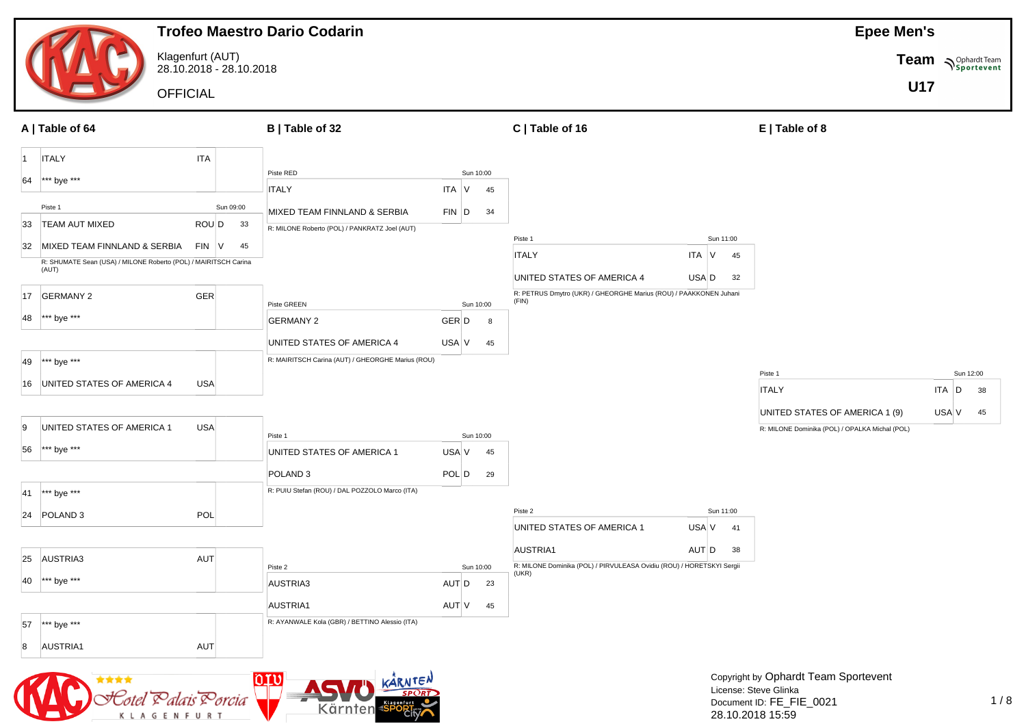

K L A G E N F U

28.10.2018 15:59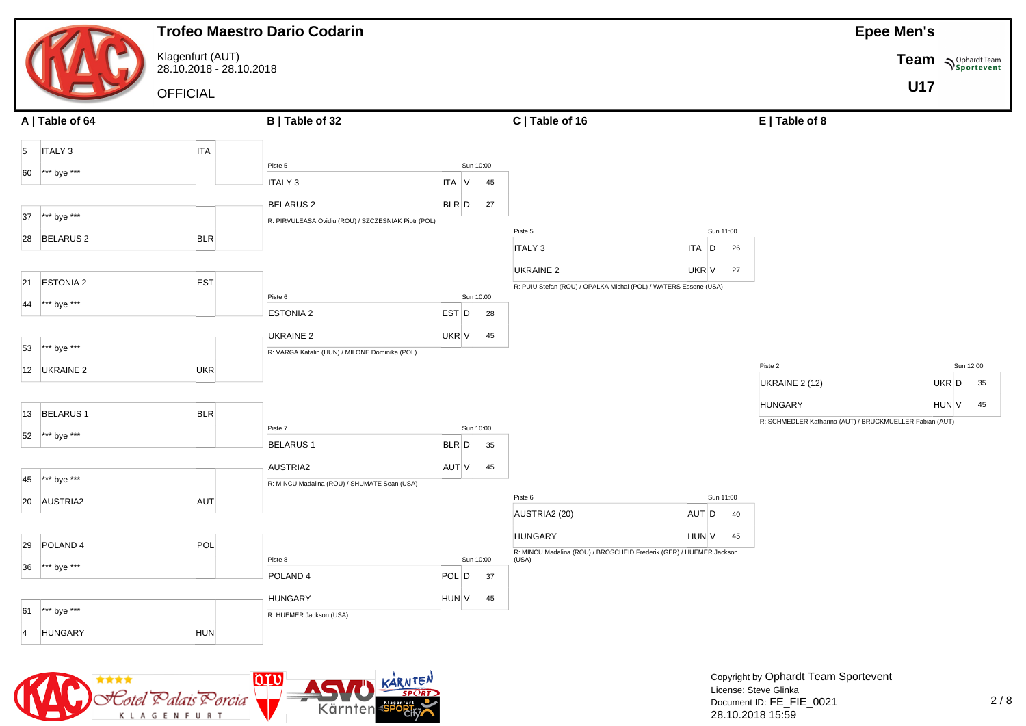



Copyright by Ophardt Team Sportevent License: Steve Glinka Document ID: FE\_FIE\_0021 28.10.2018 15:59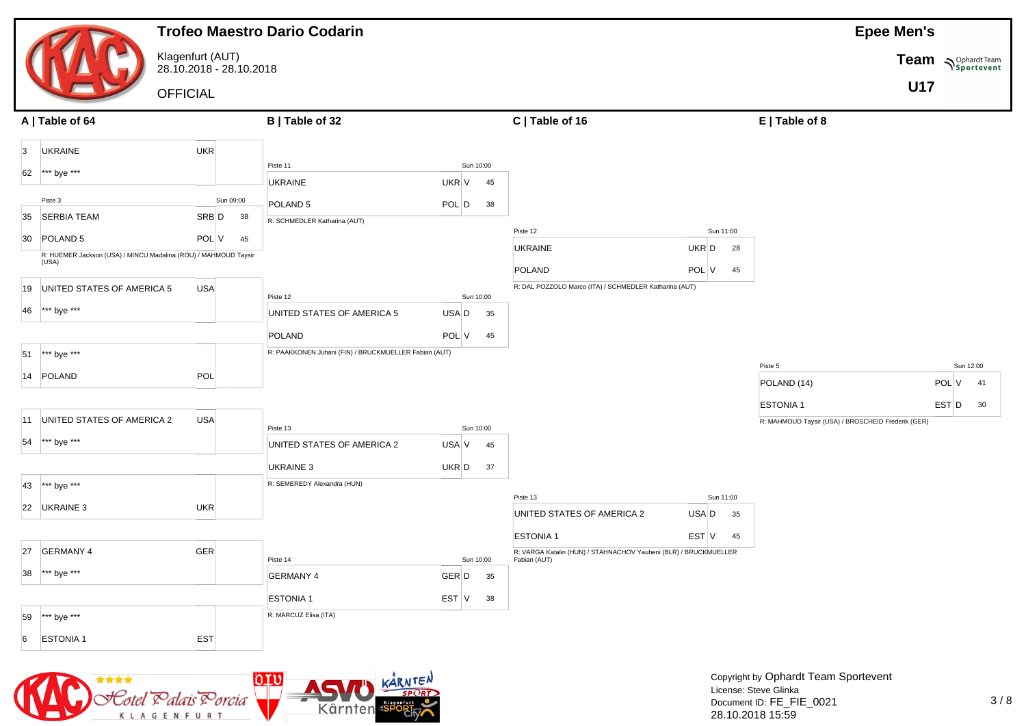|                                                                          |                                             | <b>Trofeo Maestro Dario Codarin</b>                                                                                                                                                                                                                                                                                                                                                  |           |           |    |                                                                                  |             |                                                    | <b>Epee Men's</b> |                            |
|--------------------------------------------------------------------------|---------------------------------------------|--------------------------------------------------------------------------------------------------------------------------------------------------------------------------------------------------------------------------------------------------------------------------------------------------------------------------------------------------------------------------------------|-----------|-----------|----|----------------------------------------------------------------------------------|-------------|----------------------------------------------------|-------------------|----------------------------|
|                                                                          | Klagenfurt (AUT)<br>28.10.2018 - 28.10.2018 |                                                                                                                                                                                                                                                                                                                                                                                      |           |           |    |                                                                                  |             |                                                    |                   | Team <b>Suppliers</b> Team |
|                                                                          | <b>OFFICIAL</b>                             |                                                                                                                                                                                                                                                                                                                                                                                      |           |           |    |                                                                                  |             |                                                    | <b>U17</b>        |                            |
| A   Table of 64                                                          |                                             | B   Table of 32                                                                                                                                                                                                                                                                                                                                                                      |           |           |    | C   Table of 16                                                                  |             | $E$   Table of 8                                   |                   |                            |
| <b>UKRAINE</b><br>$\vert 3 \vert$                                        | <b>UKR</b>                                  |                                                                                                                                                                                                                                                                                                                                                                                      |           |           |    |                                                                                  |             |                                                    |                   |                            |
| *** bye ***<br>62                                                        |                                             | Piste 11                                                                                                                                                                                                                                                                                                                                                                             |           | Sun 10:00 |    |                                                                                  |             |                                                    |                   |                            |
| Piste 3                                                                  | Sun 09:00                                   | <b>UKRAINE</b>                                                                                                                                                                                                                                                                                                                                                                       | UKR V     |           | 45 |                                                                                  |             |                                                    |                   |                            |
| <b>SERBIA TEAM</b><br>35                                                 | SRB D<br>38                                 | POLAND <sub>5</sub><br>R: SCHMEDLER Katharina (AUT)                                                                                                                                                                                                                                                                                                                                  | $POL$ $D$ |           | 38 |                                                                                  |             |                                                    |                   |                            |
| 30 POLAND 5                                                              | POL V<br>45                                 |                                                                                                                                                                                                                                                                                                                                                                                      |           |           |    | Piste 12                                                                         | Sun 11:00   |                                                    |                   |                            |
| R: HUEMER Jackson (USA) / MINCU Madalina (ROU) / MAHMOUD Taysir<br>(USA) |                                             |                                                                                                                                                                                                                                                                                                                                                                                      |           |           |    | <b>UKRAINE</b>                                                                   | UKR D<br>28 |                                                    |                   |                            |
|                                                                          |                                             |                                                                                                                                                                                                                                                                                                                                                                                      |           |           |    | POLAND                                                                           | POL V<br>45 |                                                    |                   |                            |
| UNITED STATES OF AMERICA 5<br>19                                         | <b>USA</b>                                  | Piste 12                                                                                                                                                                                                                                                                                                                                                                             |           | Sun 10:00 |    | R: DAL POZZOLO Marco (ITA) / SCHMEDLER Katharina (AUT)                           |             |                                                    |                   |                            |
| *** bye ***<br>46                                                        |                                             | UNITED STATES OF AMERICA 5                                                                                                                                                                                                                                                                                                                                                           | USA D     |           | 35 |                                                                                  |             |                                                    |                   |                            |
|                                                                          |                                             | POLAND                                                                                                                                                                                                                                                                                                                                                                               | POL V     |           | 45 |                                                                                  |             |                                                    |                   |                            |
| *** bye ***<br>51                                                        |                                             | R: PAAKKONEN Juhani (FIN) / BRUCKMUELLER Fabian (AUT)                                                                                                                                                                                                                                                                                                                                |           |           |    |                                                                                  |             |                                                    |                   |                            |
| 14 POLAND                                                                | POL                                         |                                                                                                                                                                                                                                                                                                                                                                                      |           |           |    |                                                                                  |             | Piste 5<br>POLAND (14)                             |                   | Sun 12:00<br>POL V<br>41   |
|                                                                          |                                             |                                                                                                                                                                                                                                                                                                                                                                                      |           |           |    |                                                                                  |             | <b>ESTONIA1</b>                                    |                   | EST D<br>30                |
| UNITED STATES OF AMERICA 2<br>11                                         | <b>USA</b>                                  |                                                                                                                                                                                                                                                                                                                                                                                      |           |           |    |                                                                                  |             | R: MAHMOUD Taysir (USA) / BROSCHEID Frederik (GER) |                   |                            |
| *** bye ***<br>54                                                        |                                             | Piste 13<br>UNITED STATES OF AMERICA 2                                                                                                                                                                                                                                                                                                                                               | USA V     | Sun 10:00 | 45 |                                                                                  |             |                                                    |                   |                            |
|                                                                          |                                             |                                                                                                                                                                                                                                                                                                                                                                                      |           |           |    |                                                                                  |             |                                                    |                   |                            |
| *** bye ***                                                              |                                             | UKRAINE 3<br>R: SEMEREDY Alexandra (HUN)                                                                                                                                                                                                                                                                                                                                             | UKR D     |           | 37 |                                                                                  |             |                                                    |                   |                            |
| 43                                                                       |                                             |                                                                                                                                                                                                                                                                                                                                                                                      |           |           |    | Piste 13                                                                         | Sun 11:00   |                                                    |                   |                            |
| UKRAINE 3<br>22                                                          | UKR                                         |                                                                                                                                                                                                                                                                                                                                                                                      |           |           |    | UNITED STATES OF AMERICA 2                                                       | USA D<br>35 |                                                    |                   |                            |
|                                                                          |                                             |                                                                                                                                                                                                                                                                                                                                                                                      |           |           |    | <b>ESTONIA1</b>                                                                  | EST V<br>45 |                                                    |                   |                            |
| 27<br><b>GERMANY 4</b>                                                   | <b>GER</b>                                  | Piste 14                                                                                                                                                                                                                                                                                                                                                                             |           | Sun 10:00 |    | R: VARGA Katalin (HUN) / STAHNACHOV Yauheni (BLR) / BRUCKMUELLER<br>Fabian (AUT) |             |                                                    |                   |                            |
| *** bye ***<br>38                                                        |                                             | <b>GERMANY 4</b>                                                                                                                                                                                                                                                                                                                                                                     | GER D     |           | 35 |                                                                                  |             |                                                    |                   |                            |
|                                                                          |                                             | <b>ESTONIA1</b>                                                                                                                                                                                                                                                                                                                                                                      |           | EST V 38  |    |                                                                                  |             |                                                    |                   |                            |
| *** bye ***<br>59                                                        |                                             | R: MARCUZ Elisa (ITA)                                                                                                                                                                                                                                                                                                                                                                |           |           |    |                                                                                  |             |                                                    |                   |                            |
| <b>ESTONIA1</b><br>6                                                     | EST                                         |                                                                                                                                                                                                                                                                                                                                                                                      |           |           |    |                                                                                  |             |                                                    |                   |                            |
|                                                                          |                                             |                                                                                                                                                                                                                                                                                                                                                                                      |           |           |    |                                                                                  |             |                                                    |                   |                            |
| ****<br><b>TANK</b>                                                      |                                             | $\overline{O}$ $\overline{O}$ $\overline{O}$ $\overline{O}$ $\overline{O}$ $\overline{O}$ $\overline{O}$ $\overline{O}$ $\overline{O}$ $\overline{O}$ $\overline{O}$ $\overline{O}$ $\overline{O}$ $\overline{O}$ $\overline{O}$ $\overline{O}$ $\overline{O}$ $\overline{O}$ $\overline{O}$ $\overline{O}$ $\overline{O}$ $\overline{O}$ $\overline{O}$ $\overline{O}$ $\overline{$ |           |           |    |                                                                                  |             | Copyright by Ophardt Team Sportevent               |                   |                            |

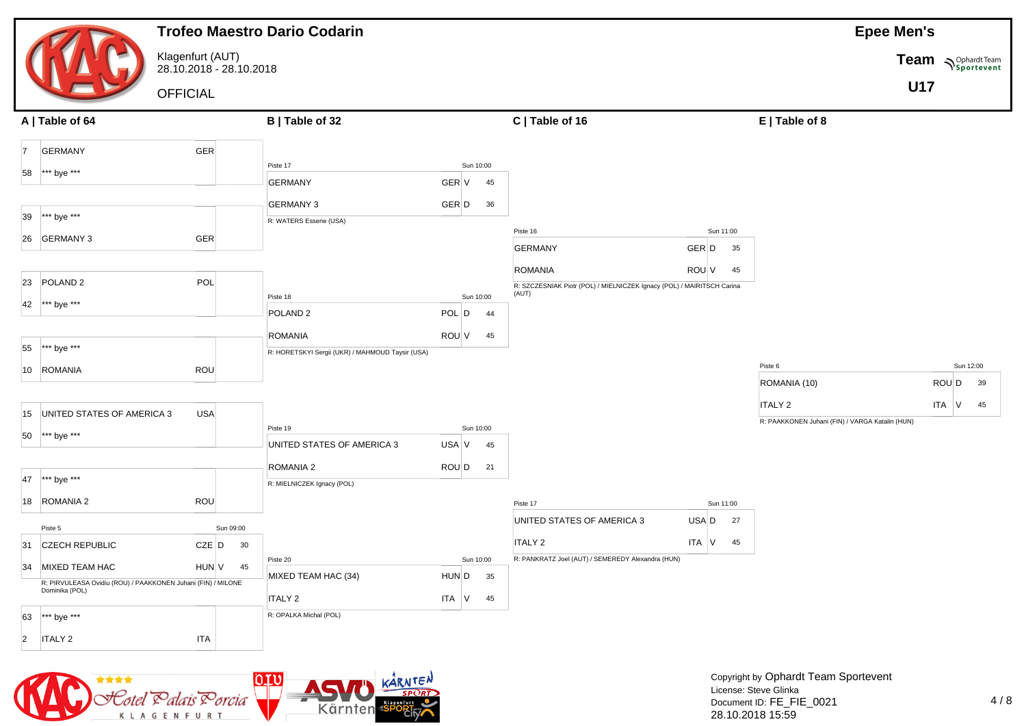|                                               |                                                              |            | <b>Trofeo Maestro Dario Codarin</b>              |            |           |                                                                        |             |                                                            | <b>Epee Men's</b> |                    |
|-----------------------------------------------|--------------------------------------------------------------|------------|--------------------------------------------------|------------|-----------|------------------------------------------------------------------------|-------------|------------------------------------------------------------|-------------------|--------------------|
|                                               | Klagenfurt (AUT)<br>28.10.2018 - 28.10.2018                  |            |                                                  |            |           |                                                                        |             |                                                            |                   | Team Nophardt Team |
|                                               | <b>OFFICIAL</b>                                              |            |                                                  |            |           |                                                                        |             |                                                            | <b>U17</b>        |                    |
| A   Table of 64                               |                                                              |            | B   Table of 32                                  |            |           | C   Table of 16                                                        |             | E   Table of 8                                             |                   |                    |
| <b>GERMANY</b><br>17                          | <b>GER</b>                                                   |            |                                                  |            |           |                                                                        |             |                                                            |                   |                    |
| *** bye ***<br>58                             |                                                              |            | Piste 17                                         |            | Sun 10:00 |                                                                        |             |                                                            |                   |                    |
|                                               |                                                              |            | <b>GERMANY</b>                                   | GER V      | 45        |                                                                        |             |                                                            |                   |                    |
| 39                                            |                                                              |            | <b>GERMANY 3</b>                                 | GER D      | 36        |                                                                        |             |                                                            |                   |                    |
| *** bye ***                                   |                                                              |            | R: WATERS Essene (USA)                           |            |           | Piste 16                                                               | Sun 11:00   |                                                            |                   |                    |
| <b>GERMANY 3</b><br>26                        | <b>GER</b>                                                   |            |                                                  |            |           | <b>GERMANY</b>                                                         | GER D<br>35 |                                                            |                   |                    |
|                                               |                                                              |            |                                                  |            |           | <b>ROMANIA</b>                                                         | ROU V<br>45 |                                                            |                   |                    |
| POLAND <sub>2</sub><br>23                     | POL                                                          |            |                                                  |            |           | R: SZCZESNIAK Piotr (POL) / MIELNICZEK Ignacy (POL) / MAIRITSCH Carina |             |                                                            |                   |                    |
| *** bye ***<br>42                             |                                                              |            | Piste 18                                         |            | Sun 10:00 | (AUT)                                                                  |             |                                                            |                   |                    |
|                                               |                                                              |            | POLAND <sub>2</sub>                              | POL D      | 44        |                                                                        |             |                                                            |                   |                    |
|                                               |                                                              |            | <b>ROMANIA</b>                                   | ROU V      | 45        |                                                                        |             |                                                            |                   |                    |
| *** bye ***<br>55                             |                                                              |            | R: HORETSKYI Sergii (UKR) / MAHMOUD Taysir (USA) |            |           |                                                                        |             | Piste 6                                                    |                   | Sun 12:00          |
| 10 ROMANIA                                    | <b>ROU</b>                                                   |            |                                                  |            |           |                                                                        |             | ROMANIA (10)                                               |                   | ROU D<br>39        |
|                                               |                                                              |            |                                                  |            |           |                                                                        |             |                                                            |                   |                    |
| UNITED STATES OF AMERICA 3<br>15              | USA                                                          |            |                                                  |            |           |                                                                        |             | ITALY 2<br>R: PAAKKONEN Juhani (FIN) / VARGA Katalin (HUN) |                   | ITA V<br>45        |
| *** bye ***<br>50                             |                                                              |            | Piste 19                                         |            | Sun 10:00 |                                                                        |             |                                                            |                   |                    |
|                                               |                                                              |            | UNITED STATES OF AMERICA 3                       | USA V      | 45        |                                                                        |             |                                                            |                   |                    |
|                                               |                                                              |            | ROMANIA 2                                        | ROU D      | 21        |                                                                        |             |                                                            |                   |                    |
| *** bye ***<br>47                             |                                                              |            | R: MIELNICZEK Ignacy (POL)                       |            |           |                                                                        |             |                                                            |                   |                    |
| ROMANIA 2<br>18                               | ROU                                                          |            |                                                  |            |           | Piste 17                                                               | Sun 11:00   |                                                            |                   |                    |
| Piste 5                                       |                                                              | Sun 09:00  |                                                  |            |           | UNITED STATES OF AMERICA 3                                             | USA D<br>27 |                                                            |                   |                    |
| <b>CZECH REPUBLIC</b><br>31                   | $CZE$ $D$                                                    | 30         |                                                  |            |           | <b>ITALY 2</b>                                                         | ITA V<br>45 |                                                            |                   |                    |
| 34 MIXED TEAM HAC                             |                                                              | $HUN$ V 45 | Piste 20                                         |            | Sun 10:00 | R: PANKRATZ Joel (AUT) / SEMEREDY Alexandra (HUN)                      |             |                                                            |                   |                    |
| Dominika (POL)                                | R: PIRVULEASA Ovidiu (ROU) / PAAKKONEN Juhani (FIN) / MILONE |            | MIXED TEAM HAC (34)                              | $HUN$ D 35 |           |                                                                        |             |                                                            |                   |                    |
|                                               |                                                              |            | <b>ITALY 2</b>                                   | ITA $V$ 45 |           |                                                                        |             |                                                            |                   |                    |
| $\star\star\star$ bye $\star\star\star$<br>63 |                                                              |            | R: OPALKA Michal (POL)                           |            |           |                                                                        |             |                                                            |                   |                    |
| <b>ITALY 2</b><br>$ 2\rangle$                 | <b>ITA</b>                                                   |            |                                                  |            |           |                                                                        |             |                                                            |                   |                    |

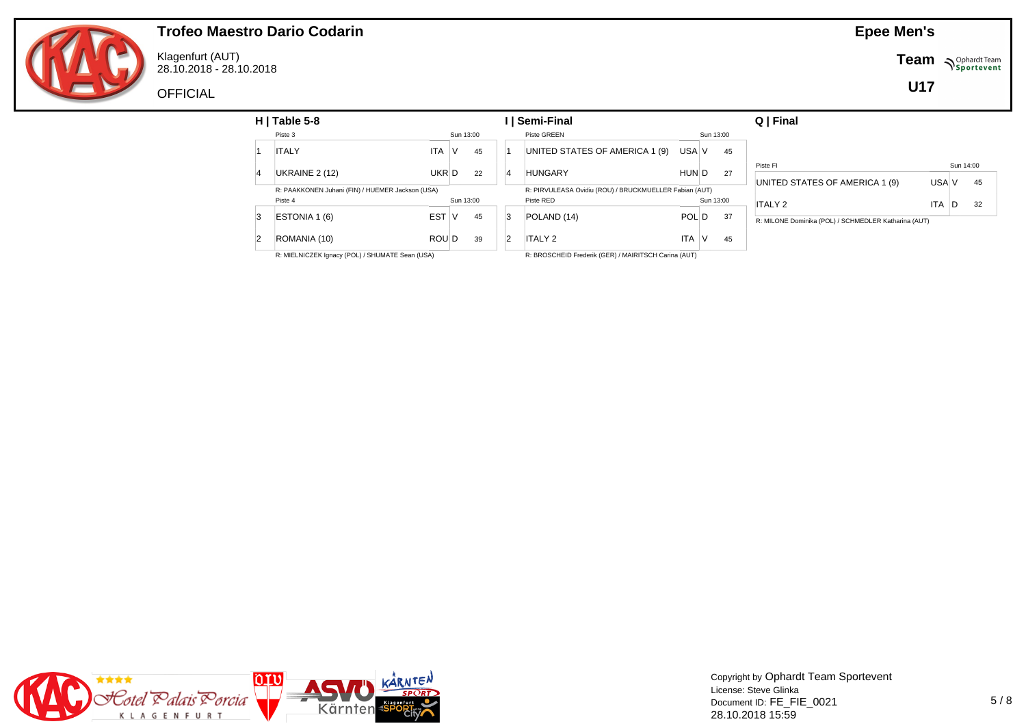

Klagenfurt (AUT) 28.10.2018 - 28.10.2018

**OFFICIAL** 

**Team**  $\sum_{\text{Sportevent}}$ 

**U17**

| $H$   Table 5-8                                  |            |           |    |                | ∣ I Semi-Final                                         |              |           |    | Q   Final                                            |            |           |    |
|--------------------------------------------------|------------|-----------|----|----------------|--------------------------------------------------------|--------------|-----------|----|------------------------------------------------------|------------|-----------|----|
| Piste 3                                          |            | Sun 13:00 |    |                | Piste GREEN                                            |              | Sun 13:00 |    |                                                      |            |           |    |
| <b>ITALY</b>                                     | <b>ITA</b> | V         | 45 |                | UNITED STATES OF AMERICA 1 (9)                         | USA V        |           | 45 |                                                      |            |           |    |
|                                                  |            |           |    |                |                                                        |              |           |    | Piste FI                                             |            | Sun 14:00 |    |
| UKRAINE 2 (12)                                   | UKR D      |           | 22 | $\overline{4}$ | <b>HUNGARY</b>                                         | HUN D        |           | 27 | UNITED STATES OF AMERICA 1 (9)                       | USA V      |           | 45 |
| R: PAAKKONEN Juhani (FIN) / HUEMER Jackson (USA) |            |           |    |                | R: PIRVULEASA Ovidiu (ROU) / BRUCKMUELLER Fabian (AUT) |              |           |    |                                                      |            |           |    |
| Piste 4                                          |            | Sun 13:00 |    |                | Piste RED                                              |              | Sun 13:00 |    | <b>ITALY 2</b>                                       | <b>ITA</b> | D         | 32 |
| ESTONIA 1 (6)                                    | <b>EST</b> | 1V        | 45 | 3              | POLAND (14)                                            | <b>POLID</b> |           | 37 | R: MILONE Dominika (POL) / SCHMEDLER Katharina (AUT) |            |           |    |
| ROMANIA (10)                                     | ROU D      |           | 39 | $\overline{2}$ | <b>ITALY 2</b>                                         | <b>ITA</b>   |           | 45 |                                                      |            |           |    |
| R: MIELNICZEK Ignacy (POL) / SHUMATE Sean (USA)  |            |           |    |                | R: BROSCHEID Frederik (GER) / MAIRITSCH Carina (AUT)   |              |           |    |                                                      |            |           |    |



Copyright by Ophardt Team Sportevent License: Steve Glinka Document ID: FE\_FIE\_0021 28.10.2018 15:59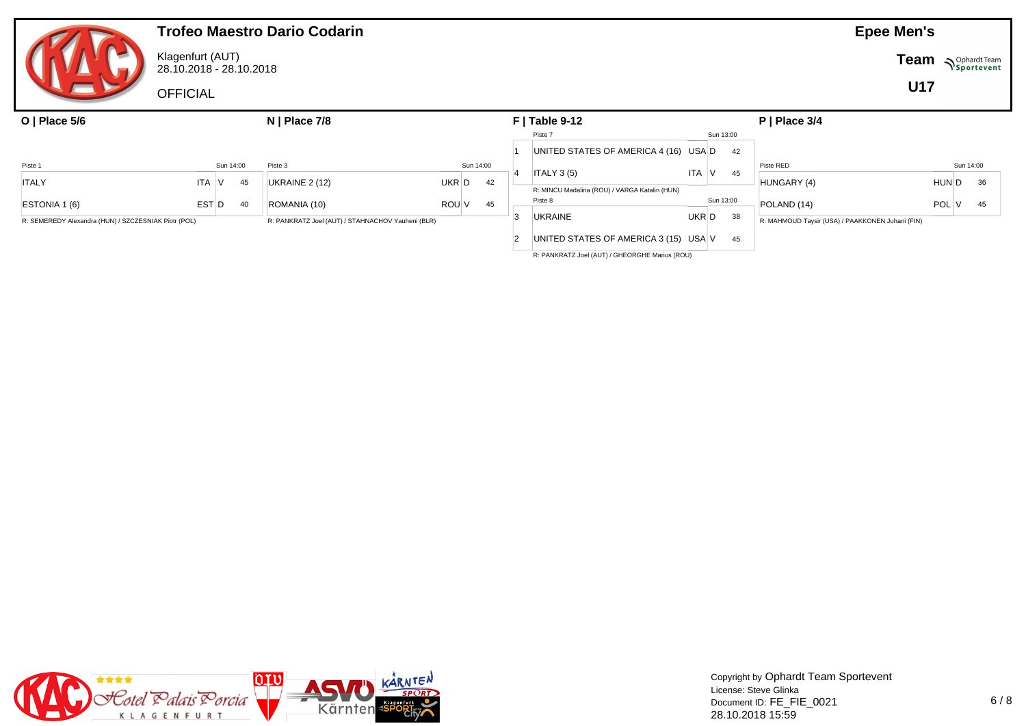|                                                      |                                             |           | <b>Trofeo Maestro Dario Codarin</b>               |       |           |    |                                                          |            |           |                                                  | <b>Epee Men's</b> |            |
|------------------------------------------------------|---------------------------------------------|-----------|---------------------------------------------------|-------|-----------|----|----------------------------------------------------------|------------|-----------|--------------------------------------------------|-------------------|------------|
|                                                      | Klagenfurt (AUT)<br>28.10.2018 - 28.10.2018 |           |                                                   |       |           |    |                                                          |            |           |                                                  | <b>Team</b>       | Sportevent |
|                                                      | <b>OFFICIAL</b>                             |           |                                                   |       |           |    |                                                          |            |           |                                                  | <b>U17</b>        |            |
| O   Place $5/6$                                      |                                             |           | $N$   Place 7/8                                   |       |           |    | $F$   Table 9-12                                         |            |           | $P$   Place 3/4                                  |                   |            |
|                                                      |                                             |           |                                                   |       |           |    | Piste 7                                                  |            | Sun 13:00 |                                                  |                   |            |
|                                                      |                                             |           |                                                   |       |           |    | UNITED STATES OF AMERICA 4 (16) USA D                    |            | 42        |                                                  |                   |            |
| Piste 1                                              |                                             | Sun 14:00 | Piste 3                                           |       | Sun 14:00 |    |                                                          |            |           | Piste RED                                        |                   | Sun 14:00  |
| <b>ITALY</b>                                         | ITA V                                       | 45        | UKRAINE $2(12)$                                   | UKR D |           | 42 | ITALY 3 <sub>(5)</sub>                                   | <b>ITA</b> | 45        | HUNGARY (4)                                      | HUN D             | 36         |
| ESTONIA 1 (6)                                        | EST D                                       | 40        | ROMANIA (10)                                      | ROU V |           | 45 | R: MINCU Madalina (ROU) / VARGA Katalin (HUN)<br>Piste 8 | Sun 13:00  |           | POLAND (14)                                      | POL               | 45         |
| R: SEMEREDY Alexandra (HUN) / SZCZESNIAK Piotr (POL) |                                             |           | R: PANKRATZ Joel (AUT) / STAHNACHOV Yauheni (BLR) |       |           |    | <b>UKRAINE</b>                                           | UKR D      | 38        | R: MAHMOUD Taysir (USA) / PAAKKONEN Juhani (FIN) |                   |            |
|                                                      |                                             |           |                                                   |       |           |    | UNITED STATES OF AMERICA 3 (15) USA V                    |            | 45        |                                                  |                   |            |

R: PANKRATZ Joel (AUT) / GHEORGHE Marius (ROU)

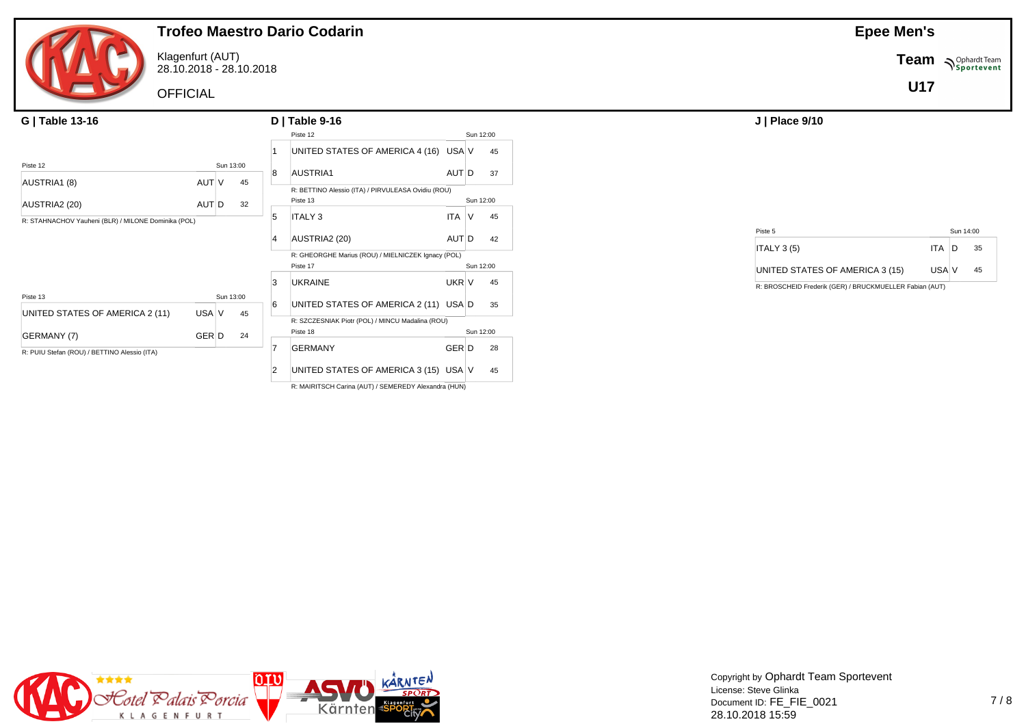

Klagenfurt (AUT) 28.10.2018 - 28.10.2018

**OFFICIAL** 

| G   Table 13-16                                     |       |           |    |               | $D$   Table 9-16                                                |            |    |           |  |  |
|-----------------------------------------------------|-------|-----------|----|---------------|-----------------------------------------------------------------|------------|----|-----------|--|--|
|                                                     |       |           |    |               | Piste 12                                                        |            |    | Sun 12:00 |  |  |
|                                                     |       |           |    |               | UNITED STATES OF AMERICA 4 (16) USA V                           |            |    | 45        |  |  |
| Piste 12                                            |       | Sun 13:00 |    | 8             | AUSTRIA1                                                        | AUT D      |    | 37        |  |  |
| AUSTRIA1 (8)                                        | AUT V |           | 45 |               | R: BETTINO Alessio (ITA) / PIRVULEASA Ovidiu (ROU)              |            |    |           |  |  |
| AUSTRIA2 (20)                                       | AUT D |           | 32 |               | Piste 13                                                        |            |    | Sun 12:00 |  |  |
| R: STAHNACHOV Yauheni (BLR) / MILONE Dominika (POL) |       |           |    |               | <b>ITALY 3</b>                                                  | <b>ITA</b> | ٧  | 45        |  |  |
|                                                     |       |           |    |               |                                                                 |            |    |           |  |  |
|                                                     |       |           |    | AUSTRIA2 (20) | AUT D                                                           |            | 42 |           |  |  |
|                                                     |       |           |    |               | R: GHEORGHE Marius (ROU) / MIELNICZEK Ignacy (POL)<br>Sun 12:00 |            |    |           |  |  |
|                                                     |       |           |    |               | Piste 17                                                        |            |    |           |  |  |
|                                                     |       |           |    | 3             | <b>UKRAINE</b>                                                  | UKR V      |    | 45        |  |  |
| Piste 13                                            |       | Sun 13:00 |    | 6             | UNITED STATES OF AMERICA 2 (11) USA D                           |            |    | 35        |  |  |
| UNITED STATES OF AMERICA 2 (11)                     | USA V |           | 45 |               |                                                                 |            |    |           |  |  |
|                                                     |       |           |    |               | R: SZCZESNIAK Piotr (POL) / MINCU Madalina (ROU)<br>Piste 18    |            |    | Sun 12:00 |  |  |
| GERMANY (7)                                         | GER D |           | 24 |               | <b>GERMANY</b>                                                  | GER D      |    | 28        |  |  |
| R: PUIU Stefan (ROU) / BETTINO Alessio (ITA)        |       |           |    |               |                                                                 |            |    |           |  |  |
|                                                     |       |           |    |               | UNITED STATES OF AMERICA 3 (15) USA V                           |            |    | 45        |  |  |

R: MAIRITSCH Carina (AUT) / SEMEREDY Alexandra (HUN)

**Epee Men's**

**Team** *NSportevent* 

**U17**

| Piste 5                         |        | Sun 14:00 |
|---------------------------------|--------|-----------|
| ITALY 3 <sub>(5)</sub>          | ITA ID | 35        |
| UNITED STATES OF AMERICA 3 (15) | USA V  | 45        |

R: BROSCHEID Frederik (GER) / BRUCKMUELLER Fabian (AUT)

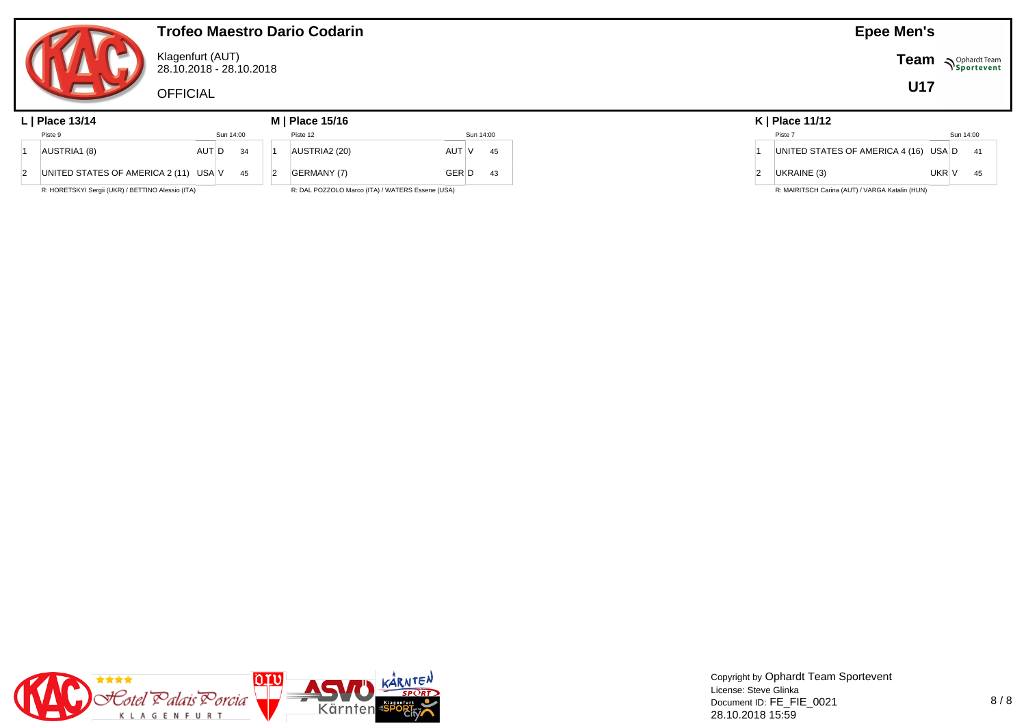

Klagenfurt (AUT) 28.10.2018 - 28.10.2018

**OFFICIAL** 

#### **L | Place 13/14 M | Place 15/16 K | Place 11/12** Piste 9 Sun 14:00 1 AUSTRIA1 (8) AUT D 34 2 UNITED STATES OF AMERICA 2 (11) USA  $V$  45 Piste 12 Sun 14:00 1 AUSTRIA2 (20) AUT V 45 2 GERMANY (7) GER D 43

R: HORETSKYI Sergii (UKR) / BETTINO Alessio (ITA)

R: DAL POZZOLO Marco (ITA) / WATERS Essene (USA)

|   | Piste 7                               |       | Sun 14:00 |    |
|---|---------------------------------------|-------|-----------|----|
| 1 | UNITED STATES OF AMERICA 4 (16) USA D |       |           | 41 |
| 2 | UKRAINE (3)                           | UKR V |           | 45 |

**Epee Men's**

**U17**

**Team Sportevent** 

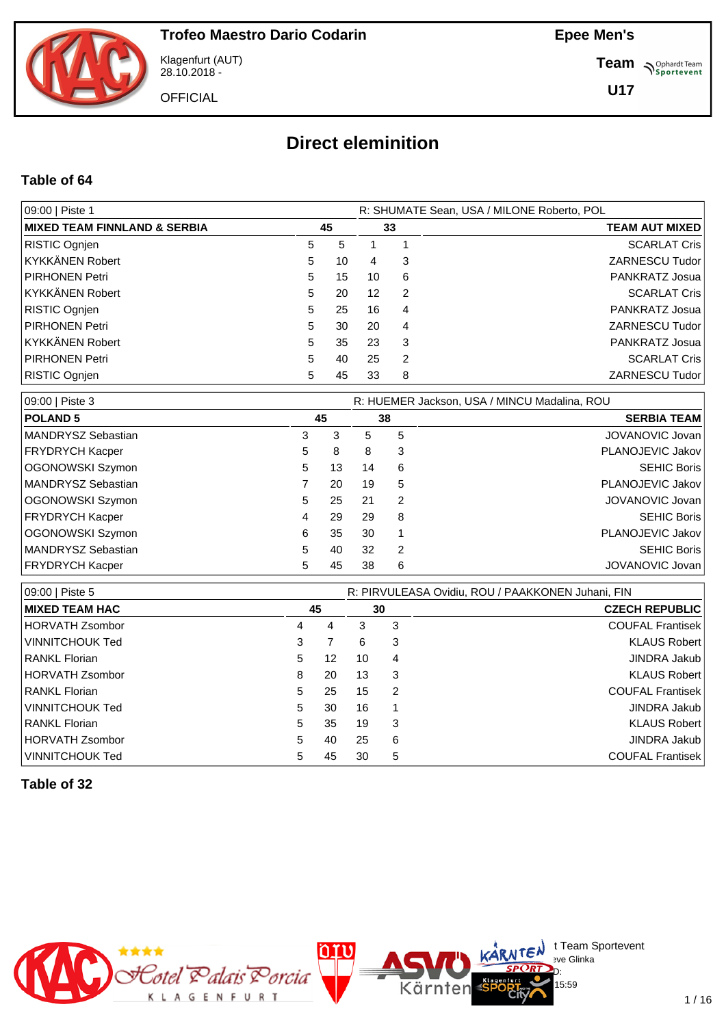

Klagenfurt (AUT) 28.10.2018 -

**OFFICIAL** 

**Epee Men's**

**Team** *S<sup>Ophardt Team*<br> *S*<sup>P</sup> Sportevent</sup>

**U17**

# **Direct eleminition**

#### **Table of 64**

| 09:00   Piste 1              |    |    | R: SHUMATE Sean, USA / MILONE Roberto, POL |    |                       |  |  |  |  |  |
|------------------------------|----|----|--------------------------------------------|----|-----------------------|--|--|--|--|--|
| MIXED TEAM FINNLAND & SERBIA | 45 |    |                                            | 33 | <b>TEAM AUT MIXED</b> |  |  |  |  |  |
| RISTIC Ognjen                | 5  | 5  |                                            |    | <b>SCARLAT Cris</b>   |  |  |  |  |  |
| KYKKÄNEN Robert              | 5  | 10 | 4                                          | 3  | ZARNESCU Tudor        |  |  |  |  |  |
| PIRHONEN Petri               | 5  | 15 | 10                                         | -6 | PANKRATZ Josua        |  |  |  |  |  |
| KYKKÄNEN Robert              | 5  | 20 | $12 \overline{ }$                          | 2  | <b>SCARLAT Cris</b>   |  |  |  |  |  |
| RISTIC Ognjen                | 5  | 25 | 16                                         | 4  | PANKRATZ Josua        |  |  |  |  |  |
| PIRHONEN Petri               | 5  | 30 | 20                                         | 4  | ZARNESCU Tudor        |  |  |  |  |  |
| KYKKÄNEN Robert              | 5  | 35 | 23                                         | 3  | PANKRATZ Josua        |  |  |  |  |  |
| PIRHONEN Petri               | 5  | 40 | 25                                         | 2  | <b>SCARLAT Cris</b>   |  |  |  |  |  |
| RISTIC Ognjen                | 5  | 45 | 33                                         | 8  | ZARNESCU Tudor        |  |  |  |  |  |

| 09:00   Piste 3    | R: HUEMER Jackson, USA / MINCU Madalina, ROU |    |    |   |                    |  |  |  |  |  |
|--------------------|----------------------------------------------|----|----|---|--------------------|--|--|--|--|--|
| <b>POLAND 5</b>    |                                              | 45 | 38 |   | <b>SERBIA TEAM</b> |  |  |  |  |  |
| MANDRYSZ Sebastian | 3                                            | 3  | 5  | 5 | JOVANOVIC Jovan    |  |  |  |  |  |
| FRYDRYCH Kacper    | 5.                                           | 8  | 8  | 3 | PLANOJEVIC Jakov   |  |  |  |  |  |
| OGONOWSKI Szymon   | 5.                                           | 13 | 14 | 6 | <b>SEHIC Boris</b> |  |  |  |  |  |
| MANDRYSZ Sebastian |                                              | 20 | 19 | 5 | PLANOJEVIC Jakov   |  |  |  |  |  |
| OGONOWSKI Szymon   | 5.                                           | 25 | 21 | 2 | JOVANOVIC Jovan    |  |  |  |  |  |
| FRYDRYCH Kacper    | 4                                            | 29 | 29 | 8 | <b>SEHIC Boris</b> |  |  |  |  |  |
| OGONOWSKI Szymon   | 6                                            | 35 | 30 |   | PLANOJEVIC Jakov   |  |  |  |  |  |
| MANDRYSZ Sebastian | 5.                                           | 40 | 32 | 2 | <b>SEHIC Boris</b> |  |  |  |  |  |
| FRYDRYCH Kacper    | 5                                            | 45 | 38 | 6 | JOVANOVIC Jovan    |  |  |  |  |  |

| 09:00   Piste 5        |    | R: PIRVULEASA Ovidiu, ROU / PAAKKONEN Juhani, FIN |    |                       |                         |  |  |  |  |  |  |
|------------------------|----|---------------------------------------------------|----|-----------------------|-------------------------|--|--|--|--|--|--|
| <b>IMIXED TEAM HAC</b> | 45 |                                                   | 30 | <b>CZECH REPUBLIC</b> |                         |  |  |  |  |  |  |
| HORVATH Zsombor        | 4  | 4                                                 | 3  | 3                     | <b>COUFAL Frantisek</b> |  |  |  |  |  |  |
| VINNITCHOUK Ted        | 3  |                                                   | 6  | 3                     | KLAUS Robert            |  |  |  |  |  |  |
| RANKL Florian          | 5  | 12                                                | 10 | 4                     | JINDRA Jakub            |  |  |  |  |  |  |
| <b>HORVATH Zsombor</b> | 8  | 20                                                | 13 | 3                     | KLAUS Robert            |  |  |  |  |  |  |
| <b>RANKL Florian</b>   | 5  | 25                                                | 15 | 2                     | <b>COUFAL Frantisek</b> |  |  |  |  |  |  |
| VINNITCHOUK Ted        | 5  | 30                                                | 16 |                       | JINDRA Jakub            |  |  |  |  |  |  |
| RANKL Florian          | 5  | 35                                                | 19 | 3                     | KLAUS Robert            |  |  |  |  |  |  |
| HORVATH Zsombor        | 5  | 40                                                | 25 | 6                     | JINDRA Jakub            |  |  |  |  |  |  |
| VINNITCHOUK Ted        | 5  | 45                                                | 30 | 5                     | <b>COUFAL Frantisek</b> |  |  |  |  |  |  |

**Table of 32**



 $\bigcup_{v \in \mathcal{F}} \mathsf{Id}$  t Team Sportevent

15:59

**N'Y'License:** Bye Glinka  $SPCRD<sub>D</sub>$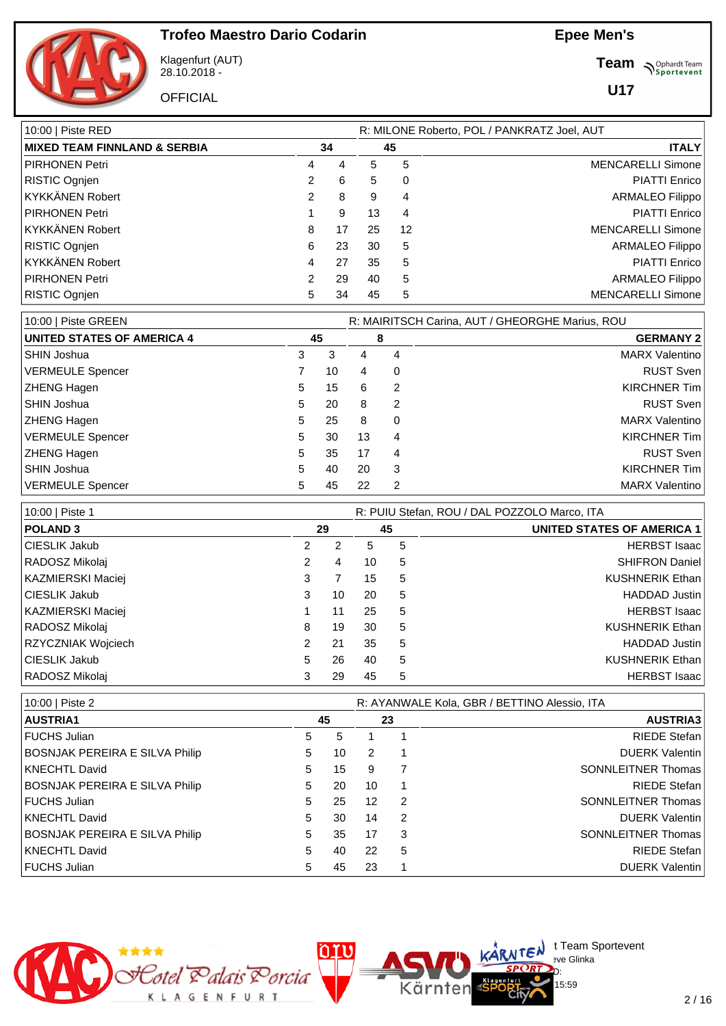

Klagenfurt (AUT) 28.10.2018 -

**OFFICIAL** 

**Team** *S<sup>Ophardt Team*<br>*S*<sup>P</sup> *Sportevent*</sup>

**U17**

| R: MILONE Roberto, POL / PANKRATZ Joel, AUT |    |    |    |                          |  |  |  |  |  |
|---------------------------------------------|----|----|----|--------------------------|--|--|--|--|--|
|                                             |    | 45 |    | <b>ITALY</b>             |  |  |  |  |  |
| 4                                           | 4  | 5  | 5  | <b>MENCARELLI Simone</b> |  |  |  |  |  |
| 2                                           | 6  | 5  | 0  | <b>PIATTI Enrico</b>     |  |  |  |  |  |
| 2                                           | 8  | 9  | 4  | <b>ARMALEO Filippo</b>   |  |  |  |  |  |
|                                             | 9  | 13 | 4  | <b>PIATTI Enrico</b>     |  |  |  |  |  |
| 8                                           | 17 | 25 | 12 | <b>MENCARELLI Simone</b> |  |  |  |  |  |
| 6                                           | 23 | 30 | 5  | <b>ARMALEO Filippo</b>   |  |  |  |  |  |
| 4                                           | 27 | 35 | 5  | <b>PIATTI Enrico</b>     |  |  |  |  |  |
| $\mathcal{P}$                               | 29 | 40 | 5  | <b>ARMALEO Filippo</b>   |  |  |  |  |  |
| 5                                           | 34 | 45 | 5  | <b>MENCARELLI Simone</b> |  |  |  |  |  |
|                                             |    | 34 |    |                          |  |  |  |  |  |

| 10:00   Piste GREEN               |    |    | R: MAIRITSCH Carina, AUT / GHEORGHE Marius, ROU |   |                       |  |  |  |  |  |
|-----------------------------------|----|----|-------------------------------------------------|---|-----------------------|--|--|--|--|--|
| <b>UNITED STATES OF AMERICA 4</b> | 45 |    |                                                 | 8 | <b>GERMANY 2</b>      |  |  |  |  |  |
| SHIN Joshua                       | 3  | 3  | 4                                               | 4 | <b>MARX Valentino</b> |  |  |  |  |  |
| VERMEULE Spencer                  |    | 10 | 4                                               | 0 | <b>RUST Sven</b>      |  |  |  |  |  |
| <b>ZHENG Hagen</b>                | 5  | 15 | 6                                               | 2 | KIRCHNER Tim          |  |  |  |  |  |
| SHIN Joshua                       | 5  | 20 | 8                                               | 2 | <b>RUST Sven</b>      |  |  |  |  |  |
| <b>ZHENG Hagen</b>                | 5  | 25 | 8                                               | 0 | <b>MARX Valentino</b> |  |  |  |  |  |
| VERMEULE Spencer                  | 5  | 30 | 13                                              | 4 | <b>KIRCHNER Tim</b>   |  |  |  |  |  |
| <b>ZHENG Hagen</b>                | 5  | 35 | 17                                              | 4 | <b>RUST Sven</b>      |  |  |  |  |  |
| SHIN Joshua                       | 5  | 40 | 20                                              | 3 | <b>KIRCHNER Tim</b>   |  |  |  |  |  |
| VERMEULE Spencer                  | 5  | 45 | 22                                              | 2 | <b>MARX Valentino</b> |  |  |  |  |  |

| 10:00   Piste 1    |    |    |    |   | R: PUIU Stefan, ROU / DAL POZZOLO Marco, ITA |  |  |
|--------------------|----|----|----|---|----------------------------------------------|--|--|
| <b>POLAND 3</b>    |    | 29 | 45 |   | <b>UNITED STATES OF AMERICA 1</b>            |  |  |
| CIESLIK Jakub      | 2  | 2  | 5  | 5 | <b>HERBST Isaac</b>                          |  |  |
| RADOSZ Mikolaj     | 2  | 4  | 10 | 5 | <b>SHIFRON Daniel</b>                        |  |  |
| KAZMIERSKI Maciej  | 3  |    | 15 | 5 | <b>KUSHNERIK Ethan</b>                       |  |  |
| CIESLIK Jakub      | 3  | 10 | 20 | 5 | <b>HADDAD Justin</b>                         |  |  |
| KAZMIERSKI Maciej  |    | 11 | 25 | 5 | <b>HERBST Isaac</b>                          |  |  |
| RADOSZ Mikolaj     | 8  | 19 | 30 | 5 | <b>KUSHNERIK Ethan</b>                       |  |  |
| RZYCZNIAK Wojciech |    | 21 | 35 | 5 | <b>HADDAD</b> Justin                         |  |  |
| CIESLIK Jakub      | 5. | 26 | 40 | 5 | <b>KUSHNERIK Ethan</b>                       |  |  |
| RADOSZ Mikolaj     |    | 29 | 45 | 5 | <b>HERBST</b> Isaac                          |  |  |

| 10:00   Piste 2                       |   |    | R: AYANWALE Kola, GBR / BETTINO Alessio, ITA |               |                           |  |  |  |  |
|---------------------------------------|---|----|----------------------------------------------|---------------|---------------------------|--|--|--|--|
| <b>AUSTRIA1</b>                       |   | 45 |                                              | 23            | <b>AUSTRIA3</b>           |  |  |  |  |
| <b>FUCHS Julian</b>                   | 5 | 5  |                                              |               | RIEDE Stefan              |  |  |  |  |
| <b>BOSNJAK PEREIRA E SILVA Philip</b> | 5 | 10 | $\mathcal{P}$                                |               | <b>DUERK Valentin</b>     |  |  |  |  |
| KNECHTL David                         | 5 | 15 | 9                                            | 7             | <b>SONNLEITNER Thomas</b> |  |  |  |  |
| <b>BOSNJAK PEREIRA E SILVA Philip</b> | 5 | 20 | 10                                           |               | RIEDE Stefan              |  |  |  |  |
| <b>FUCHS Julian</b>                   | 5 | 25 | 12                                           | $\mathcal{P}$ | SONNLEITNER Thomas        |  |  |  |  |
| KNECHTL David                         | 5 | 30 | 14                                           | $\mathcal{P}$ | <b>DUERK Valentin</b>     |  |  |  |  |
| <b>BOSNJAK PEREIRA E SILVA Philip</b> | 5 | 35 | 17                                           | 3             | <b>SONNLEITNER Thomas</b> |  |  |  |  |
| KNECHTL David                         | 5 | 40 | 22                                           | 5             | RIEDE Stefan              |  |  |  |  |
| <b>FUCHS Julian</b>                   | 5 | 45 | 23                                           |               | <b>DUERK Valentin</b>     |  |  |  |  |

Kärnten



 $\bigcup_{v \in \mathcal{F}} \mathsf{Id}$  t Team Sportevent

15:59

**N'Y'License:** Bye Glinka  $SPCRD<sub>D</sub>$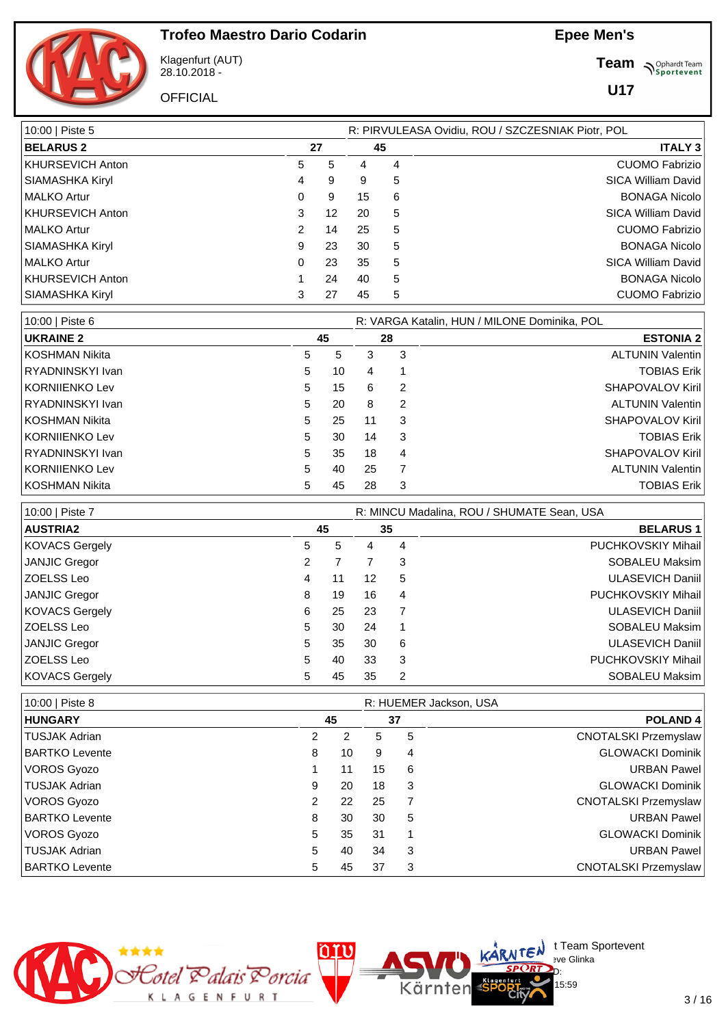



Klagenfurt (AUT) 28.10.2018 -

**OFFICIAL** 

**Team** *S<sup>Ophardt Team*<br> *S*<sup>P</sup> Sportevent</sup>

**U17**

| 10:00   Piste 5         |    |                   |    |                | R: PIRVULEASA Ovidiu, ROU / SZCZESNIAK Piotr, POL |
|-------------------------|----|-------------------|----|----------------|---------------------------------------------------|
| <b>BELARUS 2</b>        | 27 | 45                |    | <b>ITALY 3</b> |                                                   |
| <b>KHURSEVICH Anton</b> | 5  | 5                 | 4  | 4              | <b>CUOMO Fabrizio</b>                             |
| SIAMASHKA Kiryl         | 4  | 9                 | 9  | 5              | <b>SICA William David</b>                         |
| <b>MALKO Artur</b>      | 0  | 9                 | 15 | 6              | <b>BONAGA Nicolo</b>                              |
| KHURSEVICH Anton        | 3  | $12 \overline{ }$ | 20 | 5              | <b>SICA William David</b>                         |
| <b>MALKO Artur</b>      | 2  | 14                | 25 | 5              | <b>CUOMO Fabrizio</b>                             |
| SIAMASHKA Kiryl         | 9  | 23                | 30 | 5              | <b>BONAGA Nicolo</b>                              |
| <b>MALKO Artur</b>      | 0  | 23                | 35 | 5              | <b>SICA William David</b>                         |
| <b>KHURSEVICH Anton</b> |    | 24                | 40 | 5              | <b>BONAGA Nicolo</b>                              |
| SIAMASHKA Kiryl         | 3  | 27                | 45 | 5              | <b>CUOMO Fabrizio</b>                             |

| 10:00   Piste 6  | R: VARGA Katalin, HUN / MILONE Dominika, POL |    |    |   |                         |  |  |  |  |  |  |
|------------------|----------------------------------------------|----|----|---|-------------------------|--|--|--|--|--|--|
| <b>UKRAINE 2</b> |                                              | 45 | 28 |   | <b>ESTONIA 2</b>        |  |  |  |  |  |  |
| KOSHMAN Nikita   | 5                                            | 5  | 3  | 3 | <b>ALTUNIN Valentin</b> |  |  |  |  |  |  |
| RYADNINSKYI Ivan | 5                                            | 10 | 4  |   | <b>TOBIAS Erik</b>      |  |  |  |  |  |  |
| KORNIJENKO Lev   | 5                                            | 15 | 6  | 2 | <b>SHAPOVALOV Kiril</b> |  |  |  |  |  |  |
| RYADNINSKYI Ivan | 5                                            | 20 | 8  | 2 | <b>ALTUNIN Valentin</b> |  |  |  |  |  |  |
| KOSHMAN Nikita   | 5                                            | 25 | 11 | 3 | <b>SHAPOVALOV Kiril</b> |  |  |  |  |  |  |
| KORNIIENKO Lev   | 5                                            | 30 | 14 | 3 | <b>TOBIAS Erik</b>      |  |  |  |  |  |  |
| RYADNINSKYI Ivan | 5                                            | 35 | 18 | 4 | <b>SHAPOVALOV Kiril</b> |  |  |  |  |  |  |
| KORNIIENKO Lev   | 5                                            | 40 | 25 |   | <b>ALTUNIN Valentin</b> |  |  |  |  |  |  |
| KOSHMAN Nikita   | 5                                            | 45 | 28 | 3 | <b>TOBIAS Erik</b>      |  |  |  |  |  |  |

| 10:00   Piste 7      |   | R: MINCU Madalina, ROU / SHUMATE Sean, USA |    |    |                           |  |  |  |  |  |
|----------------------|---|--------------------------------------------|----|----|---------------------------|--|--|--|--|--|
| <b>AUSTRIA2</b>      |   | 45                                         |    | 35 | <b>BELARUS1</b>           |  |  |  |  |  |
| KOVACS Gergely       | 5 | 5                                          | 4  | 4  | <b>PUCHKOVSKIY Mihail</b> |  |  |  |  |  |
| JANJIC Gregor        | 2 |                                            |    | 3  | SOBALEU Maksim            |  |  |  |  |  |
| ZOELSS Leo           | 4 | 11                                         | 12 | 5  | <b>ULASEVICH Daniil</b>   |  |  |  |  |  |
| JANJIC Gregor        | 8 | 19                                         | 16 | 4  | PUCHKOVSKIY Mihail        |  |  |  |  |  |
| KOVACS Gergely       | 6 | 25                                         | 23 |    | <b>ULASEVICH Daniil</b>   |  |  |  |  |  |
| ZOELSS Leo           | 5 | 30                                         | 24 |    | SOBALEU Maksim            |  |  |  |  |  |
| <b>JANJIC Gregor</b> | 5 | 35                                         | 30 | 6  | <b>ULASEVICH Daniil</b>   |  |  |  |  |  |
| ZOELSS Leo           | 5 | 40                                         | 33 | 3  | <b>PUCHKOVSKIY Mihail</b> |  |  |  |  |  |
| KOVACS Gergely       | 5 | 45                                         | 35 | 2  | SOBALEU Maksim            |  |  |  |  |  |

| 10:00   Piste 8            |    |    |                | R: HUEMER Jackson, USA      |
|----------------------------|----|----|----------------|-----------------------------|
| <b>HUNGARY</b>             | 45 | 37 |                | <b>POLAND4</b>              |
| TUSJAK Adrian<br>2         | 2  | 5  | 5              | <b>CNOTALSKI Przemyslaw</b> |
| BARTKO Levente<br>8        | 10 | 9  | 4              | <b>GLOWACKI Dominik</b>     |
| VOROS Gyozo                | 11 | 15 | 6              | <b>URBAN Pawel</b>          |
| TUSJAK Adrian<br>9         | 20 | 18 | 3              | <b>GLOWACKI Dominik</b>     |
| VOROS Gyozo<br>2           | 22 | 25 | $\overline{7}$ | <b>CNOTALSKI Przemyslaw</b> |
| <b>BARTKO Levente</b><br>8 | 30 | 30 | 5              | <b>URBAN Pawel</b>          |
| VOROS Gyozo<br>5           | 35 | 31 | $\mathbf 1$    | <b>GLOWACKI Dominik</b>     |
| TUSJAK Adrian<br>5         | 40 | 34 | 3              | <b>URBAN Pawel</b>          |
| <b>BARTKO Levente</b><br>5 | 45 | 37 | 3              | <b>CNOTALSKI Przemyslaw</b> |

Kärnten



 $\bigcup_{v \in \mathcal{F}} \mathsf{Id}$  t Team Sportevent

15:59

**N'Y'License:** Bye Glinka  $SPCRD<sub>D</sub>$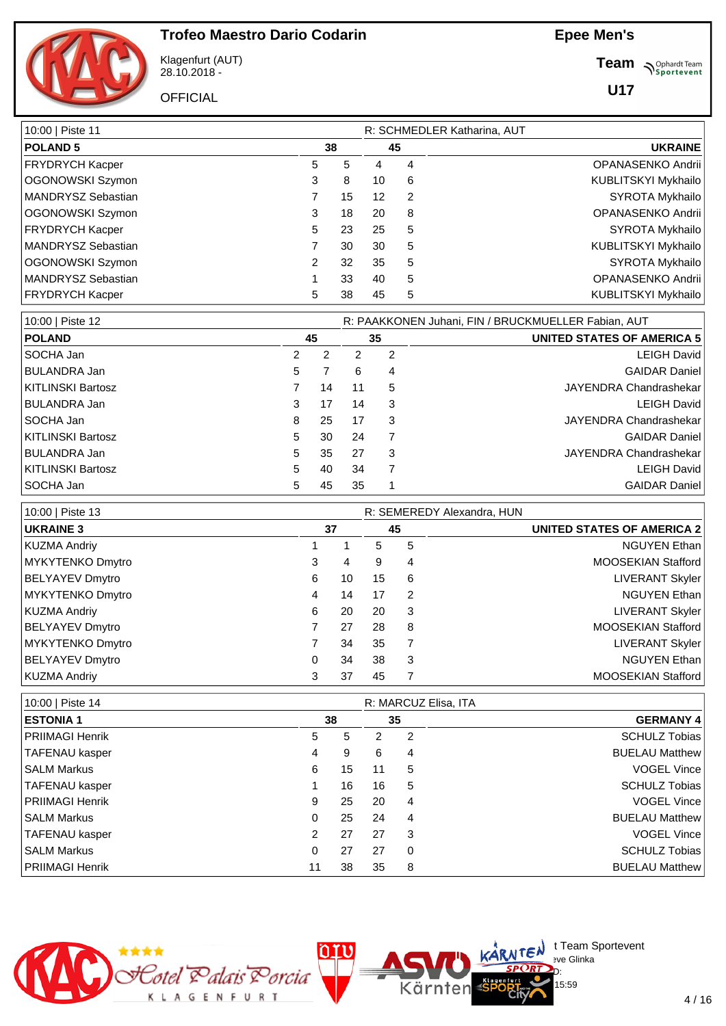**Epee Men's**



Klagenfurt (AUT) 28.10.2018 -

**OFFICIAL** 

**Team** *S<sup>Ophardt Team*<br>*S*<sup>P</sup> *Sportevent*</sup>

**U17**

| 10:00   Piste 11   |   | R: SCHMEDLER Katharina, AUT |                   |   |                            |
|--------------------|---|-----------------------------|-------------------|---|----------------------------|
| <b>POLAND 5</b>    |   | 38                          |                   |   | <b>UKRAINE</b>             |
| FRYDRYCH Kacper    | 5 | 5                           | 4                 | 4 | OPANASENKO Andrii          |
| OGONOWSKI Szymon   | 3 | 8                           | 10                | 6 | KUBLITSKYI Mykhailo        |
| MANDRYSZ Sebastian |   | 15                          | $12 \overline{ }$ | 2 | SYROTA Mykhailo            |
| OGONOWSKI Szymon   | 3 | 18                          | 20                | 8 | OPANASENKO Andrii          |
| FRYDRYCH Kacper    | 5 | 23                          | 25                | 5 | SYROTA Mykhailo            |
| MANDRYSZ Sebastian |   | 30                          | 30                | 5 | KUBLITSKYI Mykhailo        |
| OGONOWSKI Szymon   | 2 | 32                          | 35                | 5 | SYROTA Mykhailo            |
| MANDRYSZ Sebastian |   | 33                          | 40                | 5 | OPANASENKO Andrii          |
| FRYDRYCH Kacper    | 5 | 38                          | 45                | 5 | <b>KUBLITSKYI Mykhailo</b> |

| 10:00   Piste 12    |    |    |    | R: PAAKKONEN Juhani, FIN / BRUCKMUELLER Fabian, AUT |                                   |  |  |  |  |  |
|---------------------|----|----|----|-----------------------------------------------------|-----------------------------------|--|--|--|--|--|
| <b>POLAND</b>       |    | 45 |    | 35                                                  | <b>UNITED STATES OF AMERICA 5</b> |  |  |  |  |  |
| l SOCHA Jan         | 2  | 2  |    | 2                                                   | <b>LEIGH David</b>                |  |  |  |  |  |
| BULANDRA Jan        | 5. |    | 6  | 4                                                   | <b>GAIDAR Daniel</b>              |  |  |  |  |  |
| KITLINSKI Bartosz   |    | 14 | 11 | 5                                                   | JAYENDRA Chandrashekar            |  |  |  |  |  |
| <b>BULANDRA Jan</b> | 3  | 17 | 14 | 3                                                   | <b>LEIGH David</b>                |  |  |  |  |  |
| SOCHA Jan           | 8  | 25 | 17 | 3                                                   | JAYENDRA Chandrashekar            |  |  |  |  |  |
| KITLINSKI Bartosz   | 5  | 30 | 24 |                                                     | <b>GAIDAR Daniel</b>              |  |  |  |  |  |
| <b>BULANDRA Jan</b> | 5  | 35 | 27 | 3                                                   | JAYENDRA Chandrashekar            |  |  |  |  |  |
| KITLINSKI Bartosz   | 5. | 40 | 34 | 7                                                   | <b>LEIGH David</b>                |  |  |  |  |  |
| SOCHA Jan           | 5  | 45 | 35 |                                                     | <b>GAIDAR Daniel</b>              |  |  |  |  |  |

| 10:00   Piste 13 |   |    | R: SEMEREDY Alexandra, HUN |               |                                   |
|------------------|---|----|----------------------------|---------------|-----------------------------------|
| <b>UKRAINE 3</b> |   | 37 |                            |               | <b>UNITED STATES OF AMERICA 2</b> |
| KUZMA Andriy     |   |    | 5                          | 5             | <b>NGUYEN Ethan</b>               |
| MYKYTENKO Dmytro | 3 | 4  | 9                          | 4             | <b>MOOSEKIAN Stafford</b>         |
| BELYAYEV Dmytro  | 6 | 10 | 15                         | 6             | <b>LIVERANT Skyler</b>            |
| MYKYTENKO Dmytro | 4 | 14 | 17                         | $\mathcal{P}$ | <b>NGUYEN Ethan</b>               |
| KUZMA Andriy     | 6 | 20 | 20                         | 3             | <b>LIVERANT Skyler</b>            |
| BELYAYEV Dmytro  |   | 27 | 28                         | 8             | <b>MOOSEKIAN Stafford</b>         |
| MYKYTENKO Dmytro |   | 34 | 35                         | 7             | <b>LIVERANT Skyler</b>            |
| BELYAYEV Dmytro  | 0 | 34 | 38                         | 3             | <b>NGUYEN Ethan</b>               |
| KUZMA Andriy     | 3 | 37 | 45                         | 7             | <b>MOOSEKIAN Stafford</b>         |

| 10:00   Piste 14       |    |    |    | R: MARCUZ Elisa, ITA |                       |
|------------------------|----|----|----|----------------------|-----------------------|
| <b>ESTONIA1</b>        |    | 38 |    | 35                   | <b>GERMANY 4</b>      |
| <b>PRIIMAGI Henrik</b> | 5  | 5  | 2  | $\overline{2}$       | <b>SCHULZ Tobias</b>  |
| <b>TAFENAU kasper</b>  | 4  | 9  | 6  | 4                    | <b>BUELAU Matthew</b> |
| <b>SALM Markus</b>     | 6  | 15 | 11 | 5                    | VOGEL Vince           |
| TAFENAU kasper         |    | 16 | 16 | 5                    | <b>SCHULZ Tobias</b>  |
| <b>PRIIMAGI Henrik</b> | 9  | 25 | 20 | 4                    | VOGEL Vince           |
| <b>SALM Markus</b>     | 0  | 25 | 24 | 4                    | <b>BUELAU Matthew</b> |
| TAFENAU kasper         | 2  | 27 | 27 | 3                    | <b>VOGEL Vince</b>    |
| <b>SALM Markus</b>     | 0  | 27 | 27 | $\Omega$             | <b>SCHULZ Tobias</b>  |
| <b>PRIIMAGI Henrik</b> | 11 | 38 | 35 | 8                    | <b>BUELAU Matthew</b> |

Kärnten



 $\bigcup_{v \in \mathcal{F}} \mathsf{Id}$  t Team Sportevent

15:59

**N'Y'Letter** sve Glinka  $SPCRD<sub>D</sub>$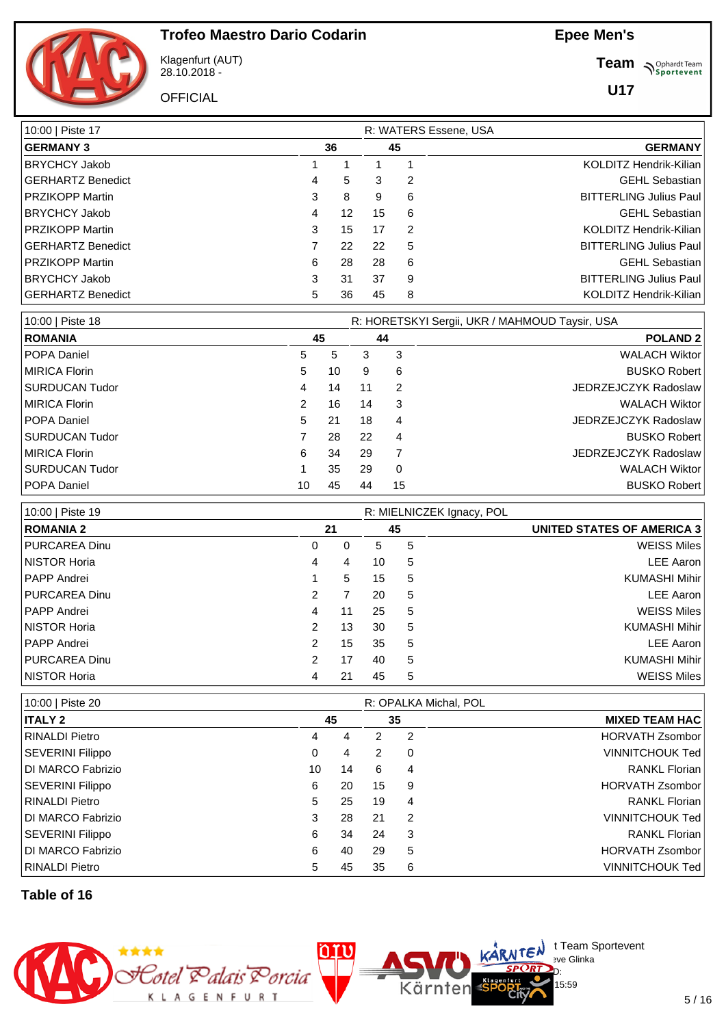**Epee Men's**



Klagenfurt (AUT) 28.10.2018 -

**OFFICIAL** 

**Team** *S<sup>Ophardt Team*<br> *S*<sup>P</sup> Sportevent</sup>

**U17**

| 10:00   Piste 17       |   |    | R: WATERS Essene, USA |   |                               |
|------------------------|---|----|-----------------------|---|-------------------------------|
| <b>GERMANY 3</b>       |   | 36 | 45                    |   | <b>GERMANY</b>                |
| <b>BRYCHCY Jakob</b>   |   |    |                       |   | KOLDITZ Hendrik-Kilian        |
| GERHARTZ Benedict      | 4 | 5. | 3                     | 2 | <b>GEHL Sebastian</b>         |
| <b>PRZIKOPP Martin</b> | 3 | 8  | 9                     | 6 | <b>BITTERLING Julius Paul</b> |
| <b>BRYCHCY Jakob</b>   | 4 | 12 | 15                    | 6 | GEHL Sebastian                |
| <b>PRZIKOPP Martin</b> | 3 | 15 | 17                    | 2 | KOLDITZ Hendrik-Kilian        |
| GERHARTZ Benedict      |   | 22 | 22                    | 5 | <b>BITTERLING Julius Paul</b> |
| <b>PRZIKOPP Martin</b> | 6 | 28 | 28                    | 6 | <b>GEHL Sebastian</b>         |
| BRYCHCY Jakob          | 3 | 31 | 37                    | 9 | <b>BITTERLING Julius Paul</b> |
| GERHARTZ Benedict      | 5 | 36 | 45                    | 8 | KOLDITZ Hendrik-Kilian        |

| 10:00   Piste 18   |               |    |    |          | R: HORETSKYI Sergii, UKR / MAHMOUD Taysir, USA |
|--------------------|---------------|----|----|----------|------------------------------------------------|
| <b>ROMANIA</b>     |               | 45 |    | 44       | <b>POLAND 2</b>                                |
| POPA Daniel        | 5.            | 5  | 3  | 3        | <b>WALACH Wiktor</b>                           |
| MIRICA Florin      | 5.            | 10 | 9  | 6        | <b>BUSKO Robert</b>                            |
| SURDUCAN Tudor     | 4             | 14 | 11 | 2        | JEDRZEJCZYK Radoslaw                           |
| MIRICA Florin      | $\mathcal{P}$ | 16 | 14 | 3        | <b>WALACH Wiktor</b>                           |
| <b>POPA Daniel</b> | 5.            | 21 | 18 | 4        | JEDRZEJCZYK Radoslaw                           |
| SURDUCAN Tudor     |               | 28 | 22 | 4        | <b>BUSKO Robert</b>                            |
| MIRICA Florin      | 6             | 34 | 29 |          | JEDRZEJCZYK Radoslaw                           |
| SURDUCAN Tudor     |               | 35 | 29 | $\Omega$ | <b>WALACH Wiktor</b>                           |
| <b>POPA Daniel</b> | 10            | 45 | 44 | 15       | <b>BUSKO Robert</b>                            |

| 10:00   Piste 19 |                |    |    | R: MIELNICZEK Ignacy, POL |                                   |
|------------------|----------------|----|----|---------------------------|-----------------------------------|
| <b>ROMANIA 2</b> | 21             |    | 45 |                           | <b>UNITED STATES OF AMERICA 3</b> |
| PURCAREA Dinu    | 0              | 0  | 5  | 5                         | <b>WEISS Miles</b>                |
| NISTOR Horia     | 4              | 4  | 10 | 5                         | <b>LEE Aaron</b>                  |
| PAPP Andrei      |                | 5  | 15 | 5                         | <b>KUMASHI Mihir</b>              |
| PURCAREA Dinu    | 2              |    | 20 | 5                         | <b>LEE Aaron</b>                  |
| PAPP Andrei      | 4              | 11 | 25 | 5                         | <b>WEISS Miles</b>                |
| NISTOR Horia     | 2              | 13 | 30 | 5                         | <b>KUMASHI Mihir</b>              |
| PAPP Andrei      | $\overline{2}$ | 15 | 35 | 5                         | LEE Aaron                         |
| PURCAREA Dinu    | $\mathcal{P}$  | 17 | 40 | 5                         | <b>KUMASHI Mihir</b>              |
| NISTOR Horia     |                | 21 | 45 | 5                         | <b>WEISS Miles</b>                |

| 10:00   Piste 20             |    | R: OPALKA Michal, POL |   |                        |
|------------------------------|----|-----------------------|---|------------------------|
| <b>ITALY 2</b><br>45         |    | 35                    |   | <b>MIXED TEAM HAC</b>  |
| RINALDI Pietro<br>4          | 4  | 2                     | 2 | <b>HORVATH Zsombor</b> |
| SEVERINI Filippo<br>0        | 4  | 2                     | 0 | <b>VINNITCHOUK Ted</b> |
| DI MARCO Fabrizio<br>10      | 14 | 6                     | 4 | <b>RANKL Florian</b>   |
| <b>SEVERINI Filippo</b><br>6 | 20 | 15                    | 9 | <b>HORVATH Zsombor</b> |
| 5<br>RINALDI Pietro          | 25 | 19                    | 4 | <b>RANKL Florian</b>   |
| DI MARCO Fabrizio<br>3       | 28 | 21                    | 2 | <b>VINNITCHOUK Ted</b> |
| SEVERINI Filippo<br>6        | 34 | 24                    | 3 | <b>RANKL Florian</b>   |
| DI MARCO Fabrizio<br>6       | 40 | 29                    | 5 | <b>HORVATH Zsombor</b> |
| RINALDI Pietro<br>5          | 45 | 35                    | 6 | <b>VINNITCHOUK Ted</b> |

#### **Table of 16**

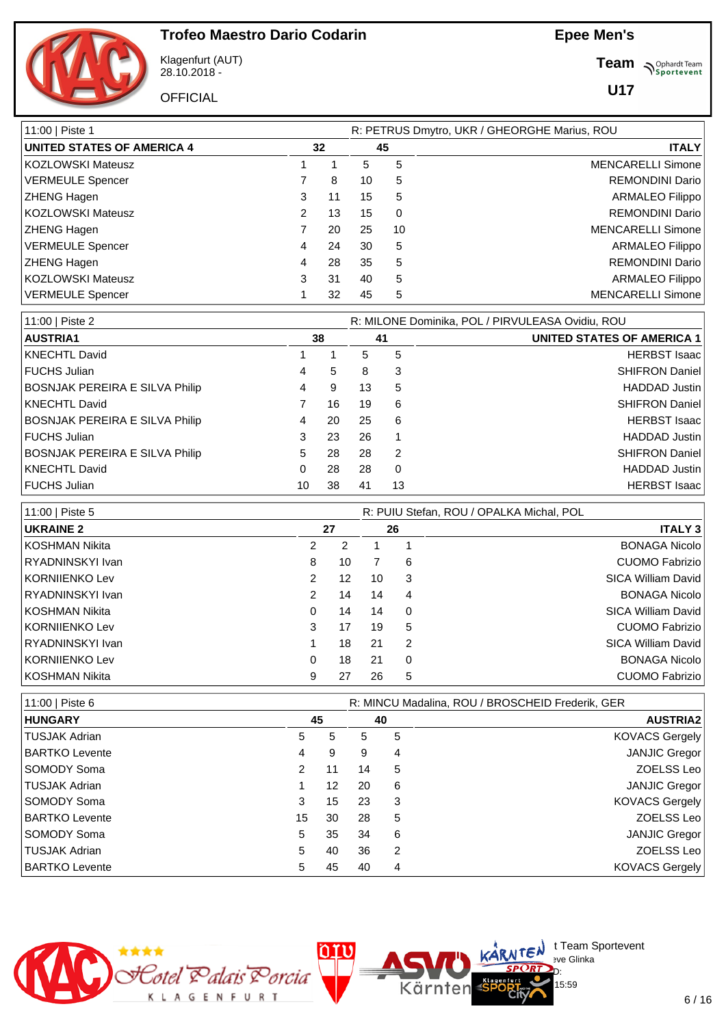

Klagenfurt (AUT) 28.10.2018 -

**OFFICIAL** 

**Team** *S<sup>Ophardt Team*<br> *S*<sup>P</sup> Sportevent</sup>

**U17**

| 11:00   Piste 1                   | R: PETRUS Dmytro, UKR / GHEORGHE Marius, ROU |    |    |          |                          |  |  |  |  |  |
|-----------------------------------|----------------------------------------------|----|----|----------|--------------------------|--|--|--|--|--|
| <b>UNITED STATES OF AMERICA 4</b> | 32                                           |    |    | 45       | <b>ITALY</b>             |  |  |  |  |  |
| KOZLOWSKI Mateusz                 |                                              |    | 5  | 5        | <b>MENCARELLI Simone</b> |  |  |  |  |  |
| VERMEULE Spencer                  |                                              | 8  | 10 | 5        | <b>REMONDINI Dario</b>   |  |  |  |  |  |
| <b>ZHENG Hagen</b>                | 3                                            | 11 | 15 | 5        | <b>ARMALEO Filippo</b>   |  |  |  |  |  |
| KOZLOWSKI Mateusz                 | 2                                            | 13 | 15 | $\Omega$ | <b>REMONDINI Dario</b>   |  |  |  |  |  |
| <b>ZHENG Hagen</b>                |                                              | 20 | 25 | 10       | <b>MENCARELLI Simone</b> |  |  |  |  |  |
| <b>VERMEULE Spencer</b>           | 4                                            | 24 | 30 | 5        | <b>ARMALEO Filippo</b>   |  |  |  |  |  |
| <b>ZHENG Hagen</b>                | 4                                            | 28 | 35 | 5        | <b>REMONDINI Dario</b>   |  |  |  |  |  |
| KOZLOWSKI Mateusz                 | 3                                            | 31 | 40 | 5        | <b>ARMALEO Filippo</b>   |  |  |  |  |  |
| <b>VERMEULE Spencer</b>           |                                              | 32 | 45 | 5        | <b>MENCARELLI Simone</b> |  |  |  |  |  |

| 11:00   Piste 2                       |    |    |     | R: MILONE Dominika, POL / PIRVULEASA Ovidiu, ROU |                                   |  |  |  |  |  |  |
|---------------------------------------|----|----|-----|--------------------------------------------------|-----------------------------------|--|--|--|--|--|--|
| <b>AUSTRIA1</b>                       |    | 38 |     | 41                                               | <b>UNITED STATES OF AMERICA 1</b> |  |  |  |  |  |  |
| KNECHTL David                         |    |    | 5   | 5                                                | <b>HERBST Isaac</b>               |  |  |  |  |  |  |
| FUCHS Julian                          | 4  | 5  | 8   | 3                                                | <b>SHIFRON Daniel</b>             |  |  |  |  |  |  |
| <b>BOSNJAK PEREIRA E SILVA Philip</b> | 4  | 9  | 13  | 5                                                | <b>HADDAD Justin</b>              |  |  |  |  |  |  |
| KNECHTL David                         |    | 16 | 19  | 6                                                | <b>SHIFRON Daniel</b>             |  |  |  |  |  |  |
| <b>BOSNJAK PEREIRA E SILVA Philip</b> | 4  | 20 | 25  | 6                                                | <b>HERBST Isaac</b>               |  |  |  |  |  |  |
| FUCHS Julian                          | 3  | 23 | 26  |                                                  | <b>HADDAD Justin</b>              |  |  |  |  |  |  |
| <b>BOSNJAK PEREIRA E SILVA Philip</b> | 5. | 28 | 28  | 2                                                | <b>SHIFRON Daniel</b>             |  |  |  |  |  |  |
| KNECHTL David                         | 0  | 28 | 28  | $\Omega$                                         | <b>HADDAD Justin</b>              |  |  |  |  |  |  |
| <b>FUCHS Julian</b>                   | 10 | 38 | -41 | 13                                               | <b>HERBST Isaac</b>               |  |  |  |  |  |  |

| 11:00   Piste 5  |                      |    | R: PUIU Stefan, ROU / OPALKA Michal, POL |                |                       |  |  |  |  |
|------------------|----------------------|----|------------------------------------------|----------------|-----------------------|--|--|--|--|
| <b>UKRAINE 2</b> |                      | 27 |                                          | 26             | <b>ITALY 3</b>        |  |  |  |  |
| l KOSHMAN Nikita | 2                    |    |                                          |                | <b>BONAGA Nicolo</b>  |  |  |  |  |
| RYADNINSKYI Ivan | 8                    | 10 |                                          | 6              | <b>CUOMO Fabrizio</b> |  |  |  |  |
| KORNIIENKO Lev   | $\mathbf{2}^{\circ}$ | 12 | 10                                       | 3              | SICA William David    |  |  |  |  |
| RYADNINSKYI Ivan | $\mathbf{2}^{\circ}$ | 14 | 14                                       | $\overline{4}$ | <b>BONAGA Nicolo</b>  |  |  |  |  |
| l KOSHMAN Nikita | 0                    | 14 | 14                                       | 0              | SICA William David    |  |  |  |  |
| KORNIIENKO Lev   | 3                    | 17 | 19                                       | 5              | <b>CUOMO Fabrizio</b> |  |  |  |  |
| RYADNINSKYI Ivan |                      | 18 | 21                                       | 2              | SICA William David    |  |  |  |  |
| KORNIIENKO Lev   | 0                    | 18 | 21                                       | 0              | <b>BONAGA Nicolo</b>  |  |  |  |  |
| l KOSHMAN Nikita | 9                    | 27 | 26                                       | 5              | <b>CUOMO Fabrizio</b> |  |  |  |  |

| 11:00   Piste 6       |    | R: MINCU Madalina, ROU / BROSCHEID Frederik, GER |    |    |                       |  |  |
|-----------------------|----|--------------------------------------------------|----|----|-----------------------|--|--|
| <b>HUNGARY</b>        |    | 45                                               |    | 40 | <b>AUSTRIA2</b>       |  |  |
| TUSJAK Adrian         | 5  | 5                                                | 5  | 5  | <b>KOVACS Gergely</b> |  |  |
| <b>BARTKO Levente</b> | 4  | 9                                                | 9  | 4  | <b>JANJIC Gregor</b>  |  |  |
| SOMODY Soma           | 2  | 11                                               | 14 | 5  | ZOELSS Leo            |  |  |
| TUSJAK Adrian         |    | 12                                               | 20 | 6  | <b>JANJIC Gregor</b>  |  |  |
| <b>SOMODY Soma</b>    | 3  | 15                                               | 23 | 3  | <b>KOVACS Gergely</b> |  |  |
| <b>BARTKO Levente</b> | 15 | 30                                               | 28 | 5  | ZOELSS Leo            |  |  |
| SOMODY Soma           | 5  | 35                                               | 34 | 6  | <b>JANJIC Gregor</b>  |  |  |
| TUSJAK Adrian         | 5  | 40                                               | 36 | 2  | ZOELSS Leo            |  |  |
| <b>BARTKO Levente</b> | 5  | 45                                               | 40 | 4  | <b>KOVACS Gergely</b> |  |  |

Kärnten



 $\bigcup_{v \in \mathcal{F}} \mathsf{Id}$  t Team Sportevent

15:59

**N'Y'Letter** sve Glinka  $SPCRD<sub>D</sub>$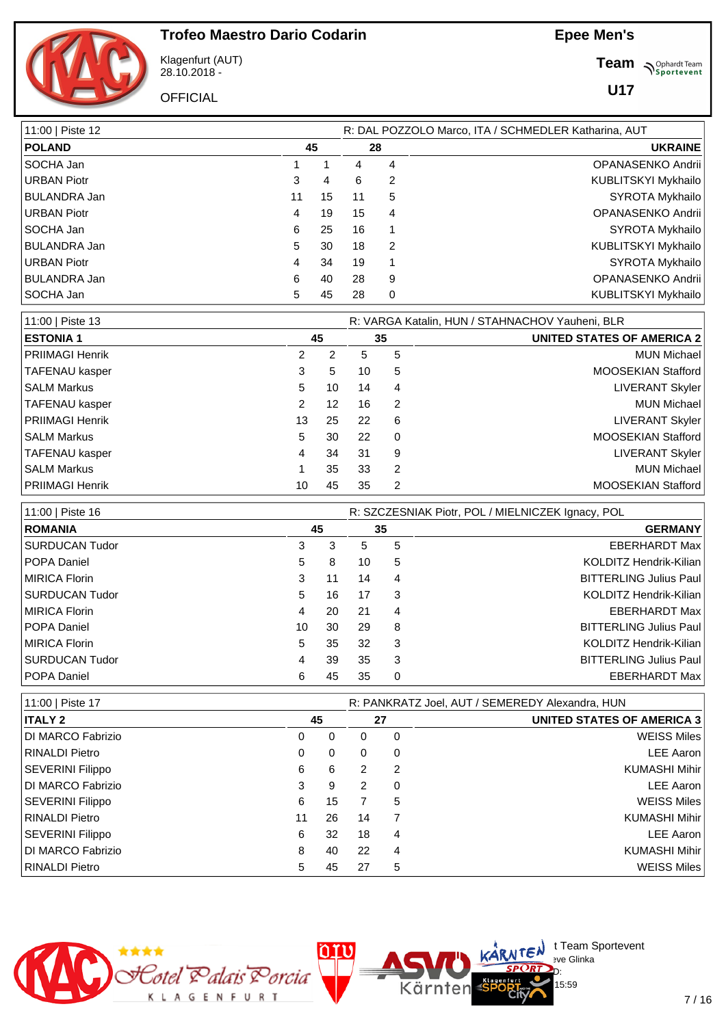11:00 | Piste 12 R: DAL POZZOLO Marco, ITA / SCHMEDLER Katharina, AUT

#### **Epee Men's**



Klagenfurt (AUT) 28.10.2018 -

**OFFICIAL** 

**Team S**<sup>Ophardt Team</sub></sup>

**U17**

| <b>POLAND</b>           | 45             |           |                | 28                      | <b>UKRAINE</b>                                    |
|-------------------------|----------------|-----------|----------------|-------------------------|---------------------------------------------------|
| SOCHA Jan               | 1              | 1         | 4              | 4                       | OPANASENKO Andrii                                 |
| <b>URBAN Piotr</b>      | 3              | 4         | 6              | 2                       | KUBLITSKYI Mykhailo                               |
| <b>BULANDRA Jan</b>     | 11             | 15        | 11             | 5                       | <b>SYROTA Mykhailo</b>                            |
| <b>URBAN Piotr</b>      | 4              | 19        | 15             | 4                       | OPANASENKO Andrii                                 |
| SOCHA Jan               | 6              | 25        | 16             | 1                       | SYROTA Mykhailo                                   |
| <b>BULANDRA Jan</b>     | 5              | 30        | 18             | $\overline{c}$          | KUBLITSKYI Mykhailo                               |
| <b>URBAN Piotr</b>      | 4              | 34        | 19             | 1                       | SYROTA Mykhailo                                   |
| <b>BULANDRA Jan</b>     | 6              | 40        | 28             | 9                       | OPANASENKO Andrii                                 |
| SOCHA Jan               | 5              | 45        | 28             | 0                       | KUBLITSKYI Mykhailo                               |
| 11:00   Piste 13        |                |           |                |                         | R: VARGA Katalin, HUN / STAHNACHOV Yauheni, BLR   |
| <b>ESTONIA1</b>         |                | 45        |                | 35                      | <b>UNITED STATES OF AMERICA 2</b>                 |
| <b>PRIIMAGI Henrik</b>  | 2              | 2         | 5              | 5                       | <b>MUN Michael</b>                                |
| TAFENAU kasper          | 3              | 5         | 10             | 5                       | MOOSEKIAN Stafford                                |
| <b>SALM Markus</b>      | 5              | 10        | 14             | 4                       | <b>LIVERANT Skyler</b>                            |
| <b>TAFENAU kasper</b>   | $\overline{2}$ | 12        | 16             | 2                       | <b>MUN Michael</b>                                |
| <b>PRIIMAGI Henrik</b>  | 13             | 25        | 22             | 6                       | <b>LIVERANT Skyler</b>                            |
| <b>SALM Markus</b>      | 5              | 30        | 22             | 0                       | MOOSEKIAN Stafford                                |
| <b>TAFENAU kasper</b>   | 4              | 34        | 31             | 9                       | <b>LIVERANT Skyler</b>                            |
| <b>SALM Markus</b>      | 1              | 35        | 33             | $\overline{c}$          | <b>MUN Michael</b>                                |
| <b>PRIIMAGI Henrik</b>  | 10             | 45        | 35             | $\overline{\mathbf{c}}$ | MOOSEKIAN Stafford                                |
|                         |                |           |                |                         |                                                   |
| 11:00   Piste 16        |                |           |                |                         | R: SZCZESNIAK Piotr, POL / MIELNICZEK Ignacy, POL |
| <b>ROMANIA</b>          |                | 45        |                | 35                      | <b>GERMANY</b>                                    |
| <b>SURDUCAN Tudor</b>   | 3              | 3         | 5              | 5                       | <b>EBERHARDT Max</b>                              |
| POPA Daniel             | 5              | 8         | 10             | 5                       | KOLDITZ Hendrik-Kilian                            |
| <b>MIRICA Florin</b>    | 3              | 11        | 14             | 4                       | <b>BITTERLING Julius Paul</b>                     |
| <b>SURDUCAN Tudor</b>   | 5              | 16        | 17             | 3                       | KOLDITZ Hendrik-Kilian                            |
| <b>MIRICA Florin</b>    | 4              | 20        | 21             | 4                       | <b>EBERHARDT Max</b>                              |
| POPA Daniel             | 10             | 30        | 29             | 8                       | <b>BITTERLING Julius Paul</b>                     |
| <b>MIRICA Florin</b>    | 5              | 35        | 32             | 3                       | KOLDITZ Hendrik-Kilian                            |
| <b>SURDUCAN Tudor</b>   | 4              | 39        | 35             | 3                       | <b>BITTERLING Julius Paul</b>                     |
| POPA Daniel             | 6              | 45        | 35             | 0                       | <b>EBERHARDT Max</b>                              |
| 11:00   Piste 17        |                |           |                |                         | R: PANKRATZ Joel, AUT / SEMEREDY Alexandra, HUN   |
| <b>ITALY 2</b>          |                | 45        |                | 27                      | <b>UNITED STATES OF AMERICA 3</b>                 |
| DI MARCO Fabrizio       | $\mathbf 0$    | $\pmb{0}$ | 0              | 0                       | <b>WEISS Miles</b>                                |
| <b>RINALDI Pietro</b>   | 0              | 0         | 0              | 0                       | <b>LEE Aaron</b>                                  |
| <b>SEVERINI Filippo</b> | 6              | 6         | 2              | 2                       | <b>KUMASHI Mihir</b>                              |
| DI MARCO Fabrizio       | 3              | 9         | 2              | 0                       | <b>LEE Aaron</b>                                  |
| <b>SEVERINI Filippo</b> | 6              | 15        | $\overline{7}$ | 5                       | <b>WEISS Miles</b>                                |
| <b>RINALDI Pietro</b>   | 11             | 26        | 14             | 7                       | <b>KUMASHI Mihir</b>                              |
| <b>SEVERINI Filippo</b> | 6              | 32        | 18             | 4                       | <b>LEE Aaron</b>                                  |
| DI MARCO Fabrizio       | 8              | 40        | 22             | 4                       | <b>KUMASHI Mihir</b>                              |
| <b>RINALDI Pietro</b>   | 5              | 45        | 27             | 5                       | <b>WEISS Miles</b>                                |
|                         |                |           |                |                         |                                                   |



 $\bigcup_{v \in \mathcal{F}} \mathsf{Id}$  t Team Sportevent

15:59

**N'Y'Letter** sve Glinka  $SPCRD<sub>D</sub>$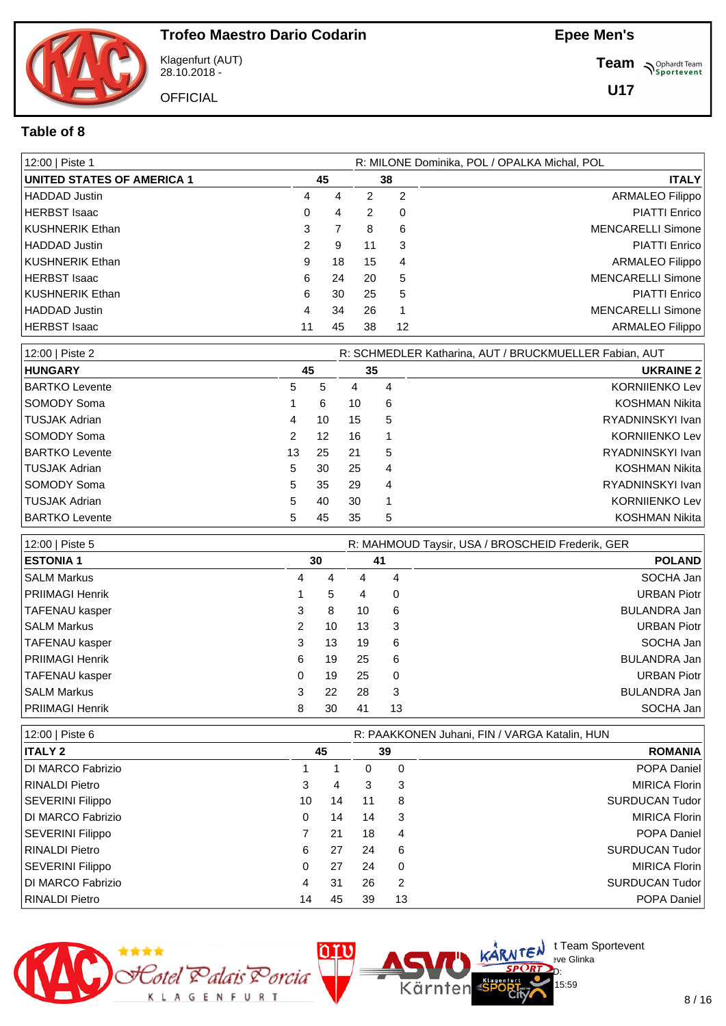

Klagenfurt (AUT) 28.10.2018 -

**OFFICIAL** 

**Team** *S<sup>Ophardt Team*<br>*S*<sup>P</sup> *Sportevent*</sup>

**U17**

#### **Table of 8**

| 12:00   Piste 1                   |   | R: MILONE Dominika, POL / OPALKA Michal, POL |    |          |                          |  |  |  |  |  |
|-----------------------------------|---|----------------------------------------------|----|----------|--------------------------|--|--|--|--|--|
| <b>UNITED STATES OF AMERICA 1</b> |   | 45                                           |    | 38       | <b>ITALY</b>             |  |  |  |  |  |
| <b>HADDAD Justin</b>              | 4 | 4                                            | 2  | 2        | <b>ARMALEO Filippo</b>   |  |  |  |  |  |
| <b>HERBST Isaac</b>               | 0 | 4                                            | 2  | $\Omega$ | <b>PIATTI Enrico</b>     |  |  |  |  |  |
| <b>KUSHNERIK Ethan</b>            | 3 |                                              | 8  | 6        | <b>MENCARELLI Simone</b> |  |  |  |  |  |
| <b>HADDAD</b> Justin              | 2 | 9                                            | 11 | 3        | <b>PIATTI Enrico</b>     |  |  |  |  |  |
| <b>KUSHNERIK Ethan</b>            | 9 | 18                                           | 15 | 4        | <b>ARMALEO Filippo</b>   |  |  |  |  |  |
| HERBST Isaac                      | 6 | 24                                           | 20 | 5        | <b>MENCARELLI Simone</b> |  |  |  |  |  |
| <b>KUSHNERIK Ethan</b>            | 6 | 30                                           | 25 | 5        | <b>PIATTI Enrico</b>     |  |  |  |  |  |
| <b>HADDAD Justin</b>              | 4 | 34                                           | 26 |          | <b>MENCARELLI Simone</b> |  |  |  |  |  |
| HERBST Isaac                      |   | 45                                           | 38 | 12       | <b>ARMALEO Filippo</b>   |  |  |  |  |  |

| 12:00   Piste 2       |               |    | R: SCHMEDLER Katharina, AUT / BRUCKMUELLER Fabian, AUT |    |                       |
|-----------------------|---------------|----|--------------------------------------------------------|----|-----------------------|
| <b>HUNGARY</b>        |               | 45 |                                                        | 35 | <b>UKRAINE 2</b>      |
| <b>BARTKO Levente</b> | 5             | 5  | 4                                                      | 4  | <b>KORNIIENKO Lev</b> |
| <b>SOMODY Soma</b>    |               | 6  | 10                                                     | 6  | KOSHMAN Nikita        |
| TUSJAK Adrian         | 4             | 10 | 15                                                     | 5  | RYADNINSKYI Ivan      |
| SOMODY Soma           | $\mathcal{P}$ | 12 | 16                                                     |    | <b>KORNIJENKO Lev</b> |
| <b>BARTKO Levente</b> | 13            | 25 | 21                                                     | 5  | RYADNINSKYI Ivan      |
| TUSJAK Adrian         | 5             | 30 | 25                                                     | 4  | KOSHMAN Nikita        |
| SOMODY Soma           | 5             | 35 | 29                                                     | 4  | RYADNINSKYI Ivan      |
| TUSJAK Adrian         | 5             | 40 | 30                                                     |    | <b>KORNIJENKO Lev</b> |
| <b>BARTKO Levente</b> | 5.            | 45 | 35                                                     | 5  | KOSHMAN Nikita        |

| 12:00   Piste 5    |    | R: MAHMOUD Taysir, USA / BROSCHEID Frederik, GER |    |    |                    |
|--------------------|----|--------------------------------------------------|----|----|--------------------|
| <b>ESTONIA 1</b>   | 30 |                                                  | 41 |    | <b>POLAND</b>      |
| I SALM Markus      | 4  | 4                                                | 4  | 4  | SOCHA Jan          |
| PRIIMAGI Henrik    |    | 5                                                | 4  | 0  | <b>URBAN Piotr</b> |
| TAFENAU kasper     | 3  | 8                                                | 10 | 6  | BULANDRA Jan       |
| ISALM Markus       | 2  | 10                                               | 13 | 3  | <b>URBAN Piotr</b> |
| TAFENAU kasper     | 3  | 13                                               | 19 | 6  | SOCHA Jan          |
| PRIIMAGI Henrik    | 6  | 19                                               | 25 | 6  | BULANDRA Jan       |
| TAFENAU kasper     | 0  | 19                                               | 25 | 0  | <b>URBAN Piotr</b> |
| <b>SALM Markus</b> | 3  | 22                                               | 28 | 3  | BULANDRA Jan       |
| PRIIMAGI Henrik    | 8  | 30                                               | 41 | 13 | SOCHA Jan          |

| 12:00   Piste 6         |    | R: PAAKKONEN Juhani, FIN / VARGA Katalin, HUN |    |          |                       |  |  |  |  |  |  |
|-------------------------|----|-----------------------------------------------|----|----------|-----------------------|--|--|--|--|--|--|
| <b>ITALY 2</b>          |    | 45                                            |    |          | <b>ROMANIA</b>        |  |  |  |  |  |  |
| DI MARCO Fabrizio       |    |                                               | 0  | 0        | <b>POPA Daniel</b>    |  |  |  |  |  |  |
| RINALDI Pietro          | 3  | 4                                             | 3  | 3        | <b>MIRICA Florin</b>  |  |  |  |  |  |  |
| <b>SEVERINI Filippo</b> | 10 | 14                                            | 11 | 8        | <b>SURDUCAN Tudor</b> |  |  |  |  |  |  |
| DI MARCO Fabrizio       | 0  | 14                                            | 14 | 3        | <b>MIRICA Florin</b>  |  |  |  |  |  |  |
| <b>SEVERINI Filippo</b> |    | 21                                            | 18 | 4        | <b>POPA Daniel</b>    |  |  |  |  |  |  |
| RINALDI Pietro          | 6  | 27                                            | 24 | 6        | <b>SURDUCAN Tudor</b> |  |  |  |  |  |  |
| <b>SEVERINI Filippo</b> | 0  | 27                                            | 24 | $\Omega$ | <b>MIRICA Florin</b>  |  |  |  |  |  |  |
| DI MARCO Fabrizio       | 4  | 31                                            | 26 | 2        | <b>SURDUCAN Tudor</b> |  |  |  |  |  |  |
| RINALDI Pietro          | 14 | 45                                            | 39 | 13       | <b>POPA Daniel</b>    |  |  |  |  |  |  |

Kärnten



 $\bigcup_{v \in \mathcal{F}} \mathsf{Id}$  t Team Sportevent

15:59

**N'Y'Letter** sve Glinka  $SPCRD<sub>D</sub>$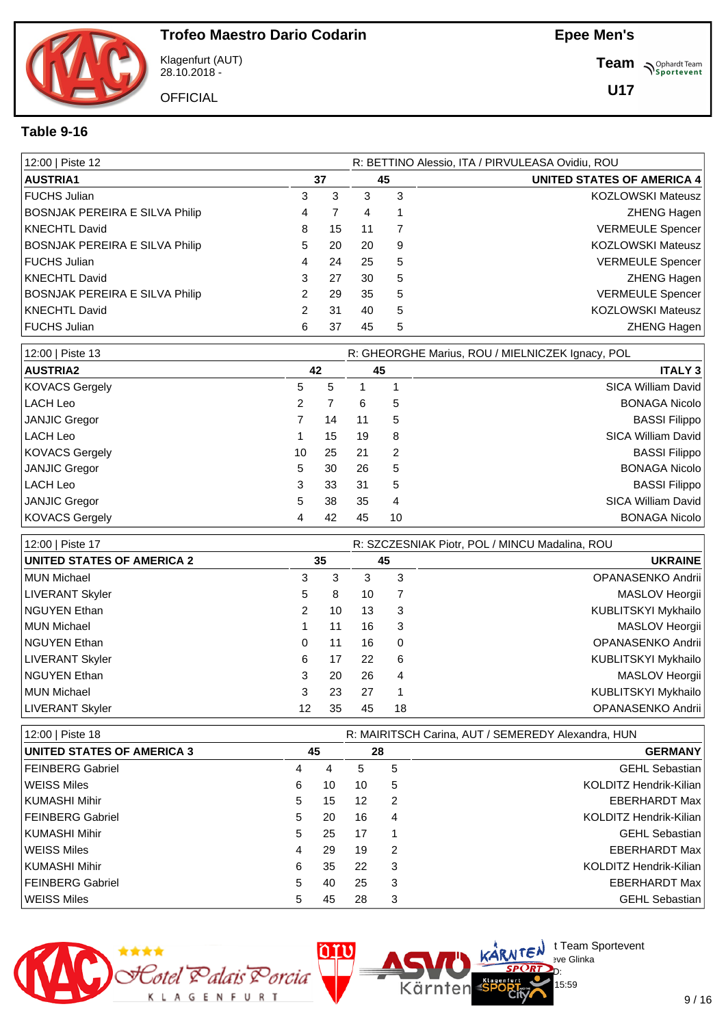

Klagenfurt (AUT) 28.10.2018 -

**OFFICIAL** 

**Team** *S<sup>Ophardt Team*<br>*S*<sup>P</sup> *Sportevent*</sup>

**U17**

#### **Table 9-16**

| 12:00   Piste 12                      |    |    |    |   | R: BETTINO Alessio, ITA / PIRVULEASA Ovidiu, ROU |  |  |
|---------------------------------------|----|----|----|---|--------------------------------------------------|--|--|
| <b>AUSTRIA1</b>                       |    | 37 | 45 |   | <b>UNITED STATES OF AMERICA 4</b>                |  |  |
| l FUCHS Julian                        | 3  | 3  | 3  | 3 | <b>KOZLOWSKI Mateusz</b>                         |  |  |
| <b>BOSNJAK PEREIRA E SILVA Philip</b> | 4  |    | 4  |   | <b>ZHENG Hagen</b>                               |  |  |
| KNECHTL David                         | 8  | 15 | 11 |   | <b>VERMEULE Spencer</b>                          |  |  |
| BOSNJAK PEREIRA E SILVA Philip        | 5. | 20 | 20 | 9 | <b>KOZLOWSKI Mateusz</b>                         |  |  |
| FUCHS Julian                          | 4  | 24 | 25 | 5 | <b>VERMEULE Spencer</b>                          |  |  |
| KNECHTL David                         | 3  | 27 | 30 | 5 | <b>ZHENG Hagen</b>                               |  |  |
| <b>BOSNJAK PEREIRA E SILVA Philip</b> | 2  | 29 | 35 | 5 | <b>VERMEULE Spencer</b>                          |  |  |
| KNECHTL David                         |    | 31 | 40 | 5 | <b>KOZLOWSKI Mateusz</b>                         |  |  |
| FUCHS Julian                          | 6  | 37 | 45 | 5 | <b>ZHENG Hagen</b>                               |  |  |

| 12:00   Piste 13      |    |    |    |    | R: GHEORGHE Marius, ROU / MIELNICZEK Ignacy, POL |
|-----------------------|----|----|----|----|--------------------------------------------------|
| AUSTRIA2              |    | 42 |    | 45 | <b>ITALY 3</b>                                   |
| <b>KOVACS Gergely</b> | 5  | 5  |    |    | SICA William David                               |
| LACH Leo              | 2  |    | 6  | 5  | <b>BONAGA Nicolo</b>                             |
| JANJIC Gregor         |    | 14 | 11 | 5  | <b>BASSI Filippo</b>                             |
| LACH Leo              |    | 15 | 19 | 8  | <b>SICA William David</b>                        |
| <b>KOVACS Gergely</b> | 10 | 25 | 21 | 2  | <b>BASSI Filippo</b>                             |
| JANJIC Gregor         | 5  | 30 | 26 | 5  | <b>BONAGA Nicolo</b>                             |
| LACH Leo              | 3  | 33 | 31 | 5  | <b>BASSI Filippo</b>                             |
| JANJIC Gregor         | 5  | 38 | 35 | 4  | <b>SICA William David</b>                        |
| <b>KOVACS Gergely</b> | 4  | 42 | 45 | 10 | <b>BONAGA Nicolo</b>                             |

| 12:00   Piste 17                  |    |    | R: SZCZESNIAK Piotr, POL / MINCU Madalina, ROU |    |                     |  |  |  |  |
|-----------------------------------|----|----|------------------------------------------------|----|---------------------|--|--|--|--|
| <b>UNITED STATES OF AMERICA 2</b> |    | 35 |                                                | 45 | <b>UKRAINE</b>      |  |  |  |  |
| MUN Michael                       | 3  | 3  | 3                                              | 3  | OPANASENKO Andrii   |  |  |  |  |
| LIVERANT Skyler                   | 5  | 8  | 10                                             |    | MASLOV Heorgii      |  |  |  |  |
| <b>NGUYEN Ethan</b>               | 2  | 10 | 13                                             | 3  | KUBLITSKYI Mykhailo |  |  |  |  |
| MUN Michael                       |    | 11 | 16                                             | 3  | MASLOV Heorgii      |  |  |  |  |
| <b>NGUYEN Ethan</b>               | 0  | 11 | 16                                             | 0  | OPANASENKO Andrii   |  |  |  |  |
| <b>LIVERANT Skyler</b>            | 6  | 17 | 22                                             | 6  | KUBLITSKYI Mykhailo |  |  |  |  |
| <b>NGUYEN Ethan</b>               | 3  | 20 | 26                                             | 4  | MASLOV Heorgii      |  |  |  |  |
| MUN Michael                       | 3  | 23 | 27                                             |    | KUBLITSKYI Mykhailo |  |  |  |  |
| <b>LIVERANT Skyler</b>            | 12 | 35 | 45                                             | 18 | OPANASENKO Andrii   |  |  |  |  |

| 12:00   Piste 18                  |   |    | R: MAIRITSCH Carina, AUT / SEMEREDY Alexandra, HUN |    |                        |  |  |  |  |
|-----------------------------------|---|----|----------------------------------------------------|----|------------------------|--|--|--|--|
| <b>UNITED STATES OF AMERICA 3</b> |   | 45 |                                                    | 28 | <b>GERMANY</b>         |  |  |  |  |
| FEINBERG Gabriel                  | 4 | 4  | 5                                                  | 5  | <b>GEHL Sebastian</b>  |  |  |  |  |
| <b>WEISS Miles</b>                | 6 | 10 | 10                                                 | 5  | KOLDITZ Hendrik-Kilian |  |  |  |  |
| KUMASHI Mihir                     | 5 | 15 | 12                                                 | 2  | <b>EBERHARDT Max</b>   |  |  |  |  |
| FEINBERG Gabriel                  | 5 | 20 | 16                                                 | 4  | KOLDITZ Hendrik-Kilian |  |  |  |  |
| KUMASHI Mihir                     | 5 | 25 | 17                                                 |    | <b>GEHL Sebastian</b>  |  |  |  |  |
| l WEISS Miles                     | 4 | 29 | 19                                                 | 2  | <b>EBERHARDT Max</b>   |  |  |  |  |
| KUMASHI Mihir                     | 6 | 35 | 22                                                 | 3  | KOLDITZ Hendrik-Kilian |  |  |  |  |
| FEINBERG Gabriel                  | 5 | 40 | 25                                                 | 3  | <b>EBERHARDT Max</b>   |  |  |  |  |
| WEISS Miles                       | 5 | 45 | 28                                                 | 3  | <b>GEHL Sebastian</b>  |  |  |  |  |

Kärnten



 $\bigcup_{v \in \mathcal{F}} \mathsf{Id}$  t Team Sportevent

15:59

**N'Y'Letter** sve Glinka  $SPCRD<sub>D</sub>$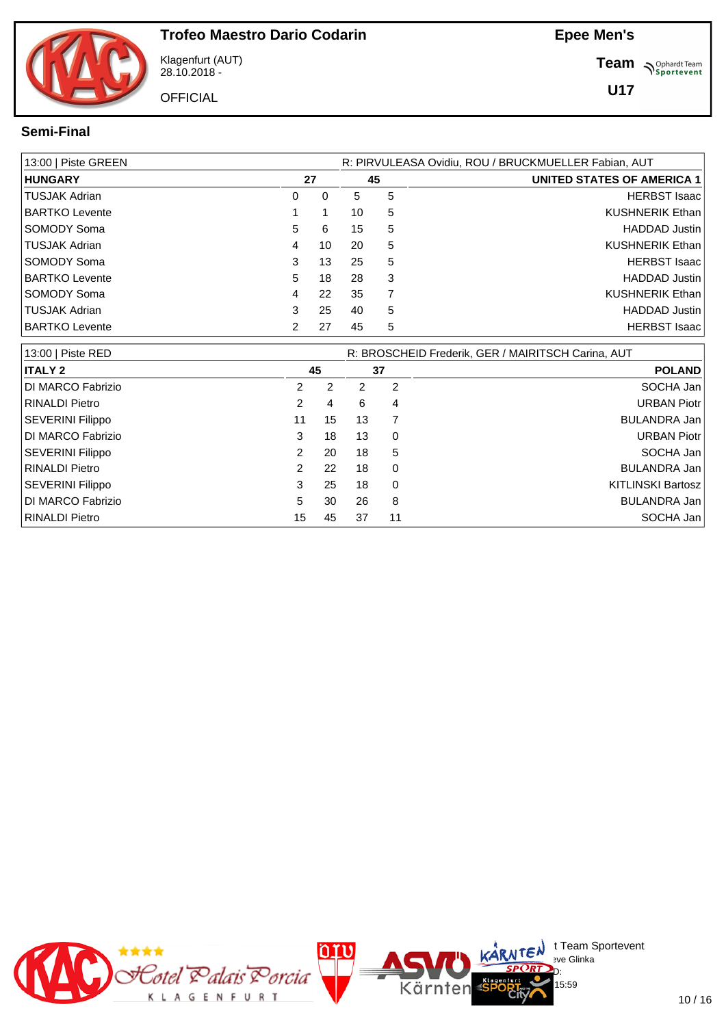Klagenfurt (AUT) 28.10.2018 -

**OFFICIAL** 

**Team** *S<sup>Ophardt Team*<br>*S*<sup>P</sup> *Sportevent*</sup>

**U17**

#### **Semi-Final**

| 13:00   Piste GREEN   |    |    |    | R: PIRVULEASA Ovidiu, ROU / BRUCKMUELLER Fabian, AUT |                            |  |  |  |  |  |
|-----------------------|----|----|----|------------------------------------------------------|----------------------------|--|--|--|--|--|
| <b>HUNGARY</b>        |    | 27 |    | 45                                                   | UNITED STATES OF AMERICA 1 |  |  |  |  |  |
| TUSJAK Adrian         | 0  | 0  | 5  | 5                                                    | <b>HERBST Isaac</b>        |  |  |  |  |  |
| <b>BARTKO Levente</b> |    |    | 10 | 5                                                    | <b>KUSHNERIK Ethan</b>     |  |  |  |  |  |
| SOMODY Soma           | 5  | 6  | 15 | 5                                                    | <b>HADDAD Justin</b>       |  |  |  |  |  |
| TUSJAK Adrian         | 4  | 10 | 20 | 5                                                    | <b>KUSHNERIK Ethan</b>     |  |  |  |  |  |
| <b>SOMODY Soma</b>    | 3  | 13 | 25 | 5                                                    | <b>HERBST Isaac</b>        |  |  |  |  |  |
| <b>BARTKO Levente</b> | 5. | 18 | 28 | 3                                                    | <b>HADDAD Justin</b>       |  |  |  |  |  |
| <b>SOMODY Soma</b>    | 4  | 22 | 35 |                                                      | <b>KUSHNERIK Ethan</b>     |  |  |  |  |  |
| TUSJAK Adrian         | 3  | 25 | 40 | 5                                                    | <b>HADDAD Justin</b>       |  |  |  |  |  |
| <b>BARTKO Levente</b> |    | 27 | 45 | 5                                                    | <b>HERBST Isaac</b>        |  |  |  |  |  |

| 13:00   Piste RED       |    | R: BROSCHEID Frederik, GER / MAIRITSCH Carina, AUT |    |          |                          |  |
|-------------------------|----|----------------------------------------------------|----|----------|--------------------------|--|
| <b>ITALY 2</b>          |    | 45                                                 |    | 37       | <b>POLAND</b>            |  |
| DI MARCO Fabrizio       | 2  | 2                                                  | 2  | 2        | SOCHA Jan                |  |
| <b>RINALDI Pietro</b>   |    | 4                                                  | 6  | 4        | <b>URBAN Piotr</b>       |  |
| <b>SEVERINI Filippo</b> | 11 | 15                                                 | 13 |          | BULANDRA Jan             |  |
| DI MARCO Fabrizio       | 3  | 18                                                 | 13 | 0        | <b>URBAN Piotr</b>       |  |
| <b>SEVERINI Filippo</b> | 2  | 20                                                 | 18 | 5        | SOCHA Jan                |  |
| <b>RINALDI Pietro</b>   | 2  | 22                                                 | 18 | $\Omega$ | BULANDRA Jan             |  |
| SEVERINI Filippo        | 3  | 25                                                 | 18 | $\Omega$ | <b>KITLINSKI Bartosz</b> |  |
| DI MARCO Fabrizio       | 5  | 30                                                 | 26 | 8        | BULANDRA Jan             |  |
| RINALDI Pietro          | 15 | 45                                                 | 37 | -11      | SOCHA Jan                |  |

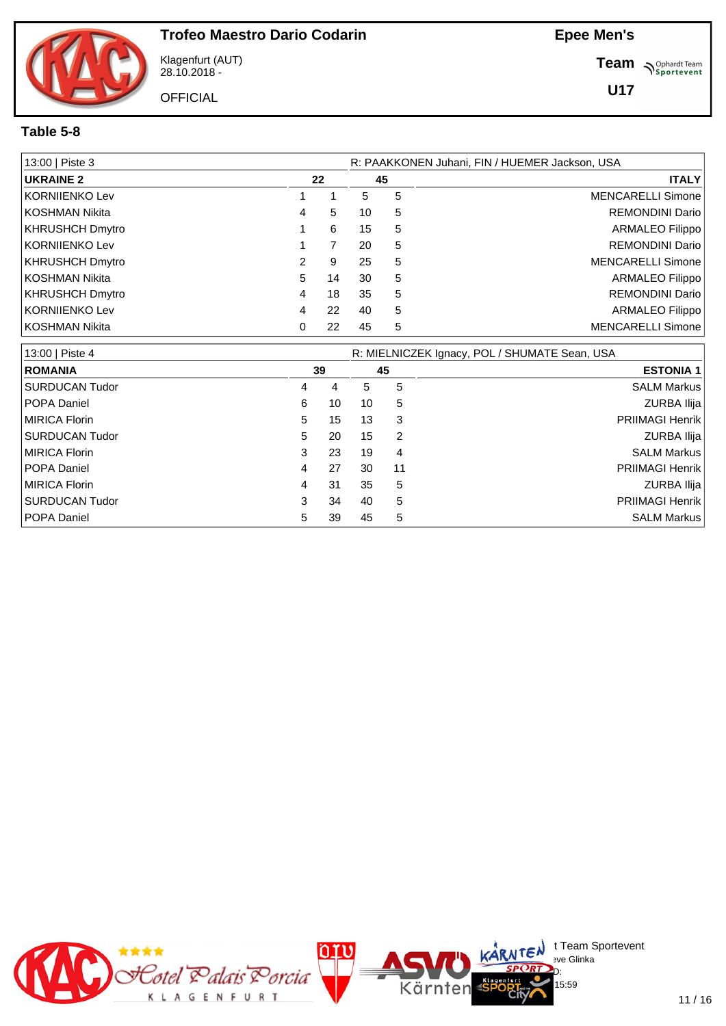Klagenfurt (AUT) 28.10.2018 -

**OFFICIAL** 

**Team** *S<sup>Ophardt Team*<br>*S*<sup>P</sup> *Sportevent*</sup>

**U17**

#### **Table 5-8**

| 13:00   Piste 3        |   |    |    |    | R: PAAKKONEN Juhani, FIN / HUEMER Jackson, USA |
|------------------------|---|----|----|----|------------------------------------------------|
| <b>UKRAINE 2</b>       |   | 22 |    | 45 | <b>ITALY</b>                                   |
| KORNIJENKO Lev         |   |    | 5  | 5  | <b>MENCARELLI Simone</b>                       |
| KOSHMAN Nikita         | 4 | 5  | 10 | 5  | <b>REMONDINI Dario</b>                         |
| <b>KHRUSHCH Dmytro</b> |   | 6  | 15 | 5  | <b>ARMALEO Filippo</b>                         |
| KORNIJENKO Lev         |   |    | 20 | 5  | <b>REMONDINI Dario</b>                         |
| KHRUSHCH Dmytro        |   | 9  | 25 | 5  | <b>MENCARELLI Simone</b>                       |
| KOSHMAN Nikita         | 5 | 14 | 30 | 5  | <b>ARMALEO Filippo</b>                         |
| <b>KHRUSHCH Dmytro</b> | 4 | 18 | 35 | 5  | <b>REMONDINI Dario</b>                         |
| KORNIIENKO Lev         | 4 | 22 | 40 | 5  | <b>ARMALEO Filippo</b>                         |
| KOSHMAN Nikita         |   | 22 | 45 | 5  | <b>MENCARELLI Simone</b>                       |

| 13:00   Piste 4       | R: MIELNICZEK Ignacy, POL / SHUMATE Sean, USA |    |    |    |                        |  |  |  |  |  |
|-----------------------|-----------------------------------------------|----|----|----|------------------------|--|--|--|--|--|
| <b>ROMANIA</b>        |                                               | 39 |    | 45 | <b>ESTONIA 1</b>       |  |  |  |  |  |
| <b>SURDUCAN Tudor</b> | 4                                             | 4  | 5. | 5  | <b>SALM Markus</b>     |  |  |  |  |  |
| POPA Daniel           | 6                                             | 10 | 10 | 5  | ZURBA Ilija            |  |  |  |  |  |
| <b>MIRICA Florin</b>  | 5.                                            | 15 | 13 | 3  | <b>PRIIMAGI Henrik</b> |  |  |  |  |  |
| <b>SURDUCAN Tudor</b> | 5                                             | 20 | 15 | 2  | ZURBA Ilija            |  |  |  |  |  |
| <b>MIRICA Florin</b>  | 3                                             | 23 | 19 | 4  | <b>SALM Markus</b>     |  |  |  |  |  |
| POPA Daniel           | 4                                             | 27 | 30 | 11 | <b>PRIIMAGI Henrik</b> |  |  |  |  |  |
| <b>MIRICA Florin</b>  | 4                                             | 31 | 35 | 5  | ZURBA Ilija            |  |  |  |  |  |
| <b>SURDUCAN Tudor</b> | 3                                             | 34 | 40 | 5  | <b>PRIIMAGI Henrik</b> |  |  |  |  |  |
| POPA Daniel           | 5                                             | 39 | 45 | 5  | <b>SALM Markus</b>     |  |  |  |  |  |

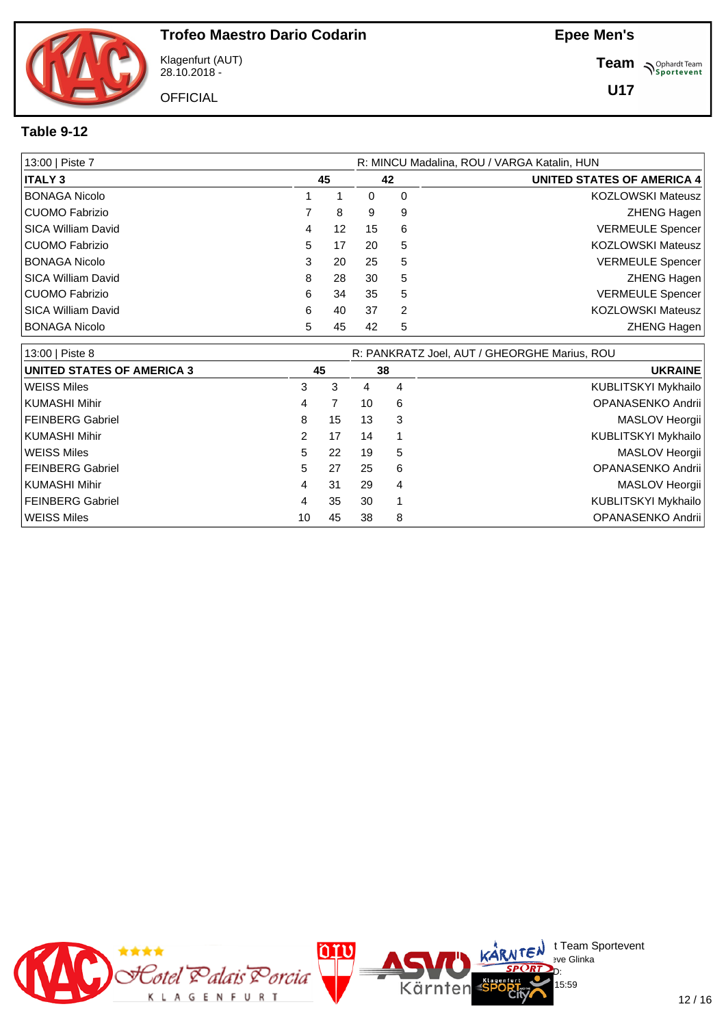Klagenfurt (AUT) 28.10.2018 -

**OFFICIAL** 

**Team** *S<sup>Ophardt Team*<br>*S*<sup>P</sup> *Sportevent*</sup>

**U17**

#### **Table 9-12**

| 13:00   Piste 7           |   | R: MINCU Madalina, ROU / VARGA Katalin, HUN |    |   |                                   |  |  |  |  |  |  |
|---------------------------|---|---------------------------------------------|----|---|-----------------------------------|--|--|--|--|--|--|
| <b>ITALY 3</b>            |   | 45                                          | 42 |   | <b>UNITED STATES OF AMERICA 4</b> |  |  |  |  |  |  |
| <b>BONAGA Nicolo</b>      |   |                                             | 0  | 0 | <b>KOZLOWSKI Mateusz</b>          |  |  |  |  |  |  |
| CUOMO Fabrizio            |   | 8                                           | 9  | 9 | <b>ZHENG Hagen</b>                |  |  |  |  |  |  |
| l SICA William David      | 4 | 12                                          | 15 | 6 | <b>VERMEULE Spencer</b>           |  |  |  |  |  |  |
| CUOMO Fabrizio            | 5 | 17                                          | 20 | 5 | <b>KOZLOWSKI Mateusz</b>          |  |  |  |  |  |  |
| <b>BONAGA Nicolo</b>      | 3 | 20                                          | 25 | 5 | <b>VERMEULE Spencer</b>           |  |  |  |  |  |  |
| <b>SICA William David</b> | 8 | 28                                          | 30 | 5 | <b>ZHENG Hagen</b>                |  |  |  |  |  |  |
| CUOMO Fabrizio            | 6 | 34                                          | 35 | 5 | <b>VERMEULE Spencer</b>           |  |  |  |  |  |  |
| l SICA William David      | 6 | 40                                          | 37 | 2 | <b>KOZLOWSKI Mateusz</b>          |  |  |  |  |  |  |
| <b>BONAGA Nicolo</b>      | 5 | 45                                          | 42 | 5 | <b>ZHENG Hagen</b>                |  |  |  |  |  |  |

| 13:00   Piste 8                   |               |    | R: PANKRATZ Joel, AUT / GHEORGHE Marius, ROU |   |                     |  |  |  |  |  |
|-----------------------------------|---------------|----|----------------------------------------------|---|---------------------|--|--|--|--|--|
| <b>UNITED STATES OF AMERICA 3</b> | 45            |    | 38                                           |   | <b>UKRAINE</b>      |  |  |  |  |  |
| <b>WEISS Miles</b>                | 3             | 3  | 4                                            | 4 | KUBLITSKYI Mykhailo |  |  |  |  |  |
| KUMASHI Mihir                     | 4             |    | 10                                           | 6 | OPANASENKO Andrii   |  |  |  |  |  |
| FEINBERG Gabriel                  | 8             | 15 | 13                                           | 3 | MASLOV Heorgii      |  |  |  |  |  |
| KUMASHI Mihir                     | $\mathcal{P}$ | 17 | 14                                           |   | KUBLITSKYI Mykhailo |  |  |  |  |  |
| WEISS Miles                       | 5.            | 22 | 19                                           | 5 | MASLOV Heorgii      |  |  |  |  |  |
| FEINBERG Gabriel                  | 5.            | 27 | 25                                           | 6 | OPANASENKO Andrii   |  |  |  |  |  |
| KUMASHI Mihir                     | 4             | 31 | 29                                           | 4 | MASLOV Heorgii      |  |  |  |  |  |
| FEINBERG Gabriel                  | 4             | 35 | 30                                           |   | KUBLITSKYI Mykhailo |  |  |  |  |  |
| <b>WEISS Miles</b>                | 10            | 45 | 38                                           | 8 | OPANASENKO Andrii   |  |  |  |  |  |

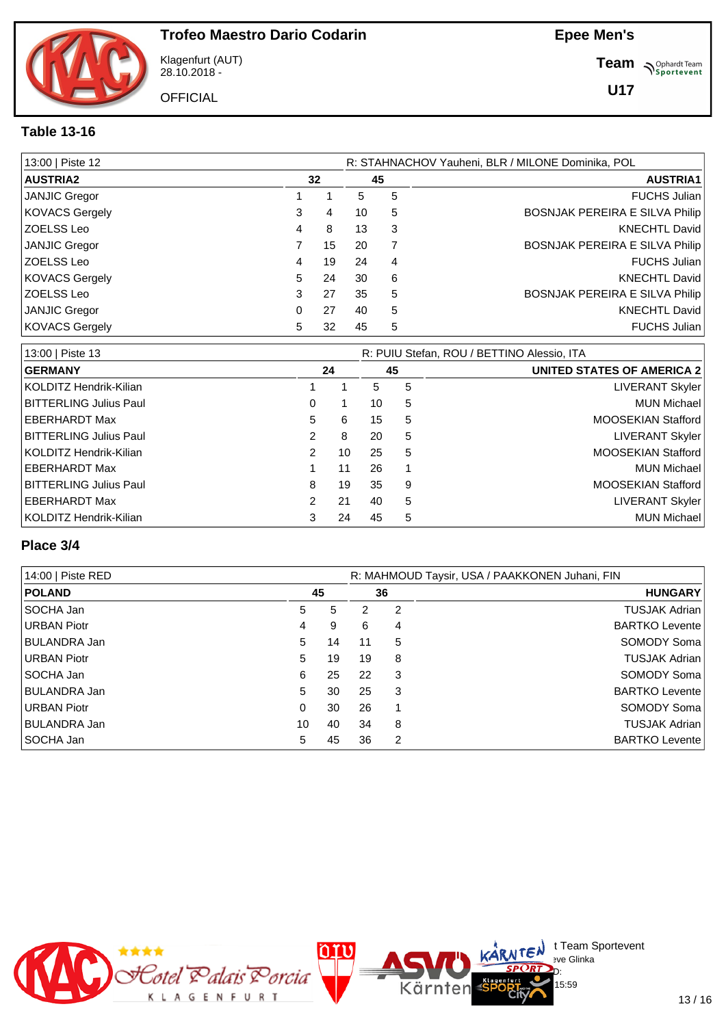

Klagenfurt (AUT) 28.10.2018 -

**OFFICIAL** 

**Team** *S<sup>Ophardt Team*<br> *S*<sup>P</sup> Sportevent</sup>

**U17**

#### **Table 13-16**

| 13:00   Piste 12      |   |    |    | R: STAHNACHOV Yauheni, BLR / MILONE Dominika, POL |                                       |  |  |  |  |  |
|-----------------------|---|----|----|---------------------------------------------------|---------------------------------------|--|--|--|--|--|
| <b>AUSTRIA2</b>       |   | 32 |    | 45                                                | <b>AUSTRIA1</b>                       |  |  |  |  |  |
| JANJIC Gregor         |   |    | 5  | 5                                                 | <b>FUCHS Julian</b>                   |  |  |  |  |  |
| <b>KOVACS Gergely</b> | 3 | 4  | 10 | 5                                                 | <b>BOSNJAK PEREIRA E SILVA Philip</b> |  |  |  |  |  |
| ZOELSS Leo            | 4 | 8  | 13 | -3                                                | KNECHTL David                         |  |  |  |  |  |
| JANJIC Gregor         |   | 15 | 20 |                                                   | <b>BOSNJAK PEREIRA E SILVA Philip</b> |  |  |  |  |  |
| <b>ZOELSS Leo</b>     | 4 | 19 | 24 | -4                                                | <b>FUCHS Julian</b>                   |  |  |  |  |  |
| <b>KOVACS Gergely</b> | 5 | 24 | 30 | 6                                                 | <b>KNECHTL David</b>                  |  |  |  |  |  |
| ZOELSS Leo            | 3 | 27 | 35 | 5                                                 | BOSNJAK PEREIRA E SILVA Philip        |  |  |  |  |  |
| JANJIC Gregor         | 0 | 27 | 40 | 5                                                 | <b>KNECHTL David</b>                  |  |  |  |  |  |
| <b>KOVACS Gergely</b> | 5 | 32 | 45 | 5                                                 | <b>FUCHS Julian</b>                   |  |  |  |  |  |

| 13:00   Piste 13              |               |    | R: PUIU Stefan, ROU / BETTINO Alessio, ITA |    |                                   |  |  |  |  |  |
|-------------------------------|---------------|----|--------------------------------------------|----|-----------------------------------|--|--|--|--|--|
| <b>GERMANY</b>                |               | 24 |                                            | 45 | <b>UNITED STATES OF AMERICA 2</b> |  |  |  |  |  |
| KOLDITZ Hendrik-Kilian        |               |    | 5                                          | 5  | LIVERANT Skyler                   |  |  |  |  |  |
| <b>BITTERLING Julius Paul</b> | 0             |    | 10                                         | 5  | <b>MUN Michael</b>                |  |  |  |  |  |
| EBERHARDT Max                 | 5             | 6  | 15                                         | 5  | <b>MOOSEKIAN Stafford</b>         |  |  |  |  |  |
| BITTERLING Julius Paul        | $\mathbf{2}$  | 8  | 20                                         | 5  | LIVERANT Skyler                   |  |  |  |  |  |
| KOLDITZ Hendrik-Kilian        | $\mathcal{P}$ | 10 | 25                                         | 5  | <b>MOOSEKIAN Stafford</b>         |  |  |  |  |  |
| EBERHARDT Max                 |               | 11 | 26                                         |    | <b>MUN Michael</b>                |  |  |  |  |  |
| <b>BITTERLING Julius Paul</b> | 8             | 19 | 35                                         | 9  | MOOSEKIAN Stafford                |  |  |  |  |  |
| EBERHARDT Max                 | $\mathbf{2}$  | 21 | 40                                         | 5  | <b>LIVERANT Skyler</b>            |  |  |  |  |  |
| KOLDITZ Hendrik-Kilian        | 3             | 24 | 45                                         | 5  | <b>MUN Michael</b>                |  |  |  |  |  |

#### **Place 3/4**

| 14:00   Piste RED   |          | R: MAHMOUD Taysir, USA / PAAKKONEN Juhani, FIN |    |    |                        |  |  |  |  |  |
|---------------------|----------|------------------------------------------------|----|----|------------------------|--|--|--|--|--|
| <b>POLAND</b>       |          | 45                                             |    | 36 | <b>HUNGARY</b>         |  |  |  |  |  |
| SOCHA Jan           | 5        | 5                                              | 2  | 2  | TUSJAK Adrian          |  |  |  |  |  |
| <b>URBAN Piotr</b>  | 4        | 9                                              | 6  | 4  | <b>BARTKO Levente</b>  |  |  |  |  |  |
| BULANDRA Jan        | 5        | 14                                             | 11 | 5  | SOMODY Soma            |  |  |  |  |  |
| URBAN Piotr         | 5        | 19                                             | 19 | 8  | TUSJAK Adrian          |  |  |  |  |  |
| l SOCHA Jan         | 6        | 25                                             | 22 | 3  | SOMODY Soma            |  |  |  |  |  |
| <b>BULANDRA Jan</b> | 5        | 30                                             | 25 | 3  | <b>BARTKO Levente!</b> |  |  |  |  |  |
| URBAN Piotr         | $\Omega$ | 30                                             | 26 |    | SOMODY Soma            |  |  |  |  |  |
| BULANDRA Jan        | 10       | 40                                             | 34 | 8  | TUSJAK Adrian          |  |  |  |  |  |
| SOCHA Jan           | 5        | 45                                             | 36 | 2  | <b>BARTKO Levente</b>  |  |  |  |  |  |



 $\bigcup_{v \in \mathcal{F}} \mathsf{Id}$  t Team Sportevent

15:59

**N'Y'Letter** sve Glinka  $SPCRD<sub>D</sub>$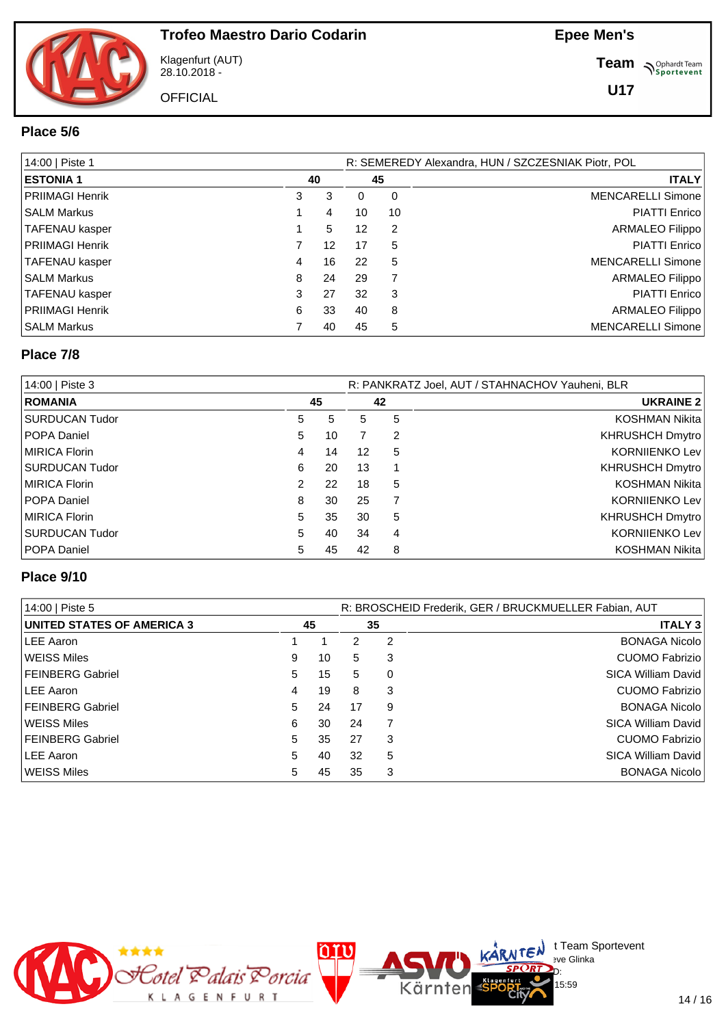Klagenfurt (AUT) 28.10.2018 -

**OFFICIAL** 

**Team** *S<sup>Ophardt Team*<br> *S*<sup>P</sup> Sportevent</sup>

**U17**

#### **Place 5/6**

| 14:00   Piste 1        |   |    |    | R: SEMEREDY Alexandra, HUN / SZCZESNIAK Piotr, POL |                          |  |  |  |  |  |
|------------------------|---|----|----|----------------------------------------------------|--------------------------|--|--|--|--|--|
| <b>ESTONIA 1</b>       |   | 40 |    | 45                                                 | <b>ITALY</b>             |  |  |  |  |  |
| PRIIMAGI Henrik        | 3 | 3  | 0  | 0                                                  | <b>MENCARELLI Simone</b> |  |  |  |  |  |
| SALM Markus            |   | 4  | 10 | 10                                                 | <b>PIATTI Enrico</b>     |  |  |  |  |  |
| TAFENAU kasper         |   | 5  | 12 | 2                                                  | <b>ARMALEO Filippo</b>   |  |  |  |  |  |
| <b>PRIIMAGI Henrik</b> |   | 12 | 17 | 5                                                  | PIATTI Enrico            |  |  |  |  |  |
| <b>TAFENAU kasper</b>  | 4 | 16 | 22 | 5                                                  | <b>MENCARELLI Simone</b> |  |  |  |  |  |
| SALM Markus            | 8 | 24 | 29 |                                                    | <b>ARMALEO Filippo</b>   |  |  |  |  |  |
| TAFENAU kasper         | 3 | 27 | 32 | 3                                                  | <b>PIATTI Enrico</b>     |  |  |  |  |  |
| PRIIMAGI Henrik        | 6 | 33 | 40 | 8                                                  | <b>ARMALEO Filippo</b>   |  |  |  |  |  |
| <b>SALM Markus</b>     |   | 40 | 45 | 5                                                  | <b>MENCARELLI Simone</b> |  |  |  |  |  |

#### **Place 7/8**

| 14:00   Piste 3 |    | R: PANKRATZ Joel, AUT / STAHNACHOV Yauheni, BLR |    |   |                       |  |
|-----------------|----|-------------------------------------------------|----|---|-----------------------|--|
| <b>ROMANIA</b>  |    | 45                                              | 42 |   | <b>UKRAINE 2</b>      |  |
| SURDUCAN Tudor  | 5  | 5                                               | 5  | 5 | <b>KOSHMAN Nikita</b> |  |
| POPA Daniel     | 5  | 10                                              |    | 2 | KHRUSHCH Dmytro       |  |
| MIRICA Florin   | 4  | 14                                              | 12 | 5 | <b>KORNIIENKO Lev</b> |  |
| SURDUCAN Tudor  | 6  | 20                                              | 13 |   | KHRUSHCH Dmytro       |  |
| MIRICA Florin   | 2  | 22                                              | 18 | 5 | <b>KOSHMAN Nikita</b> |  |
| POPA Daniel     | 8  | 30                                              | 25 |   | <b>KORNIIENKO Lev</b> |  |
| MIRICA Florin   | 5  | 35                                              | 30 | 5 | KHRUSHCH Dmytro       |  |
| SURDUCAN Tudor  | 5. | 40                                              | 34 | 4 | <b>KORNIIENKO Lev</b> |  |
| POPA Daniel     | 5  | 45                                              | 42 | 8 | <b>KOSHMAN Nikita</b> |  |

#### **Place 9/10**

| 14:00   Piste 5                   | R: BROSCHEID Frederik, GER / BRUCKMUELLER Fabian, AUT |    |    |    |                       |  |  |
|-----------------------------------|-------------------------------------------------------|----|----|----|-----------------------|--|--|
| <b>UNITED STATES OF AMERICA 3</b> |                                                       | 45 |    | 35 | <b>ITALY 3</b>        |  |  |
| LEE Aaron                         |                                                       |    | 2  | 2  | <b>BONAGA Nicolo</b>  |  |  |
| WEISS Miles                       | 9                                                     | 10 | 5  | 3  | <b>CUOMO Fabrizio</b> |  |  |
| <b>FEINBERG Gabriel</b>           | 5                                                     | 15 | 5  | 0  | SICA William David    |  |  |
| LEE Aaron                         | $\overline{4}$                                        | 19 | 8  | 3  | <b>CUOMO Fabrizio</b> |  |  |
| <b>FEINBERG Gabriel</b>           | 5                                                     | 24 | 17 | 9  | <b>BONAGA Nicolo</b>  |  |  |
| WEISS Miles                       | 6                                                     | 30 | 24 |    | SICA William David    |  |  |
| <b>FEINBERG Gabriel</b>           | 5.                                                    | 35 | 27 | 3  | <b>CUOMO Fabrizio</b> |  |  |
| LEE Aaron                         | 5                                                     | 40 | 32 | 5  | SICA William David    |  |  |
| WEISS Miles                       | 5.                                                    | 45 | 35 | 3  | <b>BONAGA Nicolo</b>  |  |  |

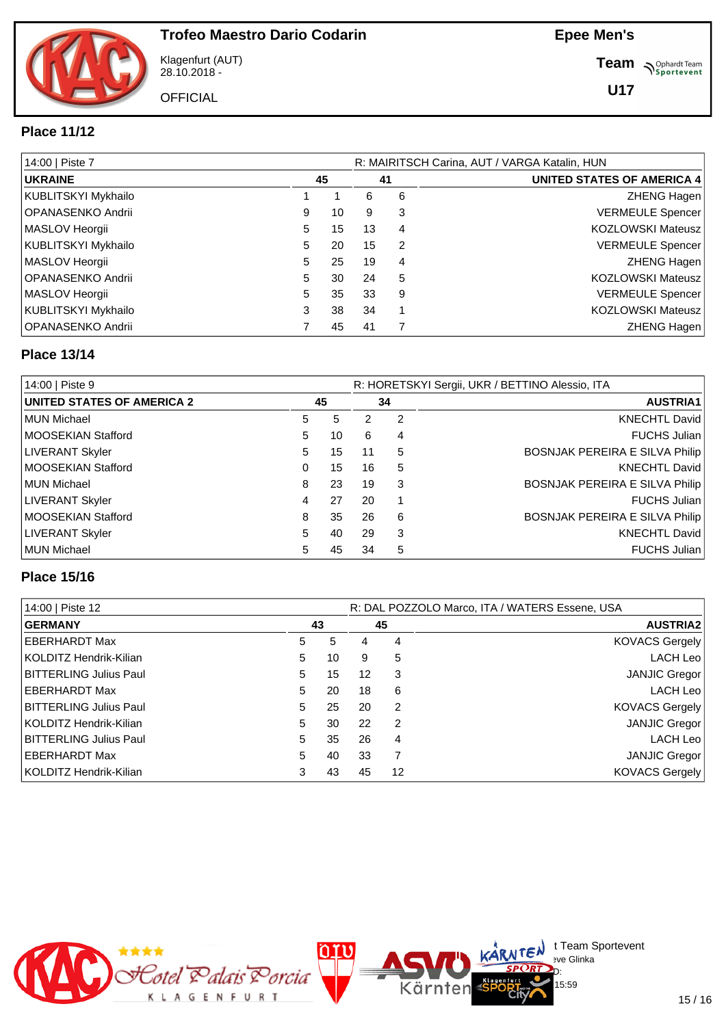Klagenfurt (AUT) 28.10.2018 -

**OFFICIAL** 

**Team** *S<sup>Ophardt Team*<br> *S*<sup>P</sup> Sportevent</sup>

**U17**

#### **Place 11/12**

| 14:00   Piste 7     |   |    |    |    | R: MAIRITSCH Carina, AUT / VARGA Katalin, HUN |
|---------------------|---|----|----|----|-----------------------------------------------|
| <b>UKRAINE</b>      |   | 45 |    | 41 | <b>UNITED STATES OF AMERICA 4</b>             |
| KUBLITSKYI Mykhailo |   |    | 6  | 6  | <b>ZHENG Hagen</b>                            |
| OPANASENKO Andrii   | 9 | 10 | 9  | 3  | <b>VERMEULE Spencer</b>                       |
| MASLOV Heorgii      | 5 | 15 | 13 | 4  | <b>KOZLOWSKI Mateusz</b>                      |
| KUBLITSKYI Mykhailo | 5 | 20 | 15 | 2  | <b>VERMEULE Spencer</b>                       |
| MASLOV Heorgii      | 5 | 25 | 19 | 4  | ZHENG Hagen                                   |
| OPANASENKO Andrii   | 5 | 30 | 24 | 5  | <b>KOZLOWSKI Mateusz</b>                      |
| MASLOV Heorgii      | 5 | 35 | 33 | 9  | <b>VERMEULE Spencer</b>                       |
| KUBLITSKYI Mykhailo | 3 | 38 | 34 |    | <b>KOZLOWSKI Mateusz</b>                      |
| OPANASENKO Andrii   |   | 45 | 41 |    | <b>ZHENG Hagen</b>                            |

#### **Place 13/14**

| 14:00   Piste 9                   | R: HORETSKYI Sergii, UKR / BETTINO Alessio, ITA |    |    |                 |                                |  |  |  |  |
|-----------------------------------|-------------------------------------------------|----|----|-----------------|--------------------------------|--|--|--|--|
| <b>UNITED STATES OF AMERICA 2</b> | 45                                              |    | 34 | <b>AUSTRIA1</b> |                                |  |  |  |  |
| MUN Michael                       | 5                                               | 5  | 2  | 2               | <b>KNECHTL David</b>           |  |  |  |  |
| MOOSEKIAN Stafford                | 5.                                              | 10 | 6  | 4               | <b>FUCHS Julian</b>            |  |  |  |  |
| <b>LIVERANT Skyler</b>            | 5                                               | 15 | 11 | 5               | BOSNJAK PEREIRA E SILVA Philip |  |  |  |  |
| MOOSEKIAN Stafford                | 0                                               | 15 | 16 | 5               | <b>KNECHTL David</b>           |  |  |  |  |
| MUN Michael                       | 8                                               | 23 | 19 | 3               | BOSNJAK PEREIRA E SILVA Philip |  |  |  |  |
| <b>LIVERANT Skyler</b>            | 4                                               | 27 | 20 |                 | <b>FUCHS Julian</b>            |  |  |  |  |
| MOOSEKIAN Stafford                | 8                                               | 35 | 26 | 6               | BOSNJAK PEREIRA E SILVA Philip |  |  |  |  |
| <b>LIVERANT Skyler</b>            | 5                                               | 40 | 29 | 3               | <b>KNECHTL David</b>           |  |  |  |  |
| MUN Michael                       | 5                                               | 45 | 34 | 5               | <b>FUCHS Julian</b>            |  |  |  |  |

#### **Place 15/16**

| 14:00   Piste 12              |   |    | R: DAL POZZOLO Marco, ITA / WATERS Essene, USA |               |                       |  |  |  |  |  |  |  |
|-------------------------------|---|----|------------------------------------------------|---------------|-----------------------|--|--|--|--|--|--|--|
| <b>GERMANY</b>                |   | 43 |                                                | 45            | <b>AUSTRIA2</b>       |  |  |  |  |  |  |  |
| EBERHARDT Max                 | 5 | 5  | 4                                              | 4             | <b>KOVACS Gergely</b> |  |  |  |  |  |  |  |
| KOLDITZ Hendrik-Kilian        | 5 | 10 | 9                                              | 5             | LACH Leo              |  |  |  |  |  |  |  |
| BITTERLING Julius Paul        | 5 | 15 | 12                                             | 3             | JANJIC Gregor         |  |  |  |  |  |  |  |
| EBERHARDT Max                 | 5 | 20 | 18                                             | 6             | LACH Leo              |  |  |  |  |  |  |  |
| <b>BITTERLING Julius Paul</b> | 5 | 25 | 20                                             | $\mathcal{P}$ | <b>KOVACS Gergely</b> |  |  |  |  |  |  |  |
| KOLDITZ Hendrik-Kilian        | 5 | 30 | 22                                             | $\mathcal{P}$ | JANJIC Gregor         |  |  |  |  |  |  |  |
| <b>BITTERLING Julius Paul</b> | 5 | 35 | 26                                             | 4             | LACH Leo              |  |  |  |  |  |  |  |
| EBERHARDT Max                 | 5 | 40 | 33                                             |               | <b>JANJIC Gregor</b>  |  |  |  |  |  |  |  |
| KOLDITZ Hendrik-Kilian        | 3 | 43 | 45                                             | 12            | KOVACS Gergely        |  |  |  |  |  |  |  |

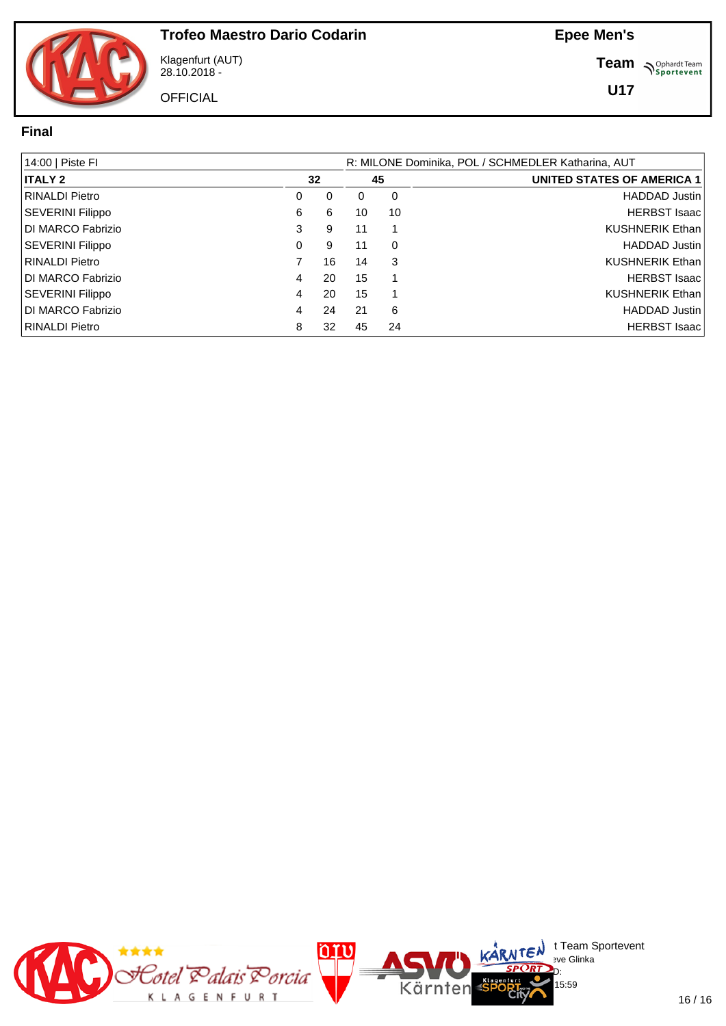

Klagenfurt (AUT) 28.10.2018 -

**OFFICIAL** 

**Team** *S<sup>Ophardt Team*<br>*S*<sup>P</sup> *Sportevent*</sup>

**U17**

#### **Final**

| 14:00   Piste FI        |   |    | R: MILONE Dominika, POL / SCHMEDLER Katharina, AUT |    |                                   |  |  |  |  |  |  |  |
|-------------------------|---|----|----------------------------------------------------|----|-----------------------------------|--|--|--|--|--|--|--|
| <b>ITALY 2</b>          |   | 32 |                                                    |    | <b>UNITED STATES OF AMERICA 1</b> |  |  |  |  |  |  |  |
| <b>RINALDI Pietro</b>   | 0 | 0  | 0                                                  | 0  | <b>HADDAD Justin</b>              |  |  |  |  |  |  |  |
| <b>SEVERINI Filippo</b> | 6 | 6  | 10                                                 | 10 | <b>HERBST Isaac</b>               |  |  |  |  |  |  |  |
| DI MARCO Fabrizio       | 3 | 9  | 11                                                 |    | <b>KUSHNERIK Ethan</b>            |  |  |  |  |  |  |  |
| <b>SEVERINI Filippo</b> | 0 | 9  | 11                                                 | 0  | <b>HADDAD Justin</b>              |  |  |  |  |  |  |  |
| <b>RINALDI Pietro</b>   |   | 16 | 14                                                 | 3  | <b>KUSHNERIK Ethan</b>            |  |  |  |  |  |  |  |
| DI MARCO Fabrizio       | 4 | 20 | 15                                                 |    | <b>HERBST Isaac</b>               |  |  |  |  |  |  |  |
| SEVERINI Filippo        | 4 | 20 | 15                                                 |    | <b>KUSHNERIK Ethan</b>            |  |  |  |  |  |  |  |
| DI MARCO Fabrizio       | 4 | 24 | 21                                                 | 6  | <b>HADDAD Justin</b>              |  |  |  |  |  |  |  |
| <b>RINALDI Pietro</b>   | 8 | 32 | 45                                                 | 24 | <b>HERBST Isaac</b>               |  |  |  |  |  |  |  |

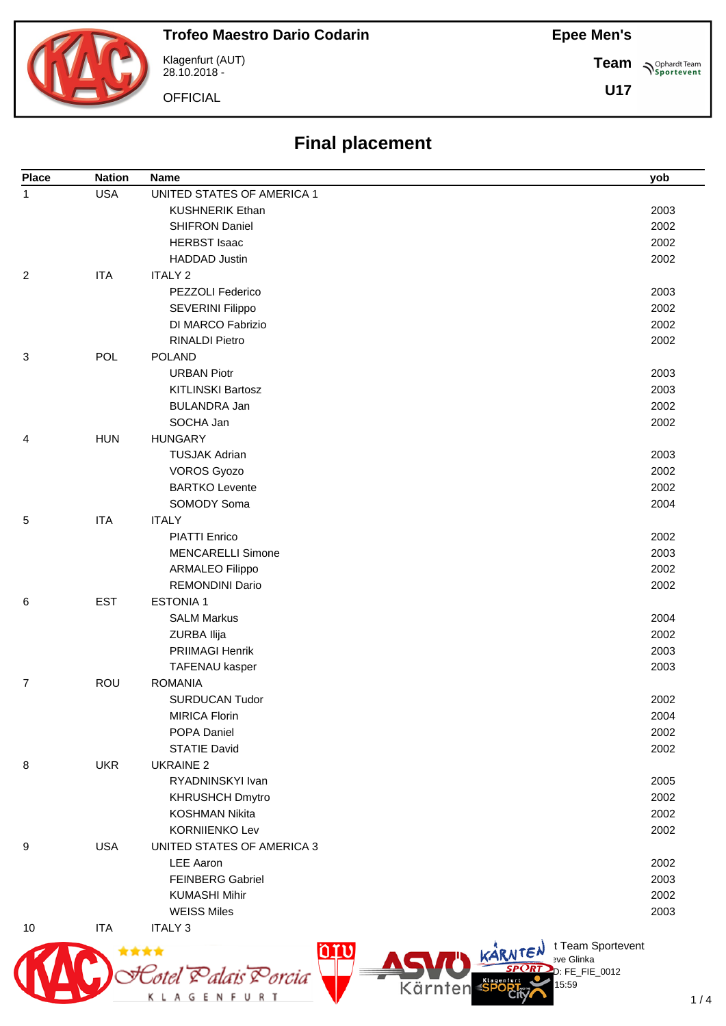# **Trofeo Maestro Dario Codarin**

Klagenfurt (AUT) 28.10.2018 -

Stotel Palais Porcia

**OFFICIAL** 

# **Final placement**

| <b>Place</b>   | <b>Nation</b> | <b>Name</b>                | yob                                    |
|----------------|---------------|----------------------------|----------------------------------------|
| $\mathbf{1}$   | <b>USA</b>    | UNITED STATES OF AMERICA 1 |                                        |
|                |               | <b>KUSHNERIK Ethan</b>     | 2003                                   |
|                |               | <b>SHIFRON Daniel</b>      | 2002                                   |
|                |               | <b>HERBST Isaac</b>        | 2002                                   |
|                |               | <b>HADDAD Justin</b>       | 2002                                   |
| $\overline{2}$ | <b>ITA</b>    | <b>ITALY 2</b>             |                                        |
|                |               | PEZZOLI Federico           | 2003                                   |
|                |               | <b>SEVERINI Filippo</b>    | 2002                                   |
|                |               | DI MARCO Fabrizio          | 2002                                   |
|                |               | <b>RINALDI Pietro</b>      | 2002                                   |
| 3              | POL           | <b>POLAND</b>              |                                        |
|                |               | <b>URBAN Piotr</b>         | 2003                                   |
|                |               | <b>KITLINSKI Bartosz</b>   | 2003                                   |
|                |               | <b>BULANDRA Jan</b>        | 2002                                   |
|                |               | SOCHA Jan                  | 2002                                   |
| 4              | <b>HUN</b>    | <b>HUNGARY</b>             |                                        |
|                |               | <b>TUSJAK Adrian</b>       | 2003                                   |
|                |               | <b>VOROS Gyozo</b>         | 2002                                   |
|                |               | <b>BARTKO Levente</b>      | 2002                                   |
|                |               | SOMODY Soma                | 2004                                   |
| 5              | <b>ITA</b>    | <b>ITALY</b>               |                                        |
|                |               | <b>PIATTI Enrico</b>       | 2002                                   |
|                |               | <b>MENCARELLI Simone</b>   | 2003                                   |
|                |               | ARMALEO Filippo            | 2002                                   |
|                |               | REMONDINI Dario            | 2002                                   |
| 6              | <b>EST</b>    | <b>ESTONIA1</b>            |                                        |
|                |               | <b>SALM Markus</b>         | 2004                                   |
|                |               | ZURBA Ilija                | 2002                                   |
|                |               | PRIIMAGI Henrik            | 2003                                   |
|                |               | TAFENAU kasper             | 2003                                   |
| 7              | <b>ROU</b>    | <b>ROMANIA</b>             |                                        |
|                |               | <b>SURDUCAN Tudor</b>      | 2002                                   |
|                |               | <b>MIRICA Florin</b>       | 2004                                   |
|                |               | POPA Daniel                | 2002                                   |
|                |               | <b>STATIE David</b>        | 2002                                   |
| 8              | <b>UKR</b>    | <b>UKRAINE 2</b>           |                                        |
|                |               | RYADNINSKYI Ivan           | 2005                                   |
|                |               | <b>KHRUSHCH Dmytro</b>     | 2002                                   |
|                |               | <b>KOSHMAN Nikita</b>      | 2002                                   |
|                |               | <b>KORNIIENKO Lev</b>      | 2002                                   |
| 9              | <b>USA</b>    | UNITED STATES OF AMERICA 3 |                                        |
|                |               | <b>LEE Aaron</b>           | 2002                                   |
|                |               | <b>FEINBERG Gabriel</b>    | 2003                                   |
|                |               | <b>KUMASHI Mihir</b>       |                                        |
|                |               | <b>WEISS Miles</b>         | 2002                                   |
| 10             | <b>ITA</b>    | <b>ITALY 3</b>             | 2003                                   |
|                |               |                            |                                        |
| <b>MAR</b>     | ****          | ACTE KARNTEN<br><u>orv</u> | t Team Sportevent<br><b>Bye Glinka</b> |



D: FE\_FIE\_0012

15:59

Kärnten

**Team Sportevent** 

**U17**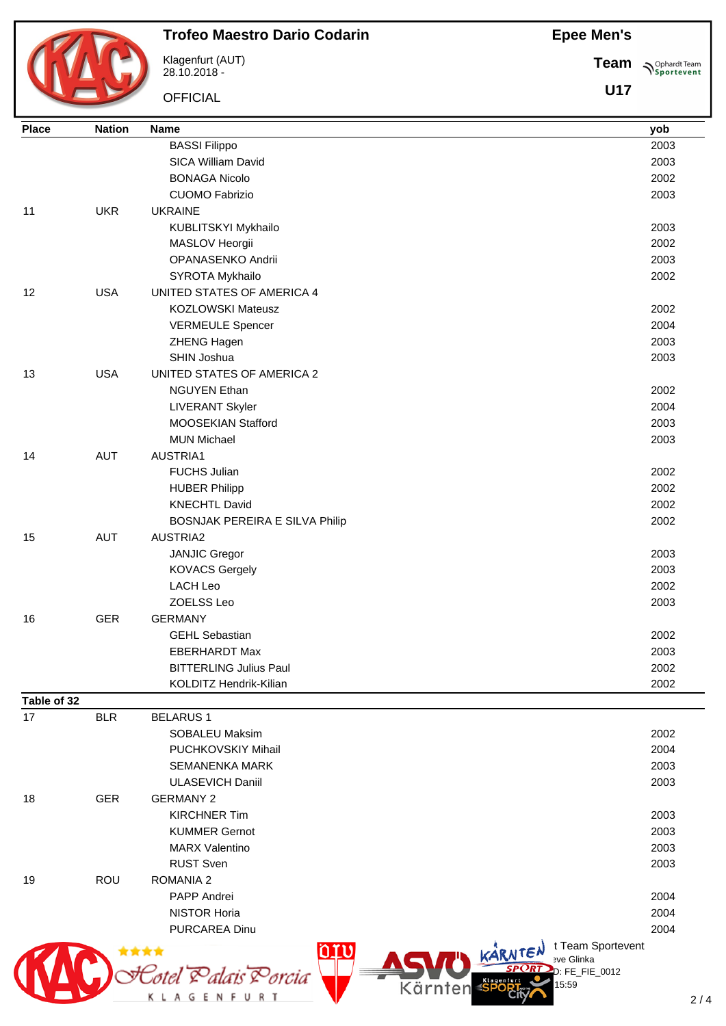

#### **Trofeo Maestro Dario Codarin**

Klagenfurt (AUT) 28.10.2018 -

**OFFICIAL** 

K L A G E N F U R T

**Team Sportevent** 

**U17**

| <b>BASSI Filippo</b><br>2003<br>SICA William David<br>2003<br><b>BONAGA Nicolo</b><br>2002<br>2003<br><b>CUOMO Fabrizio</b><br><b>UKR</b><br><b>UKRAINE</b><br>11<br>2003<br>KUBLITSKYI Mykhailo<br>2002<br>MASLOV Heorgii<br>OPANASENKO Andrii<br>2003<br>SYROTA Mykhailo<br>2002<br><b>USA</b><br>12<br>UNITED STATES OF AMERICA 4<br><b>KOZLOWSKI Mateusz</b><br>2002<br>2004<br><b>VERMEULE Spencer</b><br>ZHENG Hagen<br>2003<br>SHIN Joshua<br>2003<br><b>USA</b><br>UNITED STATES OF AMERICA 2<br>13<br><b>NGUYEN Ethan</b><br>2002<br>2004<br><b>LIVERANT Skyler</b><br>MOOSEKIAN Stafford<br>2003<br><b>MUN Michael</b><br>2003<br><b>AUT</b><br>AUSTRIA1<br>14<br><b>FUCHS Julian</b><br>2002<br>2002<br><b>HUBER Philipp</b><br>2002<br><b>KNECHTL David</b><br>BOSNJAK PEREIRA E SILVA Philip<br>2002<br><b>AUT</b><br>15<br><b>AUSTRIA2</b><br><b>JANJIC Gregor</b><br>2003<br><b>KOVACS Gergely</b><br>2003<br><b>LACH Leo</b><br>2002<br>ZOELSS Leo<br>2003<br><b>GER</b><br><b>GERMANY</b><br>16<br><b>GEHL Sebastian</b><br>2002<br><b>EBERHARDT Max</b><br>2003<br><b>BITTERLING Julius Paul</b><br>2002<br>KOLDITZ Hendrik-Kilian<br>2002<br><b>BLR</b><br>17<br><b>BELARUS1</b><br><b>SOBALEU Maksim</b><br>2002<br>PUCHKOVSKIY Mihail<br>2004<br><b>SEMANENKA MARK</b><br>2003<br><b>ULASEVICH Daniil</b><br>2003<br><b>GER</b><br><b>GERMANY 2</b><br>18<br><b>KIRCHNER Tim</b><br>2003<br><b>KUMMER Gernot</b><br>2003<br><b>MARX Valentino</b><br>2003<br><b>RUST Sven</b><br>2003<br><b>ROMANIA 2</b><br><b>ROU</b><br>19<br>PAPP Andrei<br>2004<br>2004<br><b>NISTOR Horia</b><br>2004<br><b>PURCAREA Dinu</b><br>t Team Sportevent<br>٥rư<br>KARNTEN<br>11<br><b>Bve Glinka</b><br>Eotel Palais Porcia<br>D: FE_FIE_0012 | <b>Place</b> | <b>Nation</b> | <b>Name</b> | yob |
|-----------------------------------------------------------------------------------------------------------------------------------------------------------------------------------------------------------------------------------------------------------------------------------------------------------------------------------------------------------------------------------------------------------------------------------------------------------------------------------------------------------------------------------------------------------------------------------------------------------------------------------------------------------------------------------------------------------------------------------------------------------------------------------------------------------------------------------------------------------------------------------------------------------------------------------------------------------------------------------------------------------------------------------------------------------------------------------------------------------------------------------------------------------------------------------------------------------------------------------------------------------------------------------------------------------------------------------------------------------------------------------------------------------------------------------------------------------------------------------------------------------------------------------------------------------------------------------------------------------------------------------------------------------------------------------------------------------------------------------------------------|--------------|---------------|-------------|-----|
|                                                                                                                                                                                                                                                                                                                                                                                                                                                                                                                                                                                                                                                                                                                                                                                                                                                                                                                                                                                                                                                                                                                                                                                                                                                                                                                                                                                                                                                                                                                                                                                                                                                                                                                                                     |              |               |             |     |
|                                                                                                                                                                                                                                                                                                                                                                                                                                                                                                                                                                                                                                                                                                                                                                                                                                                                                                                                                                                                                                                                                                                                                                                                                                                                                                                                                                                                                                                                                                                                                                                                                                                                                                                                                     |              |               |             |     |
|                                                                                                                                                                                                                                                                                                                                                                                                                                                                                                                                                                                                                                                                                                                                                                                                                                                                                                                                                                                                                                                                                                                                                                                                                                                                                                                                                                                                                                                                                                                                                                                                                                                                                                                                                     |              |               |             |     |
|                                                                                                                                                                                                                                                                                                                                                                                                                                                                                                                                                                                                                                                                                                                                                                                                                                                                                                                                                                                                                                                                                                                                                                                                                                                                                                                                                                                                                                                                                                                                                                                                                                                                                                                                                     |              |               |             |     |
|                                                                                                                                                                                                                                                                                                                                                                                                                                                                                                                                                                                                                                                                                                                                                                                                                                                                                                                                                                                                                                                                                                                                                                                                                                                                                                                                                                                                                                                                                                                                                                                                                                                                                                                                                     |              |               |             |     |
|                                                                                                                                                                                                                                                                                                                                                                                                                                                                                                                                                                                                                                                                                                                                                                                                                                                                                                                                                                                                                                                                                                                                                                                                                                                                                                                                                                                                                                                                                                                                                                                                                                                                                                                                                     |              |               |             |     |
|                                                                                                                                                                                                                                                                                                                                                                                                                                                                                                                                                                                                                                                                                                                                                                                                                                                                                                                                                                                                                                                                                                                                                                                                                                                                                                                                                                                                                                                                                                                                                                                                                                                                                                                                                     |              |               |             |     |
|                                                                                                                                                                                                                                                                                                                                                                                                                                                                                                                                                                                                                                                                                                                                                                                                                                                                                                                                                                                                                                                                                                                                                                                                                                                                                                                                                                                                                                                                                                                                                                                                                                                                                                                                                     |              |               |             |     |
|                                                                                                                                                                                                                                                                                                                                                                                                                                                                                                                                                                                                                                                                                                                                                                                                                                                                                                                                                                                                                                                                                                                                                                                                                                                                                                                                                                                                                                                                                                                                                                                                                                                                                                                                                     |              |               |             |     |
|                                                                                                                                                                                                                                                                                                                                                                                                                                                                                                                                                                                                                                                                                                                                                                                                                                                                                                                                                                                                                                                                                                                                                                                                                                                                                                                                                                                                                                                                                                                                                                                                                                                                                                                                                     |              |               |             |     |
|                                                                                                                                                                                                                                                                                                                                                                                                                                                                                                                                                                                                                                                                                                                                                                                                                                                                                                                                                                                                                                                                                                                                                                                                                                                                                                                                                                                                                                                                                                                                                                                                                                                                                                                                                     |              |               |             |     |
|                                                                                                                                                                                                                                                                                                                                                                                                                                                                                                                                                                                                                                                                                                                                                                                                                                                                                                                                                                                                                                                                                                                                                                                                                                                                                                                                                                                                                                                                                                                                                                                                                                                                                                                                                     |              |               |             |     |
|                                                                                                                                                                                                                                                                                                                                                                                                                                                                                                                                                                                                                                                                                                                                                                                                                                                                                                                                                                                                                                                                                                                                                                                                                                                                                                                                                                                                                                                                                                                                                                                                                                                                                                                                                     |              |               |             |     |
|                                                                                                                                                                                                                                                                                                                                                                                                                                                                                                                                                                                                                                                                                                                                                                                                                                                                                                                                                                                                                                                                                                                                                                                                                                                                                                                                                                                                                                                                                                                                                                                                                                                                                                                                                     |              |               |             |     |
|                                                                                                                                                                                                                                                                                                                                                                                                                                                                                                                                                                                                                                                                                                                                                                                                                                                                                                                                                                                                                                                                                                                                                                                                                                                                                                                                                                                                                                                                                                                                                                                                                                                                                                                                                     |              |               |             |     |
|                                                                                                                                                                                                                                                                                                                                                                                                                                                                                                                                                                                                                                                                                                                                                                                                                                                                                                                                                                                                                                                                                                                                                                                                                                                                                                                                                                                                                                                                                                                                                                                                                                                                                                                                                     |              |               |             |     |
|                                                                                                                                                                                                                                                                                                                                                                                                                                                                                                                                                                                                                                                                                                                                                                                                                                                                                                                                                                                                                                                                                                                                                                                                                                                                                                                                                                                                                                                                                                                                                                                                                                                                                                                                                     |              |               |             |     |
|                                                                                                                                                                                                                                                                                                                                                                                                                                                                                                                                                                                                                                                                                                                                                                                                                                                                                                                                                                                                                                                                                                                                                                                                                                                                                                                                                                                                                                                                                                                                                                                                                                                                                                                                                     |              |               |             |     |
|                                                                                                                                                                                                                                                                                                                                                                                                                                                                                                                                                                                                                                                                                                                                                                                                                                                                                                                                                                                                                                                                                                                                                                                                                                                                                                                                                                                                                                                                                                                                                                                                                                                                                                                                                     |              |               |             |     |
|                                                                                                                                                                                                                                                                                                                                                                                                                                                                                                                                                                                                                                                                                                                                                                                                                                                                                                                                                                                                                                                                                                                                                                                                                                                                                                                                                                                                                                                                                                                                                                                                                                                                                                                                                     |              |               |             |     |
|                                                                                                                                                                                                                                                                                                                                                                                                                                                                                                                                                                                                                                                                                                                                                                                                                                                                                                                                                                                                                                                                                                                                                                                                                                                                                                                                                                                                                                                                                                                                                                                                                                                                                                                                                     |              |               |             |     |
|                                                                                                                                                                                                                                                                                                                                                                                                                                                                                                                                                                                                                                                                                                                                                                                                                                                                                                                                                                                                                                                                                                                                                                                                                                                                                                                                                                                                                                                                                                                                                                                                                                                                                                                                                     |              |               |             |     |
|                                                                                                                                                                                                                                                                                                                                                                                                                                                                                                                                                                                                                                                                                                                                                                                                                                                                                                                                                                                                                                                                                                                                                                                                                                                                                                                                                                                                                                                                                                                                                                                                                                                                                                                                                     |              |               |             |     |
|                                                                                                                                                                                                                                                                                                                                                                                                                                                                                                                                                                                                                                                                                                                                                                                                                                                                                                                                                                                                                                                                                                                                                                                                                                                                                                                                                                                                                                                                                                                                                                                                                                                                                                                                                     |              |               |             |     |
|                                                                                                                                                                                                                                                                                                                                                                                                                                                                                                                                                                                                                                                                                                                                                                                                                                                                                                                                                                                                                                                                                                                                                                                                                                                                                                                                                                                                                                                                                                                                                                                                                                                                                                                                                     |              |               |             |     |
|                                                                                                                                                                                                                                                                                                                                                                                                                                                                                                                                                                                                                                                                                                                                                                                                                                                                                                                                                                                                                                                                                                                                                                                                                                                                                                                                                                                                                                                                                                                                                                                                                                                                                                                                                     |              |               |             |     |
|                                                                                                                                                                                                                                                                                                                                                                                                                                                                                                                                                                                                                                                                                                                                                                                                                                                                                                                                                                                                                                                                                                                                                                                                                                                                                                                                                                                                                                                                                                                                                                                                                                                                                                                                                     |              |               |             |     |
|                                                                                                                                                                                                                                                                                                                                                                                                                                                                                                                                                                                                                                                                                                                                                                                                                                                                                                                                                                                                                                                                                                                                                                                                                                                                                                                                                                                                                                                                                                                                                                                                                                                                                                                                                     |              |               |             |     |
|                                                                                                                                                                                                                                                                                                                                                                                                                                                                                                                                                                                                                                                                                                                                                                                                                                                                                                                                                                                                                                                                                                                                                                                                                                                                                                                                                                                                                                                                                                                                                                                                                                                                                                                                                     |              |               |             |     |
|                                                                                                                                                                                                                                                                                                                                                                                                                                                                                                                                                                                                                                                                                                                                                                                                                                                                                                                                                                                                                                                                                                                                                                                                                                                                                                                                                                                                                                                                                                                                                                                                                                                                                                                                                     |              |               |             |     |
|                                                                                                                                                                                                                                                                                                                                                                                                                                                                                                                                                                                                                                                                                                                                                                                                                                                                                                                                                                                                                                                                                                                                                                                                                                                                                                                                                                                                                                                                                                                                                                                                                                                                                                                                                     |              |               |             |     |
|                                                                                                                                                                                                                                                                                                                                                                                                                                                                                                                                                                                                                                                                                                                                                                                                                                                                                                                                                                                                                                                                                                                                                                                                                                                                                                                                                                                                                                                                                                                                                                                                                                                                                                                                                     |              |               |             |     |
|                                                                                                                                                                                                                                                                                                                                                                                                                                                                                                                                                                                                                                                                                                                                                                                                                                                                                                                                                                                                                                                                                                                                                                                                                                                                                                                                                                                                                                                                                                                                                                                                                                                                                                                                                     |              |               |             |     |
|                                                                                                                                                                                                                                                                                                                                                                                                                                                                                                                                                                                                                                                                                                                                                                                                                                                                                                                                                                                                                                                                                                                                                                                                                                                                                                                                                                                                                                                                                                                                                                                                                                                                                                                                                     |              |               |             |     |
|                                                                                                                                                                                                                                                                                                                                                                                                                                                                                                                                                                                                                                                                                                                                                                                                                                                                                                                                                                                                                                                                                                                                                                                                                                                                                                                                                                                                                                                                                                                                                                                                                                                                                                                                                     | Table of 32  |               |             |     |
|                                                                                                                                                                                                                                                                                                                                                                                                                                                                                                                                                                                                                                                                                                                                                                                                                                                                                                                                                                                                                                                                                                                                                                                                                                                                                                                                                                                                                                                                                                                                                                                                                                                                                                                                                     |              |               |             |     |
|                                                                                                                                                                                                                                                                                                                                                                                                                                                                                                                                                                                                                                                                                                                                                                                                                                                                                                                                                                                                                                                                                                                                                                                                                                                                                                                                                                                                                                                                                                                                                                                                                                                                                                                                                     |              |               |             |     |
|                                                                                                                                                                                                                                                                                                                                                                                                                                                                                                                                                                                                                                                                                                                                                                                                                                                                                                                                                                                                                                                                                                                                                                                                                                                                                                                                                                                                                                                                                                                                                                                                                                                                                                                                                     |              |               |             |     |
|                                                                                                                                                                                                                                                                                                                                                                                                                                                                                                                                                                                                                                                                                                                                                                                                                                                                                                                                                                                                                                                                                                                                                                                                                                                                                                                                                                                                                                                                                                                                                                                                                                                                                                                                                     |              |               |             |     |
|                                                                                                                                                                                                                                                                                                                                                                                                                                                                                                                                                                                                                                                                                                                                                                                                                                                                                                                                                                                                                                                                                                                                                                                                                                                                                                                                                                                                                                                                                                                                                                                                                                                                                                                                                     |              |               |             |     |
|                                                                                                                                                                                                                                                                                                                                                                                                                                                                                                                                                                                                                                                                                                                                                                                                                                                                                                                                                                                                                                                                                                                                                                                                                                                                                                                                                                                                                                                                                                                                                                                                                                                                                                                                                     |              |               |             |     |
|                                                                                                                                                                                                                                                                                                                                                                                                                                                                                                                                                                                                                                                                                                                                                                                                                                                                                                                                                                                                                                                                                                                                                                                                                                                                                                                                                                                                                                                                                                                                                                                                                                                                                                                                                     |              |               |             |     |
|                                                                                                                                                                                                                                                                                                                                                                                                                                                                                                                                                                                                                                                                                                                                                                                                                                                                                                                                                                                                                                                                                                                                                                                                                                                                                                                                                                                                                                                                                                                                                                                                                                                                                                                                                     |              |               |             |     |
|                                                                                                                                                                                                                                                                                                                                                                                                                                                                                                                                                                                                                                                                                                                                                                                                                                                                                                                                                                                                                                                                                                                                                                                                                                                                                                                                                                                                                                                                                                                                                                                                                                                                                                                                                     |              |               |             |     |
|                                                                                                                                                                                                                                                                                                                                                                                                                                                                                                                                                                                                                                                                                                                                                                                                                                                                                                                                                                                                                                                                                                                                                                                                                                                                                                                                                                                                                                                                                                                                                                                                                                                                                                                                                     |              |               |             |     |
|                                                                                                                                                                                                                                                                                                                                                                                                                                                                                                                                                                                                                                                                                                                                                                                                                                                                                                                                                                                                                                                                                                                                                                                                                                                                                                                                                                                                                                                                                                                                                                                                                                                                                                                                                     |              |               |             |     |
|                                                                                                                                                                                                                                                                                                                                                                                                                                                                                                                                                                                                                                                                                                                                                                                                                                                                                                                                                                                                                                                                                                                                                                                                                                                                                                                                                                                                                                                                                                                                                                                                                                                                                                                                                     |              |               |             |     |
|                                                                                                                                                                                                                                                                                                                                                                                                                                                                                                                                                                                                                                                                                                                                                                                                                                                                                                                                                                                                                                                                                                                                                                                                                                                                                                                                                                                                                                                                                                                                                                                                                                                                                                                                                     |              |               |             |     |
|                                                                                                                                                                                                                                                                                                                                                                                                                                                                                                                                                                                                                                                                                                                                                                                                                                                                                                                                                                                                                                                                                                                                                                                                                                                                                                                                                                                                                                                                                                                                                                                                                                                                                                                                                     |              |               |             |     |
|                                                                                                                                                                                                                                                                                                                                                                                                                                                                                                                                                                                                                                                                                                                                                                                                                                                                                                                                                                                                                                                                                                                                                                                                                                                                                                                                                                                                                                                                                                                                                                                                                                                                                                                                                     |              |               |             |     |
|                                                                                                                                                                                                                                                                                                                                                                                                                                                                                                                                                                                                                                                                                                                                                                                                                                                                                                                                                                                                                                                                                                                                                                                                                                                                                                                                                                                                                                                                                                                                                                                                                                                                                                                                                     |              |               |             |     |
|                                                                                                                                                                                                                                                                                                                                                                                                                                                                                                                                                                                                                                                                                                                                                                                                                                                                                                                                                                                                                                                                                                                                                                                                                                                                                                                                                                                                                                                                                                                                                                                                                                                                                                                                                     |              |               | 15:59       |     |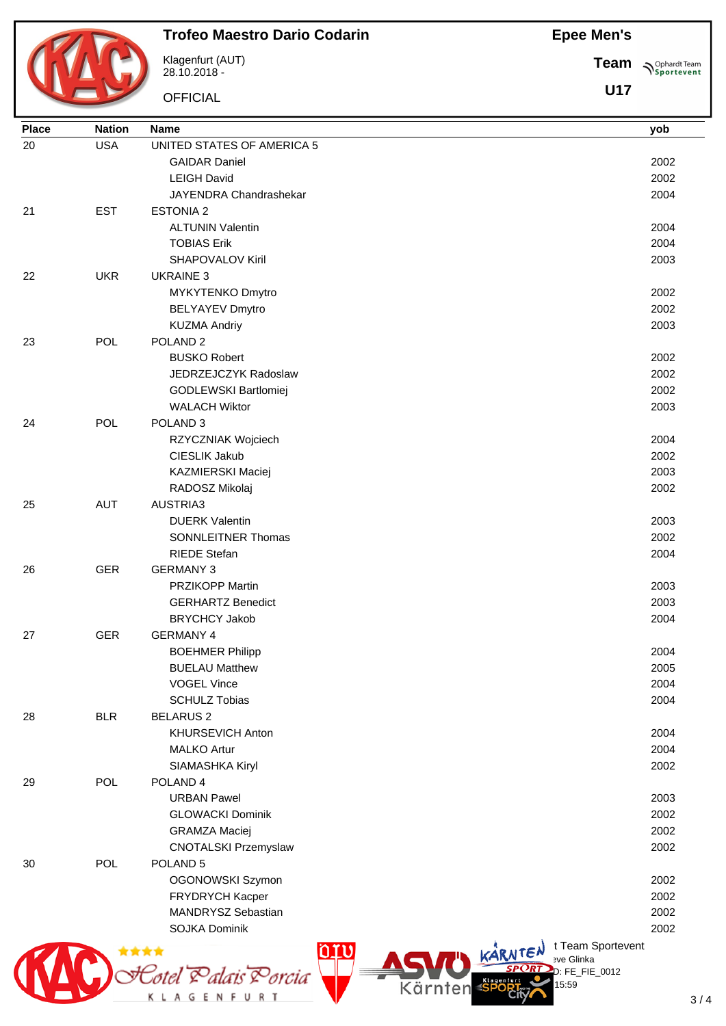

#### **Trofeo Maestro Dario Codarin**

Klagenfurt (AUT) 28.10.2018 -

**OFFICIAL** 

**Team Sportevent** 

**U17**

| <b>Place</b> | <b>Nation</b> | <b>Name</b>                                | yob  |                |
|--------------|---------------|--------------------------------------------|------|----------------|
| 20           | <b>USA</b>    | UNITED STATES OF AMERICA 5                 |      |                |
|              |               | <b>GAIDAR Daniel</b>                       | 2002 |                |
|              |               | <b>LEIGH David</b>                         | 2002 |                |
|              |               | JAYENDRA Chandrashekar                     | 2004 |                |
| 21           | <b>EST</b>    | <b>ESTONIA 2</b>                           |      |                |
|              |               | <b>ALTUNIN Valentin</b>                    | 2004 |                |
|              |               | <b>TOBIAS Erik</b>                         | 2004 |                |
|              |               | <b>SHAPOVALOV Kiril</b>                    | 2003 |                |
| 22           | <b>UKR</b>    | <b>UKRAINE 3</b>                           |      |                |
|              |               | MYKYTENKO Dmytro                           | 2002 |                |
|              |               | <b>BELYAYEV Dmytro</b>                     | 2002 |                |
|              |               | <b>KUZMA Andriy</b>                        | 2003 |                |
| 23           | POL           | POLAND <sub>2</sub>                        |      |                |
|              |               | <b>BUSKO Robert</b>                        |      |                |
|              |               |                                            | 2002 |                |
|              |               | JEDRZEJCZYK Radoslaw                       | 2002 |                |
|              |               | GODLEWSKI Bartlomiej                       | 2002 |                |
|              |               | <b>WALACH Wiktor</b>                       | 2003 |                |
| 24           | POL           | POLAND <sub>3</sub>                        |      |                |
|              |               | RZYCZNIAK Wojciech                         | 2004 |                |
|              |               | CIESLIK Jakub                              | 2002 |                |
|              |               | KAZMIERSKI Maciej                          | 2003 |                |
|              |               | RADOSZ Mikolaj                             | 2002 |                |
| 25           | <b>AUT</b>    | AUSTRIA3                                   |      |                |
|              |               | <b>DUERK Valentin</b>                      | 2003 |                |
|              |               | SONNLEITNER Thomas                         | 2002 |                |
|              |               | <b>RIEDE Stefan</b>                        | 2004 |                |
| 26           | <b>GER</b>    | <b>GERMANY 3</b>                           |      |                |
|              |               | <b>PRZIKOPP Martin</b>                     | 2003 |                |
|              |               | <b>GERHARTZ Benedict</b>                   | 2003 |                |
|              |               | <b>BRYCHCY Jakob</b>                       | 2004 |                |
| 27           | <b>GER</b>    | <b>GERMANY 4</b>                           |      |                |
|              |               | <b>BOEHMER Philipp</b>                     | 2004 |                |
|              |               | <b>BUELAU Matthew</b>                      | 2005 |                |
|              |               | <b>VOGEL Vince</b>                         | 2004 |                |
|              |               | <b>SCHULZ Tobias</b>                       | 2004 |                |
| 28           | <b>BLR</b>    | <b>BELARUS 2</b>                           |      |                |
|              |               | KHURSEVICH Anton                           | 2004 |                |
|              |               | <b>MALKO Artur</b>                         | 2004 |                |
|              |               | SIAMASHKA Kiryl                            | 2002 |                |
| 29           | <b>POL</b>    | POLAND <sub>4</sub>                        |      |                |
|              |               | <b>URBAN Pawel</b>                         | 2003 |                |
|              |               | <b>GLOWACKI Dominik</b>                    | 2002 |                |
|              |               | <b>GRAMZA Maciej</b>                       | 2002 |                |
|              |               | <b>CNOTALSKI Przemyslaw</b>                | 2002 |                |
| 30           | <b>POL</b>    | POLAND <sub>5</sub>                        |      |                |
|              |               | OGONOWSKI Szymon                           | 2002 |                |
|              |               | FRYDRYCH Kacper                            | 2002 |                |
|              |               | MANDRYSZ Sebastian                         | 2002 |                |
|              |               | SOJKA Dominik                              | 2002 |                |
|              |               |                                            |      |                |
|              |               | t Team Sportevent<br>KARNTEN<br>eve Glinka |      |                |
|              |               | $D: FE_FIE_0012$<br>Lorcia                 |      |                |
|              |               | <b>Klagenfurt</b><br>15:59<br>Kärnten      |      |                |
|              |               | R T<br>G                                   |      | 3 <sub>1</sub> |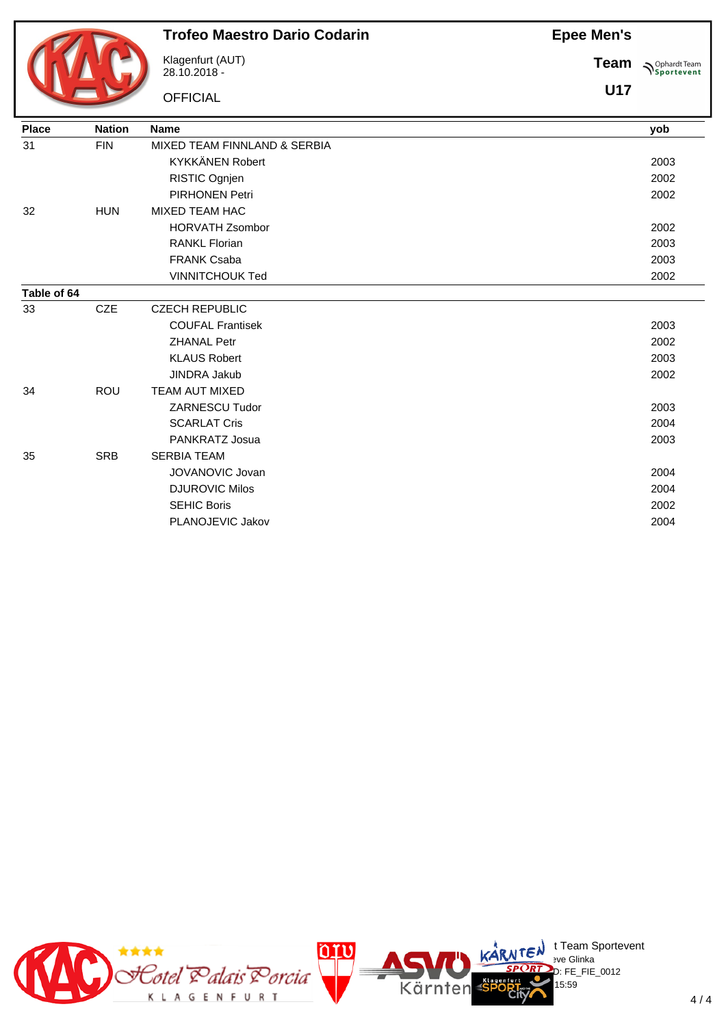

#### **Trofeo Maestro Dario Codarin**

Klagenfurt (AUT) 28.10.2018 -

**OFFICIAL** 

**Team Sportevent** 

**U17**

| <b>Place</b> | <b>Nation</b> | <b>Name</b>                  | yob  |
|--------------|---------------|------------------------------|------|
| 31           | <b>FIN</b>    | MIXED TEAM FINNLAND & SERBIA |      |
|              |               | <b>KYKKÄNEN Robert</b>       | 2003 |
|              |               | RISTIC Ognjen                | 2002 |
|              |               | <b>PIRHONEN Petri</b>        | 2002 |
| 32           | <b>HUN</b>    | <b>MIXED TEAM HAC</b>        |      |
|              |               | <b>HORVATH Zsombor</b>       | 2002 |
|              |               | <b>RANKL Florian</b>         | 2003 |
|              |               | <b>FRANK Csaba</b>           | 2003 |
|              |               | <b>VINNITCHOUK Ted</b>       | 2002 |
| Table of 64  |               |                              |      |
| 33           | <b>CZE</b>    | <b>CZECH REPUBLIC</b>        |      |
|              |               | <b>COUFAL Frantisek</b>      | 2003 |
|              |               | <b>ZHANAL Petr</b>           | 2002 |
|              |               | <b>KLAUS Robert</b>          | 2003 |
|              |               | <b>JINDRA Jakub</b>          | 2002 |
| 34           | <b>ROU</b>    | TEAM AUT MIXED               |      |
|              |               | <b>ZARNESCU Tudor</b>        | 2003 |
|              |               | <b>SCARLAT Cris</b>          | 2004 |
|              |               | PANKRATZ Josua               | 2003 |
| 35           | <b>SRB</b>    | <b>SERBIA TEAM</b>           |      |
|              |               | JOVANOVIC Jovan              | 2004 |
|              |               | <b>DJUROVIC Milos</b>        | 2004 |
|              |               | <b>SEHIC Boris</b>           | 2002 |
|              |               | PLANOJEVIC Jakov             | 2004 |
|              |               |                              |      |

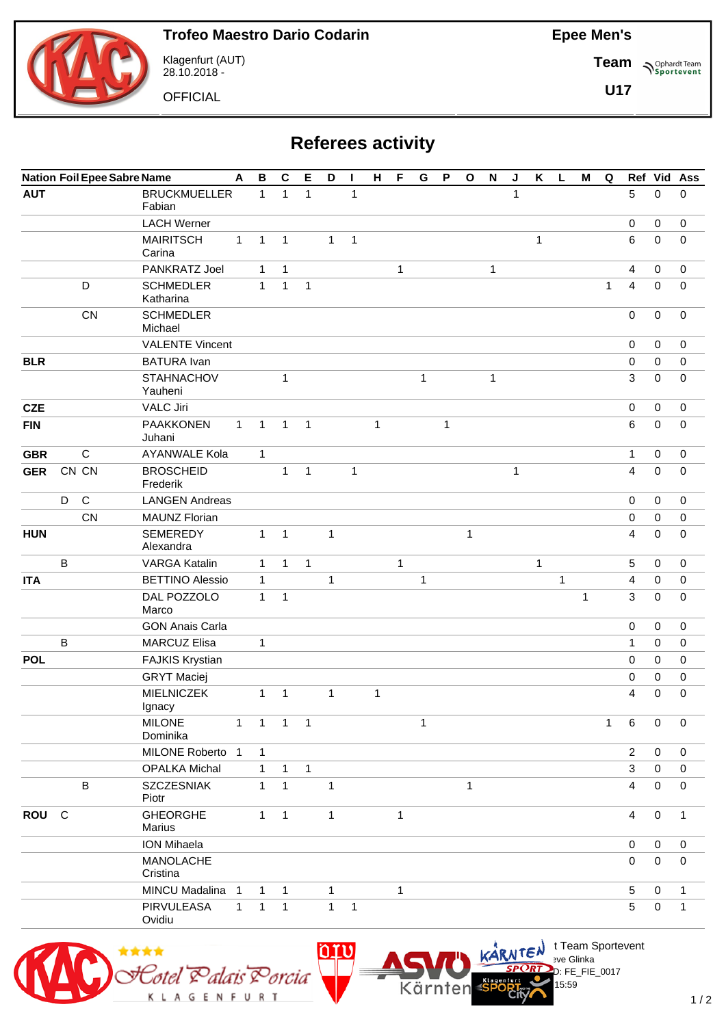**Team**

**U17**

**Sportevent** 



Klagenfurt (AUT) 28.10.2018 -

**OFFICIAL** 

**Referees activity**

|            | <b>Nation Foil Epee Sabre Name</b> |              |                                  |              |              | $\mathbf C$    | Е                          | D            | П            | H            | F            | G            | $\mathsf P$  | $\mathbf{o}$ | $\boldsymbol{\mathsf{N}}$ | J            | $\boldsymbol{\mathsf{K}}$ | L | M            | Q            |                | Ref Vid     | Ass          |
|------------|------------------------------------|--------------|----------------------------------|--------------|--------------|----------------|----------------------------|--------------|--------------|--------------|--------------|--------------|--------------|--------------|---------------------------|--------------|---------------------------|---|--------------|--------------|----------------|-------------|--------------|
| <b>AUT</b> |                                    |              | <b>BRUCKMUELLER</b><br>Fabian    |              | $\mathbf{1}$ | $\mathbf{1}$   | 1                          |              | $\mathbf{1}$ |              |              |              |              |              |                           | $\mathbf{1}$ |                           |   |              |              | 5              | 0           | 0            |
|            |                                    |              | <b>LACH Werner</b>               |              |              |                |                            |              |              |              |              |              |              |              |                           |              |                           |   |              |              | $\mathbf 0$    | 0           | $\mathbf 0$  |
|            |                                    |              | <b>MAIRITSCH</b><br>Carina       | $\mathbf{1}$ | $\mathbf{1}$ | $\mathbf{1}$   |                            | 1            | $\mathbf{1}$ |              |              |              |              |              |                           |              | $\mathbf{1}$              |   |              |              | $\,6\,$        | 0           | 0            |
|            |                                    |              | PANKRATZ Joel                    |              | $\mathbf{1}$ | $\mathbf{1}$   |                            |              |              |              | $\mathbf{1}$ |              |              |              | 1                         |              |                           |   |              |              | 4              | 0           | 0            |
|            |                                    | D            | <b>SCHMEDLER</b><br>Katharina    |              | $\mathbf{1}$ | $\mathbf{1}$   | 1                          |              |              |              |              |              |              |              |                           |              |                           |   |              | $\mathbf{1}$ | 4              | $\mathbf 0$ | 0            |
|            |                                    | CN           | <b>SCHMEDLER</b><br>Michael      |              |              |                |                            |              |              |              |              |              |              |              |                           |              |                           |   |              |              | $\mathbf 0$    | 0           | 0            |
|            |                                    |              | <b>VALENTE Vincent</b>           |              |              |                |                            |              |              |              |              |              |              |              |                           |              |                           |   |              |              | $\mathbf 0$    | 0           | 0            |
| <b>BLR</b> |                                    |              | <b>BATURA</b> Ivan               |              |              |                |                            |              |              |              |              |              |              |              |                           |              |                           |   |              |              | $\mathbf 0$    | $\mathbf 0$ | $\mathbf 0$  |
|            |                                    |              | <b>STAHNACHOV</b><br>Yauheni     |              |              | 1              |                            |              |              |              |              | $\mathbf{1}$ |              |              | $\mathbf{1}$              |              |                           |   |              |              | 3              | 0           | 0            |
| <b>CZE</b> |                                    |              | <b>VALC Jiri</b>                 |              |              |                |                            |              |              |              |              |              |              |              |                           |              |                           |   |              |              | $\pmb{0}$      | 0           | $\mathbf 0$  |
| <b>FIN</b> |                                    |              | <b>PAAKKONEN</b><br>Juhani       | $\mathbf{1}$ | $\mathbf{1}$ | 1              | $\mathbf{1}$               |              |              | $\mathbf{1}$ |              |              | $\mathbf{1}$ |              |                           |              |                           |   |              |              | 6              | 0           | 0            |
| <b>GBR</b> |                                    | $\mathsf{C}$ | <b>AYANWALE Kola</b>             |              | $\mathbf{1}$ |                |                            |              |              |              |              |              |              |              |                           |              |                           |   |              |              | 1              | 0           | 0            |
| <b>GER</b> |                                    | CN CN        | <b>BROSCHEID</b><br>Frederik     |              |              | $\mathbf{1}$   | $\mathbf{1}$               |              | $\mathbf{1}$ |              |              |              |              |              |                           | $\mathbf{1}$ |                           |   |              |              | $\overline{4}$ | 0           | $\mathbf 0$  |
|            | D                                  | $\mathsf{C}$ | <b>LANGEN Andreas</b>            |              |              |                |                            |              |              |              |              |              |              |              |                           |              |                           |   |              |              | $\mathbf 0$    | $\mathbf 0$ | $\mathbf 0$  |
|            |                                    | CN           | <b>MAUNZ Florian</b>             |              |              |                |                            |              |              |              |              |              |              |              |                           |              |                           |   |              |              | $\pmb{0}$      | 0           | 0            |
| <b>HUN</b> |                                    |              | <b>SEMEREDY</b><br>Alexandra     |              | $\mathbf{1}$ | $\mathbf{1}$   |                            | 1            |              |              |              |              |              | 1            |                           |              |                           |   |              |              | 4              | 0           | 0            |
|            | B                                  |              | <b>VARGA Katalin</b>             |              | $\mathbf{1}$ | $\mathbf{1}$   | 1                          |              |              |              | $\mathbf{1}$ |              |              |              |                           |              | 1                         |   |              |              | 5              | 0           | 0            |
| <b>ITA</b> |                                    |              | <b>BETTINO Alessio</b>           |              | 1            |                |                            | 1            |              |              |              | 1            |              |              |                           |              |                           | 1 |              |              | 4              | 0           | 0            |
|            |                                    |              | DAL POZZOLO<br>Marco             |              | $\mathbf{1}$ | $\mathbf{1}$   |                            |              |              |              |              |              |              |              |                           |              |                           |   | $\mathbf{1}$ |              | 3              | $\mathbf 0$ | $\mathbf 0$  |
|            |                                    |              | <b>GON Anais Carla</b>           |              |              |                |                            |              |              |              |              |              |              |              |                           |              |                           |   |              |              | $\mathbf 0$    | 0           | 0            |
|            | B                                  |              | <b>MARCUZ Elisa</b>              |              | $\mathbf{1}$ |                |                            |              |              |              |              |              |              |              |                           |              |                           |   |              |              | $\mathbf{1}$   | $\mathbf 0$ | $\mathbf 0$  |
| <b>POL</b> |                                    |              | <b>FAJKIS Krystian</b>           |              |              |                |                            |              |              |              |              |              |              |              |                           |              |                           |   |              |              | $\mathbf 0$    | 0           | 0            |
|            |                                    |              | <b>GRYT Maciej</b>               |              |              |                |                            |              |              |              |              |              |              |              |                           |              |                           |   |              |              | $\mathbf 0$    | 0           | 0            |
|            |                                    |              | MIELNICZEK<br>Ignacy             |              | $\mathbf{1}$ | $\mathbf{1}$   |                            | 1            |              | $\mathbf{1}$ |              |              |              |              |                           |              |                           |   |              |              | 4              | 0           | 0            |
|            |                                    |              | <b>MILONE</b><br>Dominika        | $\mathbf{1}$ | $\mathbf{1}$ | $\overline{1}$ | $\overline{\phantom{0}}$ 1 |              |              |              |              | 1            |              |              |                           |              |                           |   |              | $\mathbf{1}$ | $\,6\,$        | 0           | $\mathbf 0$  |
|            |                                    |              | MILONE Roberto 1                 |              | $\mathbf{1}$ |                |                            |              |              |              |              |              |              |              |                           |              |                           |   |              |              | $\overline{2}$ | $\mathbf 0$ | 0            |
|            |                                    |              | <b>OPALKA Michal</b>             |              | $\mathbf 1$  | $\mathbf{1}$   | 1                          |              |              |              |              |              |              |              |                           |              |                           |   |              |              | 3              | 0           | 0            |
|            |                                    | $\sf B$      | <b>SZCZESNIAK</b><br>Piotr       |              | $\mathbf{1}$ | $\mathbf{1}$   |                            | $\mathbf{1}$ |              |              |              |              |              | 1            |                           |              |                           |   |              |              | $\overline{4}$ | 0           | $\mathbf 0$  |
| ROU C      |                                    |              | <b>GHEORGHE</b><br><b>Marius</b> |              | $\mathbf{1}$ | $\mathbf{1}$   |                            | $\mathbf{1}$ |              |              | 1            |              |              |              |                           |              |                           |   |              |              | 4              | $\mathbf 0$ | 1            |
|            |                                    |              | <b>ION Mihaela</b>               |              |              |                |                            |              |              |              |              |              |              |              |                           |              |                           |   |              |              | $\mathbf 0$    | 0           | $\mathbf 0$  |
|            |                                    |              | MANOLACHE<br>Cristina            |              |              |                |                            |              |              |              |              |              |              |              |                           |              |                           |   |              |              | $\mathbf 0$    | 0           | 0            |
|            |                                    |              | MINCU Madalina 1                 |              | $\mathbf{1}$ | $\mathbf{1}$   |                            | 1            |              |              | 1            |              |              |              |                           |              |                           |   |              |              | 5              | 0           | $\mathbf{1}$ |
|            |                                    |              | PIRVULEASA<br>Ovidiu             | $\mathbf{1}$ | $\mathbf{1}$ | $\mathbf{1}$   |                            | 1            | $\mathbf{1}$ |              |              |              |              |              |                           |              |                           |   |              |              | 5              | 0           | 1            |



 $\bigcup_{v \in \mathcal{F}} \mathsf{Id}$  t Team Sportevent

15:59

 $D: FE$  FIE 0017

**N'Y'Letter** sve Glinka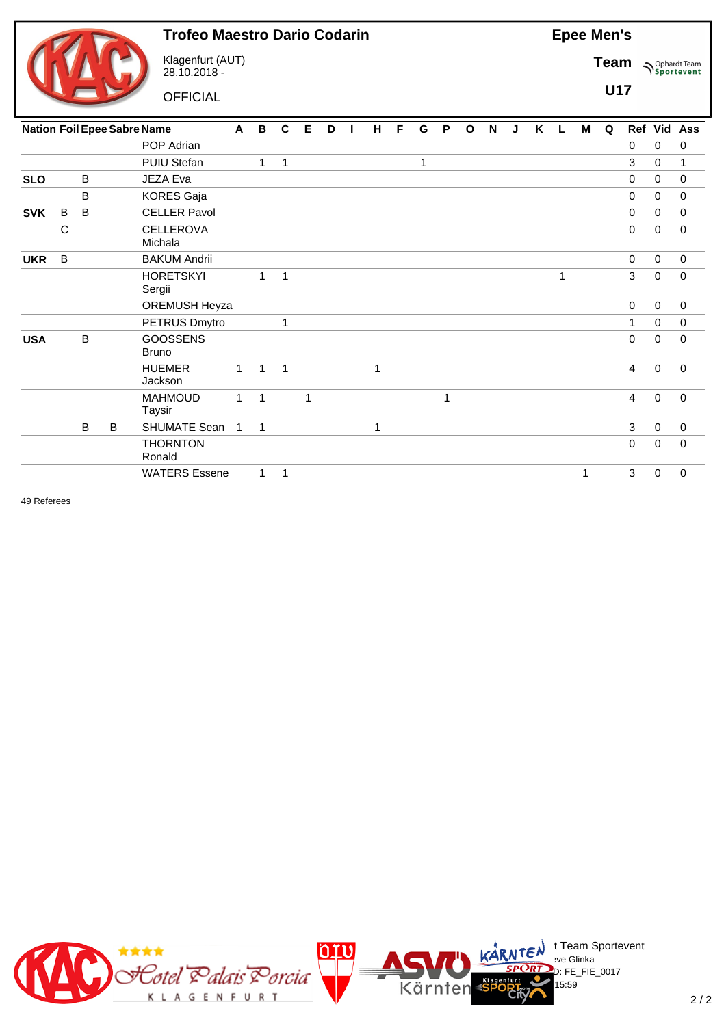

Klagenfurt (AUT) 28.10.2018 -

**OFFICIAL** 

**Epee Men's**

**Team Sportevent** 

**U17**

|            |              |         |              | <b>Nation Foil Epee Sabre Name</b> | A            | В            | $\mathbf c$  | Е | D | ш | H | F | G            | P              | $\mathbf{o}$ | N | J | K | L. | М            | Q |             |             | Ref Vid Ass |
|------------|--------------|---------|--------------|------------------------------------|--------------|--------------|--------------|---|---|---|---|---|--------------|----------------|--------------|---|---|---|----|--------------|---|-------------|-------------|-------------|
|            |              |         |              | POP Adrian                         |              |              |              |   |   |   |   |   |              |                |              |   |   |   |    |              |   | 0           | 0           | 0           |
|            |              |         |              | PUIU Stefan                        |              | 1            | 1            |   |   |   |   |   | $\mathbf{1}$ |                |              |   |   |   |    |              |   | 3           | $\mathbf 0$ | 1           |
| <b>SLO</b> |              | B       |              | JEZA Eva                           |              |              |              |   |   |   |   |   |              |                |              |   |   |   |    |              |   | 0           | $\mathbf 0$ | $\mathbf 0$ |
|            |              | B       |              | <b>KORES Gaja</b>                  |              |              |              |   |   |   |   |   |              |                |              |   |   |   |    |              |   | $\mathbf 0$ | $\mathbf 0$ | $\mathbf 0$ |
| <b>SVK</b> | B            | $\sf B$ |              | <b>CELLER Pavol</b>                |              |              |              |   |   |   |   |   |              |                |              |   |   |   |    |              |   | 0           | $\mathbf 0$ | $\mathbf 0$ |
|            | $\mathsf{C}$ |         |              | <b>CELLEROVA</b><br>Michala        |              |              |              |   |   |   |   |   |              |                |              |   |   |   |    |              |   | 0           | $\mathbf 0$ | $\mathbf 0$ |
| <b>UKR</b> | B            |         |              | <b>BAKUM Andrii</b>                |              |              |              |   |   |   |   |   |              |                |              |   |   |   |    |              |   | $\mathbf 0$ | $\mathbf 0$ | $\mathbf 0$ |
|            |              |         |              | <b>HORETSKYI</b><br>Sergii         |              | $\mathbf{1}$ | $\mathbf{1}$ |   |   |   |   |   |              |                |              |   |   |   | 1  |              |   | 3           | $\mathbf 0$ | $\mathbf 0$ |
|            |              |         |              | OREMUSH Heyza                      |              |              |              |   |   |   |   |   |              |                |              |   |   |   |    |              |   | $\mathbf 0$ | $\mathbf 0$ | $\mathbf 0$ |
|            |              |         |              | PETRUS Dmytro                      |              |              | 1            |   |   |   |   |   |              |                |              |   |   |   |    |              |   | 1           | $\mathbf 0$ | $\mathbf 0$ |
| <b>USA</b> |              | B       |              | <b>GOOSSENS</b><br><b>Bruno</b>    |              |              |              |   |   |   |   |   |              |                |              |   |   |   |    |              |   | 0           | $\mathbf 0$ | 0           |
|            |              |         |              | <b>HUEMER</b><br>Jackson           | $\mathbf{1}$ | $\mathbf{1}$ | $\mathbf{1}$ |   |   |   | 1 |   |              |                |              |   |   |   |    |              |   | 4           | $\mathbf 0$ | $\Omega$    |
|            |              |         |              | <b>MAHMOUD</b><br>Taysir           | $\mathbf{1}$ | $\mathbf{1}$ |              | 1 |   |   |   |   |              | $\overline{1}$ |              |   |   |   |    |              |   | 4           | $\mathbf 0$ | $\Omega$    |
|            |              | B       | $\, {\bf B}$ | SHUMATE Sean                       | $\mathbf{1}$ | 1            |              |   |   |   | 1 |   |              |                |              |   |   |   |    |              |   | 3           | $\mathbf 0$ | $\mathbf 0$ |
|            |              |         |              | <b>THORNTON</b><br>Ronald          |              |              |              |   |   |   |   |   |              |                |              |   |   |   |    |              |   | 0           | $\mathbf 0$ | 0           |
|            |              |         |              | <b>WATERS Essene</b>               |              | $\mathbf{1}$ | 1            |   |   |   |   |   |              |                |              |   |   |   |    | $\mathbf{1}$ |   | 3           | $\mathbf 0$ | $\mathbf 0$ |
|            |              |         |              |                                    |              |              |              |   |   |   |   |   |              |                |              |   |   |   |    |              |   |             |             |             |

49 Referees